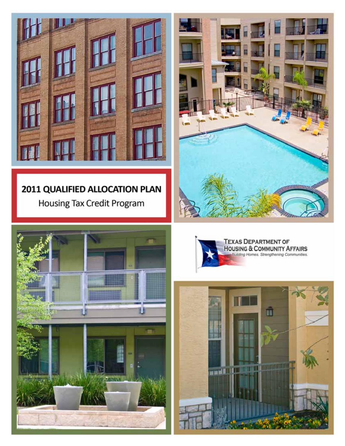

# 2011 QUALIFIED ALLOCATION PLAN Housing Tax Credit Program







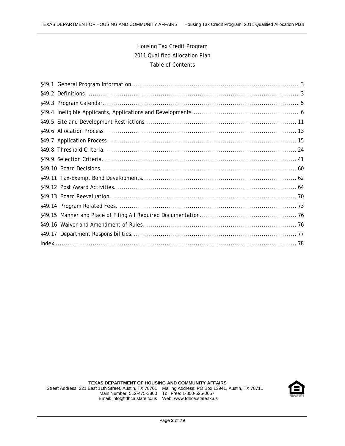## Housing Tax Credit Program 2011 Qualified Allocation Plan Table of Contents

**TEXAS DEPARTMENT OF HOUSING AND COMMUNITY AFFAIRS** 

 Street Address: 221 East 11th Street, Austin, TX 78701 Mailing Address: PO Box 13941, Austin, TX 78711 Main Number: 512-475-3800 Toll Free: 1-800-525-0657 Email: info@tdhca.state.tx.us Web: www.tdhca.state.tx.us

![](_page_1_Picture_5.jpeg)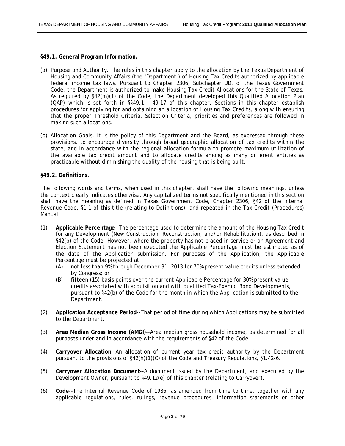#### <span id="page-2-0"></span>**§49.1. General Program Information.**

- (a) Purpose and Authority. The rules in this chapter apply to the allocation by the Texas Department of Housing and Community Affairs (the "Department") of Housing Tax Credits authorized by applicable federal income tax laws. Pursuant to Chapter 2306, Subchapter DD, of the Texas Government Code, the Department is authorized to make Housing Tax Credit Allocations for the State of Texas. As required by §42(m)(1) of the Code, the Department developed this Qualified Allocation Plan (QAP) which is set forth in §§49.1 - 49.17 of this chapter. Sections in this chapter establish procedures for applying for and obtaining an allocation of Housing Tax Credits, along with ensuring that the proper Threshold Criteria, Selection Criteria, priorities and preferences are followed in making such allocations.
- (b) Allocation Goals. It is the policy of this Department and the Board, as expressed through these provisions, to encourage diversity through broad geographic allocation of tax credits within the state, and in accordance with the regional allocation formula to promote maximum utilization of the available tax credit amount and to allocate credits among as many different entities as practicable without diminishing the quality of the housing that is being built.

#### **§49.2. Definitions.**

The following words and terms, when used in this chapter, shall have the following meanings, unless the context clearly indicates otherwise. Any capitalized terms not specifically mentioned in this section shall have the meaning as defined in Texas Government Code, Chapter 2306, §42 of the Internal Revenue Code, §1.1 of this title (relating to Definitions), and repeated in the Tax Credit (Procedures) Manual.

- (1) **Applicable Percentage**--The percentage used to determine the amount of the Housing Tax Credit for any Development (New Construction, Reconstruction, and/or Rehabilitation), as described in §42(b) of the Code. However, where the property has not placed in service or an Agreement and Election Statement has not been executed the Applicable Percentage must be estimated as of the date of the Application submission. For purposes of the Application, the Applicable Percentage must be projected at:
	- (A) not less than 9% through December 31, 2013 for 70% present value credits unless extended by Congress; or
	- (B) fifteen (15) basis points over the current Applicable Percentage for 30% present value credits associated with acquisition and with qualified Tax-Exempt Bond Developments, pursuant to §42(b) of the Code for the month in which the Application is submitted to the Department.
- (2) **Application Acceptance Period**--That period of time during which Applications may be submitted to the Department.
- (3) **Area Median Gross Income (AMGI)**--Area median gross household income, as determined for all purposes under and in accordance with the requirements of §42 of the Code.
- (4) **Carryover Allocation**--An allocation of current year tax credit authority by the Department pursuant to the provisions of §42(h)(1)(C) of the Code and Treasury Regulations, §1.42-6.
- (5) **Carryover Allocation Document**--A document issued by the Department, and executed by the Development Owner, pursuant to §49.12(e) of this chapter (relating to Carryover).
- (6) **Code**--The Internal Revenue Code of 1986, as amended from time to time, together with any applicable regulations, rules, rulings, revenue procedures, information statements or other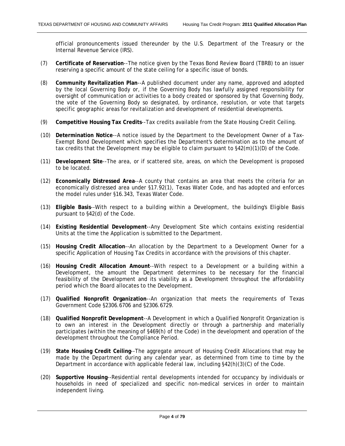official pronouncements issued thereunder by the U.S. Department of the Treasury or the Internal Revenue Service (IRS).

- (7) **Certificate of Reservation**--The notice given by the Texas Bond Review Board (TBRB) to an issuer reserving a specific amount of the state ceiling for a specific issue of bonds.
- (8) **Community Revitalization Plan**--A published document under any name, approved and adopted by the local Governing Body or, if the Governing Body has lawfully assigned responsibility for oversight of communication or activities to a body created or sponsored by that Governing Body, the vote of the Governing Body so designated, by ordinance, resolution, or vote that targets specific geographic areas for revitalization and development of residential developments.
- (9) **Competitive Housing Tax Credits**--Tax credits available from the State Housing Credit Ceiling.
- (10) **Determination Notice**--A notice issued by the Department to the Development Owner of a Tax-Exempt Bond Development which specifies the Department's determination as to the amount of tax credits that the Development may be eligible to claim pursuant to §42(m)(1)(D) of the Code.
- (11) **Development Site**--The area, or if scattered site, areas, on which the Development is proposed to be located.
- (12) **Economically Distressed Area**--A county that contains an area that meets the criteria for an economically distressed area under §17.92(1), Texas Water Code, and has adopted and enforces the model rules under §16.343, Texas Water Code.
- (13) **Eligible Basis**--With respect to a building within a Development, the building's Eligible Basis pursuant to §42(d) of the Code.
- (14) **Existing Residential Development**--Any Development Site which contains existing residential Units at the time the Application is submitted to the Department.
- (15) **Housing Credit Allocation**--An allocation by the Department to a Development Owner for a specific Application of Housing Tax Credits in accordance with the provisions of this chapter.
- (16) **Housing Credit Allocation Amount**--With respect to a Development or a building within a Development, the amount the Department determines to be necessary for the financial feasibility of the Development and its viability as a Development throughout the affordability period which the Board allocates to the Development.
- (17) **Qualified Nonprofit Organization**--An organization that meets the requirements of Texas Government Code §2306.6706 and §2306.6729.
- (18) **Qualified Nonprofit Development**--A Development in which a Qualified Nonprofit Organization is to own an interest in the Development directly or through a partnership and materially participates (within the meaning of §469(h) of the Code) in the development and operation of the development throughout the Compliance Period.
- (19) **State Housing Credit Ceiling**--The aggregate amount of Housing Credit Allocations that may be made by the Department during any calendar year, as determined from time to time by the Department in accordance with applicable federal law, including §42(h)(3)(C) of the Code.
- (20) **Supportive Housing**--Residential rental developments intended for occupancy by individuals or households in need of specialized and specific non-medical services in order to maintain independent living.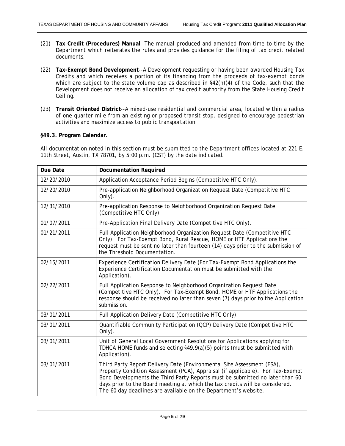- <span id="page-4-0"></span>(21) **Tax Credit (Procedures) Manual**--The manual produced and amended from time to time by the Department which reiterates the rules and provides guidance for the filing of tax credit related documents.
- (22) **Tax-Exempt Bond Development**--A Development requesting or having been awarded Housing Tax Credits and which receives a portion of its financing from the proceeds of tax-exempt bonds which are subject to the state volume cap as described in  $\S42(h)(4)$  of the Code, such that the Development does not receive an allocation of tax credit authority from the State Housing Credit Ceiling.
- (23) **Transit Oriented District**--A mixed-use residential and commercial area, located within a radius of one-quarter mile from an existing or proposed transit stop, designed to encourage pedestrian activities and maximize access to public transportation.

#### **§49.3. Program Calendar.**

All documentation noted in this section must be submitted to the Department offices located at 221 E. 11th Street, Austin, TX 78701, by 5:00 p.m. (CST) by the date indicated.

| Due Date   | <b>Documentation Required</b>                                                                                                                                                                                                                                                                                                                                                               |
|------------|---------------------------------------------------------------------------------------------------------------------------------------------------------------------------------------------------------------------------------------------------------------------------------------------------------------------------------------------------------------------------------------------|
| 12/20/2010 | Application Acceptance Period Begins (Competitive HTC Only).                                                                                                                                                                                                                                                                                                                                |
| 12/20/2010 | Pre-application Neighborhood Organization Request Date (Competitive HTC<br>Only).                                                                                                                                                                                                                                                                                                           |
| 12/31/2010 | Pre-application Response to Neighborhood Organization Request Date<br>(Competitive HTC Only).                                                                                                                                                                                                                                                                                               |
| 01/07/2011 | Pre-Application Final Delivery Date (Competitive HTC Only).                                                                                                                                                                                                                                                                                                                                 |
| 01/21/2011 | Full Application Neighborhood Organization Request Date (Competitive HTC<br>Only). For Tax-Exempt Bond, Rural Rescue, HOME or HTF Applications the<br>request must be sent no later than fourteen (14) days prior to the submission of<br>the Threshold Documentation.                                                                                                                      |
| 02/15/2011 | Experience Certification Delivery Date (For Tax-Exempt Bond Applications the<br>Experience Certification Documentation must be submitted with the<br>Application).                                                                                                                                                                                                                          |
| 02/22/2011 | Full Application Response to Neighborhood Organization Request Date<br>(Competitive HTC Only). For Tax-Exempt Bond, HOME or HTF Applications the<br>response should be received no later than seven (7) days prior to the Application<br>submission.                                                                                                                                        |
| 03/01/2011 | Full Application Delivery Date (Competitive HTC Only).                                                                                                                                                                                                                                                                                                                                      |
| 03/01/2011 | Quantifiable Community Participation (QCP) Delivery Date (Competitive HTC<br>Only).                                                                                                                                                                                                                                                                                                         |
| 03/01/2011 | Unit of General Local Government Resolutions for Applications applying for<br>TDHCA HOME funds and selecting §49.9(a)(5) points (must be submitted with<br>Application).                                                                                                                                                                                                                    |
| 03/01/2011 | Third Party Report Delivery Date (Environmental Site Assessment (ESA),<br>Property Condition Assessment (PCA), Appraisal (if applicable). For Tax-Exempt<br>Bond Developments the Third Party Reports must be submitted no later than 60<br>days prior to the Board meeting at which the tax credits will be considered.<br>The 60 day deadlines are available on the Department's website. |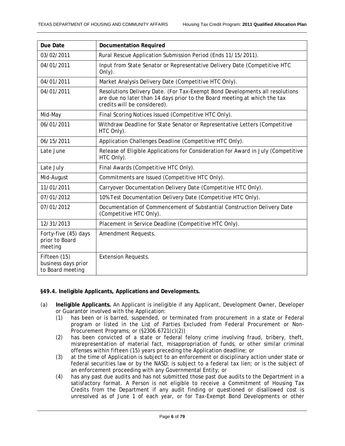<span id="page-5-0"></span>

| Due Date                                                | <b>Documentation Required</b>                                                                                                                                                             |
|---------------------------------------------------------|-------------------------------------------------------------------------------------------------------------------------------------------------------------------------------------------|
| 03/02/2011                                              | Rural Rescue Application Submission Period (Ends 11/15/2011).                                                                                                                             |
| 04/01/2011                                              | Input from State Senator or Representative Delivery Date (Competitive HTC<br>Only).                                                                                                       |
| 04/01/2011                                              | Market Analysis Delivery Date (Competitive HTC Only).                                                                                                                                     |
| 04/01/2011                                              | Resolutions Delivery Date. (For Tax-Exempt Bond Developments all resolutions<br>are due no later than 14 days prior to the Board meeting at which the tax<br>credits will be considered). |
| Mid-May                                                 | Final Scoring Notices Issued (Competitive HTC Only).                                                                                                                                      |
| 06/01/2011                                              | Withdraw Deadline for State Senator or Representative Letters (Competitive<br>HTC Only).                                                                                                  |
| 06/15/2011                                              | Application Challenges Deadline (Competitive HTC Only).                                                                                                                                   |
| Late June                                               | Release of Eligible Applications for Consideration for Award in July (Competitive<br>HTC Only).                                                                                           |
| Late July                                               | Final Awards (Competitive HTC Only).                                                                                                                                                      |
| Mid-August                                              | Commitments are Issued (Competitive HTC Only).                                                                                                                                            |
| 11/01/2011                                              | Carryover Documentation Delivery Date (Competitive HTC Only).                                                                                                                             |
| 07/01/2012                                              | 10% Test Documentation Delivery Date (Competitive HTC Only).                                                                                                                              |
| 07/01/2012                                              | Documentation of Commencement of Substantial Construction Delivery Date<br>(Competitive HTC Only).                                                                                        |
| 12/31/2013                                              | Placement in Service Deadline (Competitive HTC Only).                                                                                                                                     |
| Forty-five (45) days<br>prior to Board<br>meeting       | Amendment Requests.                                                                                                                                                                       |
| Fifteen (15)<br>business days prior<br>to Board meeting | <b>Extension Requests.</b>                                                                                                                                                                |

#### **§49.4. Ineligible Applicants, Applications and Developments.**

- (a) **Ineligible Applicants.** An Applicant is ineligible if any Applicant, Development Owner, Developer or Guarantor involved with the Application:
	- (1) has been or is barred, suspended, or terminated from procurement in a state or Federal program or listed in the List of Parties Excluded from Federal Procurement or Non-Procurement Programs; or (§2306.6721(c)(2))
	- (2) has been convicted of a state or federal felony crime involving fraud, bribery, theft, misrepresentation of material fact, misappropriation of funds, or other similar criminal offenses within fifteen (15) years preceding the Application deadline; or
	- (3) at the time of Application is subject to an enforcement or disciplinary action under state or federal securities law or by the NASD; is subject to a federal tax lien; or is the subject of an enforcement proceeding with any Governmental Entity; or
	- (4) has any past due audits and has not submitted those past due audits to the Department in a satisfactory format. A Person is not eligible to receive a Commitment of Housing Tax Credits from the Department if any audit finding or questioned or disallowed cost is unresolved as of June 1 of each year, or for Tax-Exempt Bond Developments or other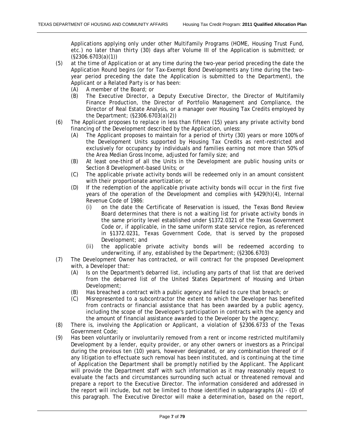Applications applying only under other Multifamily Programs (HOME, Housing Trust Fund, etc.) no later than thirty (30) days after Volume III of the Application is submitted; or (§2306.6703(a)(1))

- (5) at the time of Application or at any time during the two-year period preceding the date the Application Round begins (or for Tax-Exempt Bond Developments any time during the twoyear period preceding the date the Application is submitted to the Department), the Applicant or a Related Party is or has been:
	- (A) A member of the Board; or
	- (B) The Executive Director, a Deputy Executive Director, the Director of Multifamily Finance Production, the Director of Portfolio Management and Compliance, the Director of Real Estate Analysis, or a manager over Housing Tax Credits employed by the Department; (§2306.6703(a)(2))
- (6) The Applicant proposes to replace in less than fifteen (15) years any private activity bond financing of the Development described by the Application, unless:
	- (A) The Applicant proposes to maintain for a period of thirty (30) years or more 100% of the Development Units supported by Housing Tax Credits as rent-restricted and exclusively for occupancy by individuals and families earning not more than 50% of the Area Median Gross Income, adjusted for family size; and
	- (B) At least one-third of all the Units in the Development are public housing units or Section 8 Development-based Units; or
	- (C) The applicable private activity bonds will be redeemed only in an amount consistent with their proportionate amortization; or
	- (D) If the redemption of the applicable private activity bonds will occur in the first five years of the operation of the Development and complies with §429(h)(4), Internal Revenue Code of 1986:
		- (i) on the date the Certificate of Reservation is issued, the Texas Bond Review Board determines that there is not a waiting list for private activity bonds in the same priority level established under §1372.0321 of the Texas Government Code or, if applicable, in the same uniform state service region, as referenced in §1372.0231, Texas Government Code, that is served by the proposed Development; and
		- (ii) the applicable private activity bonds will be redeemed according to underwriting, if any, established by the Department; (§2306.6703)
- (7) The Development Owner has contracted, or will contract for the proposed Development with, a Developer that:
	- (A) Is on the Department's debarred list, including any parts of that list that are derived from the debarred list of the United States Department of Housing and Urban Development;
	- (B) Has breached a contract with a public agency and failed to cure that breach; or
	- (C) Misrepresented to a subcontractor the extent to which the Developer has benefited from contracts or financial assistance that has been awarded by a public agency, including the scope of the Developer's participation in contracts with the agency and the amount of financial assistance awarded to the Developer by the agency;
- (8) There is, involving the Application or Applicant, a violation of §2306.6733 of the Texas Government Code;
- (9) Has been voluntarily or involuntarily removed from a rent or income restricted multifamily Development by a lender, equity provider, or any other owners or investors as a Principal during the previous ten (10) years, however designated, or any combination thereof or if any litigation to effectuate such removal has been instituted, and is continuing at the time of Application the Department shall be promptly notified by the Applicant. The Applicant will provide the Department staff with such information as it may reasonably request to evaluate the facts and circumstances surrounding such actual or threatened removal and prepare a report to the Executive Director. The information considered and addressed in the report will include, but not be limited to those identified in subparagraphs (A) - (D) of this paragraph. The Executive Director will make a determination, based on the report,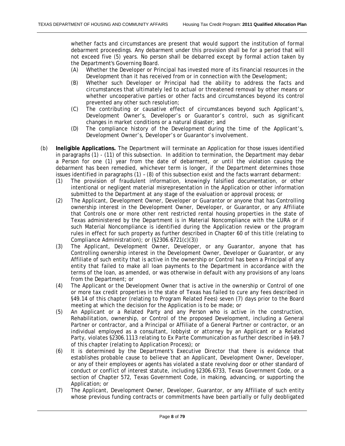whether facts and circumstances are present that would support the institution of formal debarment proceedings. Any debarment under this provision shall be for a period that will not exceed five (5) years. No person shall be debarred except by formal action taken by the Department's Governing Board.

- (A) Whether the Developer or Principal has invested more of its financial resources in the Development than it has received from or in connection with the Development;
- (B) Whether such Developer or Principal had the ability to address the facts and circumstances that ultimately led to actual or threatened removal by other means or whether uncooperative parties or other facts and circumstances beyond its control prevented any other such resolution;
- (C) The contributing or causative effect of circumstances beyond such Applicant's, Development Owner's, Developer's or Guarantor's control, such as significant changes in market conditions or a natural disaster; and
- (D) The compliance history of the Development during the time of the Applicant's, Development Owner's, Developer's or Guarantor's involvement.
- (b) **Ineligible Applications.** The Department will terminate an Application for those issues identified in paragraphs (1) - (11) of this subsection. In addition to termination, the Department may debar a Person for one (1) year from the date of debarment, or until the violation causing the debarment has been remedied, whichever term is longer, if the Department determines those issues identified in paragraphs (1) – (8) of this subsection exist and the facts warrant debarment:
	- (1) The provision of fraudulent information, knowingly falsified documentation, or other intentional or negligent material misrepresentation in the Application or other information submitted to the Department at any stage of the evaluation or approval process; or
	- (2) The Applicant, Development Owner, Developer or Guarantor or anyone that has Controlling ownership interest in the Development Owner, Developer, or Guarantor, or any Affiliate that Controls one or more other rent restricted rental housing properties in the state of Texas administered by the Department is in Material Noncompliance with the LURA or if such Material Noncompliance is identified during the Application review or the program rules in effect for such property as further described in Chapter 60 of this title (relating to Compliance Administration); or (§2306.6721(c)(3))
	- (3) The Applicant, Development Owner, Developer, or any Guarantor, anyone that has Controlling ownership interest in the Development Owner, Developer or Guarantor, or any Affiliate of such entity that is active in the ownership or Control has been a Principal of any entity that failed to make all loan payments to the Department in accordance with the terms of the loan, as amended, or was otherwise in default with any provisions of any loans from the Department; or
	- (4) The Applicant or the Development Owner that is active in the ownership or Control of one or more tax credit properties in the state of Texas has failed to cure any fees described in §49.14 of this chapter (relating to Program Related Fees) seven (7) days prior to the Board meeting at which the decision for the Application is to be made; or
	- (5) An Applicant or a Related Party and any Person who is active in the construction, Rehabilitation, ownership, or Control of the proposed Development, including a General Partner or contractor, and a Principal or Affiliate of a General Partner or contractor, or an individual employed as a consultant, lobbyist or attorney by an Applicant or a Related Party, violates §2306.1113 relating to Ex Parte Communication as further described in §49.7 of this chapter (relating to Application Process); or
	- (6) It is determined by the Department's Executive Director that there is evidence that establishes probable cause to believe that an Applicant, Development Owner, Developer, or any of their employees or agents has violated a state revolving door or other standard of conduct or conflict of interest statute, including §2306.6733, Texas Government Code, or a section of Chapter 572, Texas Government Code, in making, advancing, or supporting the Application; or
	- (7) The Applicant, Development Owner, Developer, Guarantor, or any Affiliate of such entity whose previous funding contracts or commitments have been partially or fully deobligated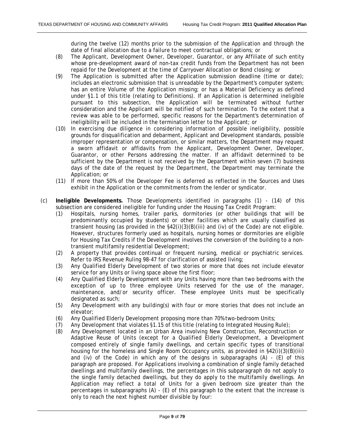during the twelve (12) months prior to the submission of the Application and through the date of final allocation due to a failure to meet contractual obligations; or

- (8) The Applicant, Development Owner, Developer, Guarantor, or any Affiliate of such entity whose pre-development award of non-tax credit funds from the Department has not been repaid for the Development at the time of Carryover Allocation or Bond closing; or
- (9) The Application is submitted after the Application submission deadline (time or date); includes an electronic submission that is unreadable by the Department's computer system; has an entire Volume of the Application missing; or has a Material Deficiency as defined under §1.1 of this title (relating to Definitions). If an Application is determined ineligible pursuant to this subsection, the Application will be terminated without further consideration and the Applicant will be notified of such termination. To the extent that a review was able to be performed, specific reasons for the Department's determination of ineligibility will be included in the termination letter to the Applicant; or
- (10) In exercising due diligence in considering information of possible ineligibility, possible grounds for disqualification and debarment, Applicant and Development standards, possible improper representation or compensation, or similar matters, the Department may request a sworn affidavit or affidavits from the Applicant, Development Owner, Developer, Guarantor, or other Persons addressing the matter. If an affidavit determined to be sufficient by the Department is not received by the Department within seven (7) business days of the date of the request by the Department, the Department may terminate the Application; or
- (11) If more than 50% of the Developer Fee is deferred as reflected in the Sources and Uses exhibit in the Application or the commitments from the lender or syndicator.
- (c) **Ineligible Developments.** Those Developments identified in paragraphs (1) (14) of this subsection are considered ineligible for funding under the Housing Tax Credit Program:
	- (1) Hospitals, nursing homes, trailer parks, dormitories (or other buildings that will be predominantly occupied by students) or other facilities which are usually classified as transient housing (as provided in the §42(i)(3)(B)(iii) and (iv) of the Code) are not eligible. However, structures formerly used as hospitals, nursing homes or dormitories are eligible for Housing Tax Credits if the Development involves the conversion of the building to a nontransient multifamily residential Development;
	- (2) A property that provides continual or frequent nursing, medical or psychiatric services. Refer to IRS Revenue Ruling 98-47 for clarification of assisted living;
	- (3) Any Qualified Elderly Development of two stories or more that does not include elevator service for any Units or living space above the first floor;
	- (4) Any Qualified Elderly Development with any Units having more than two bedrooms with the exception of up to three employee Units reserved for the use of the manager, maintenance, and/or security officer. These employee Units must be specifically designated as such:
	- (5) Any Development with any building(s) with four or more stories that does not include an elevator;
	- (6) Any Qualified Elderly Development proposing more than 70% two-bedroom Units;
	- (7) Any Development that violates §1.15 of this title (relating to Integrated Housing Rule);
	- (8) Any Development located in an Urban Area involving New Construction, Reconstruction or Adaptive Reuse of Units (except for a Qualified Elderly Development, a Development composed entirely of single family dwellings, and certain specific types of transitional housing for the homeless and Single Room Occupancy units, as provided in §42(i)(3)(B)(iii) and (iv) of the Code) in which any of the designs in subparagraphs (A) - (E) of this paragraph are proposed. For Applications involving a combination of single family detached dwellings and multifamily dwellings, the percentages in this subparagraph do not apply to the single family detached dwellings, but they do apply to the multifamily dwellings. An Application may reflect a total of Units for a given bedroom size greater than the percentages in subparagraphs (A) - (E) of this paragraph to the extent that the increase is only to reach the next highest number divisible by four: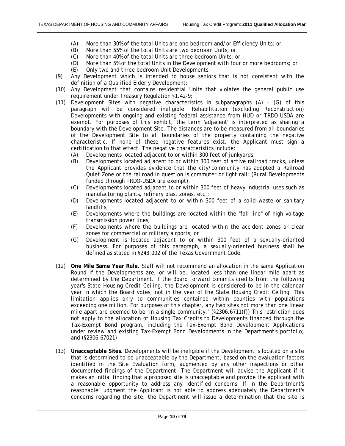- (A) More than 30% of the total Units are one bedroom and/or Efficiency Units; or
- (B) More than 55% of the total Units are two bedroom Units; or
- (C) More than 40% of the total Units are three bedroom Units; or
- (D) More than 5% of the total Units in the Development with four or more bedrooms; or
- (E) Only two and three bedroom Unit Developments;
- (9) Any Development which is intended to house seniors that is not consistent with the definition of a Qualified Elderly Development;
- (10) Any Development that contains residential Units that violates the general public use requirement under Treasury Regulation §1.42-9;
- (11) Development Sites with negative characteristics in subparagraphs (A) (G) of this paragraph will be considered ineligible. Rehabilitation (excluding Reconstruction) Developments with ongoing and existing federal assistance from HUD or TRDO-USDA are exempt. For purposes of this exhibit, the term 'adjacent' is interpreted as sharing a boundary with the Development Site. The distances are to be measured from all boundaries of the Development Site to all boundaries of the property containing the negative characteristic. If none of these negative features exist, the Applicant must sign a certification to that effect. The negative characteristics include:
	- (A) Developments located adjacent to or within 300 feet of junkyards;
	- (B) Developments located adjacent to or within 300 feet of active railroad tracks, unless the Applicant provides evidence that the city/community has adopted a Railroad Quiet Zone or the railroad in question is commuter or light rail; (Rural Developments funded through TRDO-USDA are exempt);
	- (C) Developments located adjacent to or within 300 feet of heavy industrial uses such as manufacturing plants, refinery blast zones, etc.;
	- (D) Developments located adjacent to or within 300 feet of a solid waste or sanitary landfills;
	- (E) Developments where the buildings are located within the "fall line" of high voltage transmission power lines;
	- (F) Developments where the buildings are located within the accident zones or clear zones for commercial or military airports; or
	- (G) Development is located adjacent to or within 300 feet of a sexually-oriented business. For purposes of this paragraph, a sexually-oriented business shall be defined as stated in §243.002 of the Texas Government Code.
- (12) **One Mile Same Year Rule.** Staff will not recommend an allocation in the same Application Round if the Developments are, or will be, located less than one linear mile apart as determined by the Department. If the Board forward commits credits from the following year's State Housing Credit Ceiling, the Development is considered to be in the calendar year in which the Board votes, not in the year of the State Housing Credit Ceiling. This limitation applies only to communities contained within counties with populations exceeding one million. For purposes of this chapter, any two sites not more than one linear mile apart are deemed to be "in a single community." (§2306.6711(f)) This restriction does not apply to the allocation of Housing Tax Credits to Developments financed through the Tax-Exempt Bond program, including the Tax-Exempt Bond Development Applications under review and existing Tax-Exempt Bond Developments in the Department's portfolio; and (§2306.67021)
- (13) **Unacceptable Sites.** Developments will be ineligible if the Development is located on a site that is determined to be unacceptable by the Department, based on the evaluation factors identified in the Site Evaluation form, augmented by any other inspections or other documented findings of the Department. The Department will advise the Applicant if it makes an initial finding that a proposed site is unacceptable and provide the applicant with a reasonable opportunity to address any identified concerns. If in the Department's reasonable judgment the Applicant is not able to address adequately the Department's concerns regarding the site, the Department will issue a determination that the site is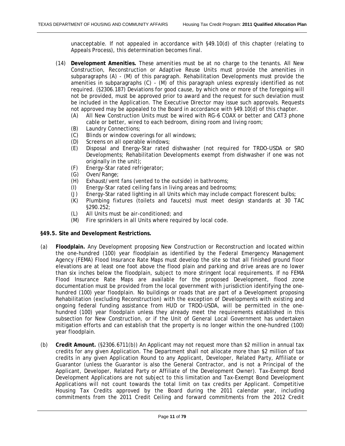<span id="page-10-0"></span>unacceptable. If not appealed in accordance with §49.10(d) of this chapter (relating to Appeals Process), this determination becomes final.

- (14) **Development Amenities.** These amenities must be at no charge to the tenants. All New Construction, Reconstruction or Adaptive Reuse Units must provide the amenities in subparagraphs (A) - (M) of this paragraph. Rehabilitation Developments must provide the amenities in subparagraphs (C) - (M) of this paragraph unless expressly identified as not required. (§2306.187) Deviations for good cause, by which one or more of the foregoing will not be provided, must be approved prior to award and the request for such deviation must be included in the Application. The Executive Director may issue such approvals. Requests not approved may be appealed to the Board in accordance with §49.10(d) of this chapter.
	- (A) All New Construction Units must be wired with RG-6 COAX or better and CAT3 phone cable or better, wired to each bedroom, dining room and living room;
	- (B) Laundry Connections;
	- (C) Blinds or window coverings for all windows;
	- (D) Screens on all operable windows;
	- (E) Disposal and Energy-Star rated dishwasher (not required for TRDO-USDA or SRO Developments; Rehabilitation Developments exempt from dishwasher if one was not originally in the unit);
	- (F) Energy-Star rated refrigerator;
	- (G) Oven/Range;
	- (H) Exhaust/vent fans (vented to the outside) in bathrooms;
	- (I) Energy-Star rated ceiling fans in living areas and bedrooms;
	- (J) Energy-Star rated lighting in all Units which may include compact florescent bulbs;
	- (K) Plumbing fixtures (toilets and faucets) must meet design standards at 30 TAC §290.252;
	- (L) All Units must be air-conditioned; and
	- (M) Fire sprinklers in all Units where required by local code.

#### **§49.5. Site and Development Restrictions.**

- (a) **Floodplain.** Any Development proposing New Construction or Reconstruction and located within the one-hundred (100) year floodplain as identified by the Federal Emergency Management Agency (FEMA) Flood Insurance Rate Maps must develop the site so that all finished ground floor elevations are at least one foot above the flood plain and parking and drive areas are no lower than six inches below the floodplain, subject to more stringent local requirements. If no FEMA Flood Insurance Rate Maps are available for the proposed Development, flood zone documentation must be provided from the local government with jurisdiction identifying the onehundred (100) year floodplain. No buildings or roads that are part of a Development proposing Rehabilitation (excluding Reconstruction) with the exception of Developments with existing and ongoing federal funding assistance from HUD or TRDO-USDA, will be permitted in the onehundred (100) year floodplain unless they already meet the requirements established in this subsection for New Construction, or if the Unit of General Local Government has undertaken mitigation efforts and can establish that the property is no longer within the one-hundred (100) year floodplain.
- (b) **Credit Amount.** (§2306.6711(b)) An Applicant may not request more than \$2 million in annual tax credits for any given Application. The Department shall not allocate more than \$2 million of tax credits in any given Application Round to any Applicant, Developer, Related Party, Affiliate or Guarantor (unless the Guarantor is also the General Contractor, and is not a Principal of the Applicant, Developer, Related Party or Affiliate of the Development Owner). Tax-Exempt Bond Development Applications are not subject to this limitation and Tax-Exempt Bond Development Applications will not count towards the total limit on tax credits per Applicant. Competitive Housing Tax Credits approved by the Board during the 2011 calendar year, including commitments from the 2011 Credit Ceiling and forward commitments from the 2012 Credit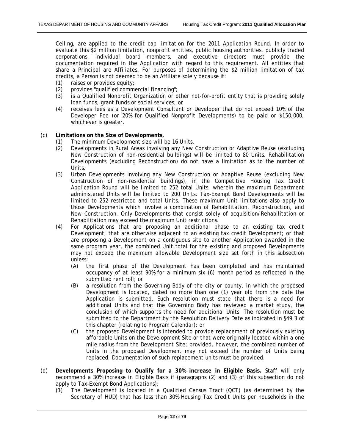Ceiling, are applied to the credit cap limitation for the 2011 Application Round. In order to evaluate this \$2 million limitation, nonprofit entities, public housing authorities, publicly traded corporations, individual board members, and executive directors must provide the documentation required in the Application with regard to this requirement. All entities that share a Principal are Affiliates. For purposes of determining the \$2 million limitation of tax credits, a Person is not deemed to be an Affiliate solely because it:

- (1) raises or provides equity;
- (2) provides "qualified commercial financing";
- (3) is a Qualified Nonprofit Organization or other not-for-profit entity that is providing solely loan funds, grant funds or social services; or
- (4) receives fees as a Development Consultant or Developer that do not exceed 10% of the Developer Fee (or 20% for Qualified Nonprofit Developments) to be paid or \$150,000, whichever is greater.
- (c) **Limitations on the Size of Developments.**
	- (1) The minimum Development size will be 16 Units.
	- (2) Developments in Rural Areas involving any New Construction or Adaptive Reuse (excluding New Construction of non-residential buildings) will be limited to 80 Units. Rehabilitation Developments (excluding Reconstruction) do not have a limitation as to the number of Units.
	- (3) Urban Developments involving any New Construction or Adaptive Reuse (excluding New Construction of non-residential buildings), in the Competitive Housing Tax Credit Application Round will be limited to 252 total Units, wherein the maximum Department administered Units will be limited to 200 Units. Tax-Exempt Bond Developments will be limited to 252 restricted and total Units. These maximum Unit limitations also apply to those Developments which involve a combination of Rehabilitation, Reconstruction, and New Construction. Only Developments that consist solely of acquisition/Rehabilitation or Rehabilitation may exceed the maximum Unit restrictions.
	- (4) For Applications that are proposing an additional phase to an existing tax credit Development; that are otherwise adjacent to an existing tax credit Development; or that are proposing a Development on a contiguous site to another Application awarded in the same program year, the combined Unit total for the existing and proposed Developments may not exceed the maximum allowable Development size set forth in this subsection unless:
		- (A) the first phase of the Development has been completed and has maintained occupancy of at least 90% for a minimum six (6) month period as reflected in the submitted rent roll; or
		- (B) a resolution from the Governing Body of the city or county, in which the proposed Development is located, dated no more than one (1) year old from the date the Application is submitted. Such resolution must state that there is a need for additional Units and that the Governing Body has reviewed a market study, the conclusion of which supports the need for additional Units. The resolution must be submitted to the Department by the Resolution Delivery Date as indicated in §49.3 of this chapter (relating to Program Calendar); or
		- (C) the proposed Development is intended to provide replacement of previously existing affordable Units on the Development Site or that were originally located within a one mile radius from the Development Site; provided, however, the combined number of Units in the proposed Development may not exceed the number of Units being replaced. Documentation of such replacement units must be provided.
- (d) **Developments Proposing to Qualify for a 30% increase in Eligible Basis.** Staff will only recommend a 30% increase in Eligible Basis if (paragraphs (2) and (3) of this subsection do not apply to Tax-Exempt Bond Applications):
	- (1) The Development is located in a Qualified Census Tract (QCT) (as determined by the Secretary of HUD) that has less than 30% Housing Tax Credit Units per households in the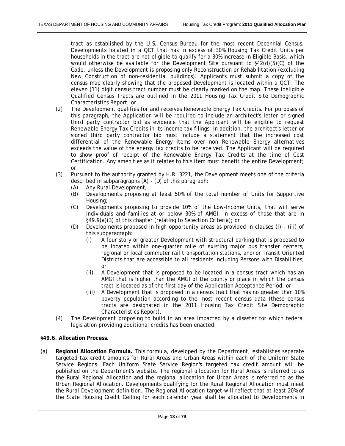<span id="page-12-0"></span>tract as established by the U.S. Census Bureau for the most recent Decennial Census. Developments located in a QCT that has in excess of 30% Housing Tax Credit Units per households in the tract are not eligible to qualify for a 30% increase in Eligible Basis, which would otherwise be available for the Development Site pursuant to §42(d)(5)(C) of the Code, unless the Development is proposing only Reconstruction or Rehabilitation (excluding New Construction of non-residential buildings). Applicants must submit a copy of the census map clearly showing that the proposed Development is located within a QCT. The eleven (11) digit census tract number must be clearly marked on the map. These ineligible Qualified Census Tracts are outlined in the 2011 Housing Tax Credit Site Demographic Characteristics Report; or

- (2) The Development qualifies for and receives Renewable Energy Tax Credits. For purposes of this paragraph, the Application will be required to include an architect's letter or signed third party contractor bid as evidence that the Applicant will be eligible to request Renewable Energy Tax Credits in its income tax filings. In addition, the architect's letter or signed third party contractor bid must include a statement that the increased cost differential of the Renewable Energy items over non Renewable Energy alternatives exceeds the value of the energy tax credits to be received. The Applicant will be required to show proof of receipt of the Renewable Energy Tax Credits at the time of Cost Certification. Any amenities as it relates to this item must benefit the entire Development; or
- (3) Pursuant to the authority granted by H.R. 3221, the Development meets one of the criteria described in subparagraphs (A) - (D) of this paragraph:
	- (A) Any Rural Development;
	- (B) Developments proposing at least 50% of the total number of Units for Supportive Housing;
	- (C) Developments proposing to provide 10% of the Low-Income Units, that will serve individuals and families at or below 30% of AMGI, in excess of those that are in §49.9(a)(3) of this chapter (relating to Selection Criteria); or
	- (D) Developments proposed in high opportunity areas as provided in clauses (i) (iii) of this subparagraph:
		- (i) A four story or greater Development with structural parking that is proposed to be located within one-quarter mile of existing major bus transfer centers, regional or local commuter rail transportation stations, and/or Transit Oriented Districts that are accessible to all residents including Persons with Disabilities; or
		- (ii) A Development that is proposed to be located in a census tract which has an AMGI that is higher than the AMGI of the county or place in which the census tract is located as of the first day of the Application Acceptance Period; or
		- (iii) A Development that is proposed in a census tract that has no greater than 10% poverty population according to the most recent census data (these census tracts are designated in the 2011 Housing Tax Credit Site Demographic Characteristics Report).
- (4) The Development proposing to build in an area impacted by a disaster for which federal legislation providing additional credits has been enacted.

#### **§49.6. Allocation Process.**

(a) **Regional Allocation Formula.** This formula, developed by the Department, establishes separate targeted tax credit amounts for Rural Areas and Urban Areas within each of the Uniform State Service Regions. Each Uniform State Service Region's targeted tax credit amount will be published on the Department's website. The regional allocation for Rural Areas is referred to as the Rural Regional Allocation and the regional allocation for Urban Areas is referred to as the Urban Regional Allocation. Developments qualifying for the Rural Regional Allocation must meet the Rural Development definition. The Regional Allocation target will reflect that at least 20% of the State Housing Credit Ceiling for each calendar year shall be allocated to Developments in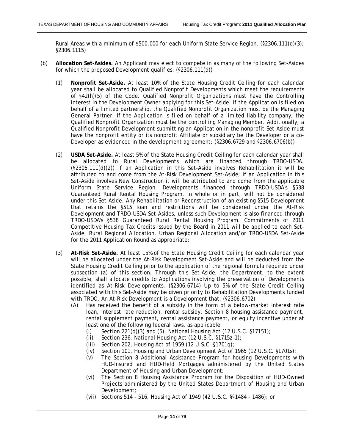Rural Areas with a minimum of \$500,000 for each Uniform State Service Region. (§2306.111(d)(3); §2306.1115)

- (b) **Allocation Set-Asides.** An Applicant may elect to compete in as many of the following Set-Asides for which the proposed Development qualifies: (§2306.111(d))
	- (1) **Nonprofit Set-Aside.** At least 10% of the State Housing Credit Ceiling for each calendar year shall be allocated to Qualified Nonprofit Developments which meet the requirements of §42(h)(5) of the Code. Qualified Nonprofit Organizations must have the Controlling interest in the Development Owner applying for this Set-Aside. If the Application is filed on behalf of a limited partnership, the Qualified Nonprofit Organization must be the Managing General Partner. If the Application is filed on behalf of a limited liability company, the Qualified Nonprofit Organization must be the controlling Managing Member. Additionally, a Qualified Nonprofit Development submitting an Application in the nonprofit Set-Aside must have the nonprofit entity or its nonprofit Affiliate or subsidiary be the Developer or a co-Developer as evidenced in the development agreement; (§2306.6729 and §2306.6706(b))
	- (2) **USDA Set-Aside.** At least 5% of the State Housing Credit Ceiling for each calendar year shall be allocated to Rural Developments which are financed through TRDO-USDA. (§2306.111(d)(2)) If an Application in this Set-Aside involves Rehabilitation it will be attributed to and come from the At-Risk Development Set-Aside; if an Application in this Set-Aside involves New Construction it will be attributed to and come from the applicable Uniform State Service Region. Developments financed through TRDO-USDA's §538 Guaranteed Rural Rental Housing Program, in whole or in part, will not be considered under this Set-Aside. Any Rehabilitation or Reconstruction of an existing §515 Development that retains the §515 loan and restrictions will be considered under the At-Risk Development and TRDO-USDA Set-Asides, unless such Development is also financed through TRDO-USDA's §538 Guaranteed Rural Rental Housing Program. Commitments of 2011 Competitive Housing Tax Credits issued by the Board in 2011 will be applied to each Set-Aside, Rural Regional Allocation, Urban Regional Allocation and/or TRDO-USDA Set-Aside for the 2011 Application Round as appropriate;
	- (3) **At-Risk Set-Aside.** At least 15% of the State Housing Credit Ceiling for each calendar year will be allocated under the At-Risk Development Set-Aside and will be deducted from the State Housing Credit Ceiling prior to the application of the regional formula required under subsection (a) of this section. Through this Set-Aside, the Department, to the extent possible, shall allocate credits to Applications involving the preservation of Developments identified as At-Risk Developments. (§2306.6714) Up to 5% of the State Credit Ceiling associated with this Set-Aside may be given priority to Rehabilitation Developments funded with TRDO. An At-Risk Development is a Development that: (§2306.6702)
		- (A) Has received the benefit of a subsidy in the form of a below-market interest rate loan, interest rate reduction, rental subsidy, Section 8 housing assistance payment, rental supplement payment, rental assistance payment, or equity incentive under at least one of the following federal laws, as applicable:
			- (i) Section 221(d)(3) and (5), National Housing Act (12 U.S.C.  $\S$ 17151);
			- (ii) Section 236, National Housing Act (12 U.S.C. §1715z-1);
			- (iii) Section 202, Housing Act of 1959 (12 U.S.C. §1701q);
			- (iv) Section 101, Housing and Urban Development Act of 1965 (12 U.S.C. §1701s);
			- (v) The Section 8 Additional Assistance Program for housing Developments with HUD-Insured and HUD-Held Mortgages administered by the United States Department of Housing and Urban Development;
			- (vi) The Section 8 Housing Assistance Program for the Disposition of HUD-Owned Projects administered by the United States Department of Housing and Urban Development;
			- (vii) Sections 514 516, Housing Act of 1949 (42 U.S.C. §§1484 1486); or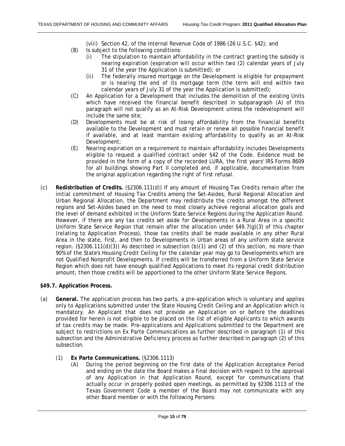(viii) Section 42, of the Internal Revenue Code of 1986 (26 U.S.C. §42); and

- <span id="page-14-0"></span>(B) Is subject to the following conditions:
	- (i) The stipulation to maintain affordability in the contract granting the subsidy is nearing expiration (expiration will occur within two (2) calendar years of July 31 of the year the Application is submitted); or
	- (ii) The federally insured mortgage on the Development is eligible for prepayment or is nearing the end of its mortgage term (the term will end within two calendar years of July 31 of the year the Application is submitted);
- (C) An Application for a Development that includes the demolition of the existing Units which have received the financial benefit described in subparagraph (A) of this paragraph will not qualify as an At-Risk Development unless the redevelopment will include the same site;
- (D) Developments must be at risk of losing affordability from the financial benefits available to the Development and must retain or renew all possible financial benefit if available, and at least maintain existing affordability to qualify as an At-Risk Development;
- (E) Nearing expiration on a requirement to maintain affordability includes Developments eligible to request a qualified contract under §42 of the Code. Evidence must be provided in the form of a copy of the recorded LURA, the first years' IRS Forms 8609 for all buildings showing Part II completed and, if applicable, documentation from the original application regarding the right of first refusal.
- (c) **Redistribution of Credits.** (§2306.111(d)) If any amount of Housing Tax Credits remain after the initial commitment of Housing Tax Credits among the Set-Asides, Rural Regional Allocation and Urban Regional Allocation, the Department may redistribute the credits amongst the different regions and Set-Asides based on the need to most closely achieve regional allocation goals and the level of demand exhibited in the Uniform State Service Regions during the Application Round. However, if there are any tax credits set aside for Developments in a Rural Area in a specific Uniform State Service Region that remain after the allocation under §49.7(g)(3) of this chapter (relating to Application Process), those tax credits shall be made available in any other Rural Area in the state, first, and then to Developments in Urban areas of any uniform state service region. ( $\S 2306.111(d)(3)$ ) As described in subsection (b)(1) and (2) of this section, no more than 90% of the State's Housing Credit Ceiling for the calendar year may go to Developments which are not Qualified Nonprofit Developments. If credits will be transferred from a Uniform State Service Region which does not have enough qualified Applications to meet its regional credit distribution amount, then those credits will be apportioned to the other Uniform State Service Regions.

#### **§49.7. Application Process.**

- (a) **General.** The application process has two parts, a pre-application which is voluntary and applies only to Applications submitted under the State Housing Credit Ceiling and an Application which is mandatory. An Applicant that does not provide an Application on or before the deadlines provided for herein is not eligible to be placed on the list of eligible Applicants to which awards of tax credits may be made. Pre-applications and Applications submitted to the Department are subject to restrictions on Ex Parte Communications as further described in paragraph (1) of this subsection and the Administrative Deficiency process as further described in paragraph (2) of this subsection.
	- (1) **Ex Parte Communications.** (§2306.1113)
		- (A) During the period beginning on the first date of the Application Acceptance Period and ending on the date the Board makes a final decision with respect to the approval of any Application in that Application Round, except for communications that actually occur in properly posted open meetings, as permitted by §2306.1113 of the Texas Government Code a member of the Board may not communicate with any other Board member or with the following Persons: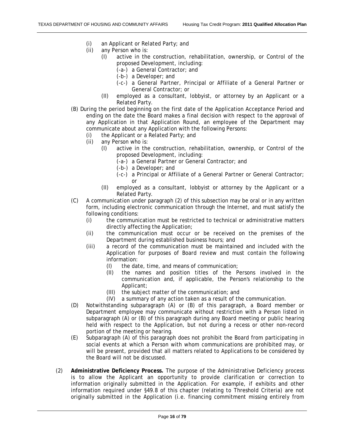- (i) an Applicant or Related Party; and<br>(ii) any Person who is:
- any Person who is:
	- (I) active in the construction, rehabilitation, ownership, or Control of the proposed Development, including:
		- (-a-) a General Contractor; and
		- (-b-) a Developer; and
		- (-c-) a General Partner, Principal or Affiliate of a General Partner or General Contractor; or
	- (II) employed as a consultant, lobbyist, or attorney by an Applicant or a Related Party.
- (B) During the period beginning on the first date of the Application Acceptance Period and ending on the date the Board makes a final decision with respect to the approval of any Application in that Application Round, an employee of the Department may communicate about any Application with the following Persons:
	- (i) the Applicant or a Related Party; and
	- (ii) any Person who is:
		- (I) active in the construction, rehabilitation, ownership, or Control of the proposed Development, including:
			- (-a-) a General Partner or General Contractor; and
			- (-b-) a Developer; and
			- (-c-) a Principal or Affiliate of a General Partner or General Contractor; or
		- (II) employed as a consultant, lobbyist or attorney by the Applicant or a Related Party.
- (C) A communication under paragraph (2) of this subsection may be oral or in any written form, including electronic communication through the Internet, and must satisfy the following conditions:
	- (i) the communication must be restricted to technical or administrative matters directly affecting the Application;
	- (ii) the communication must occur or be received on the premises of the Department during established business hours; and
	- (iii) a record of the communication must be maintained and included with the Application for purposes of Board review and must contain the following information:
		- (I) the date, time, and means of communication;
		- (II) the names and position titles of the Persons involved in the communication and, if applicable, the Person's relationship to the Applicant;
		- (III) the subject matter of the communication; and
		- (IV) a summary of any action taken as a result of the communication.
- (D) Notwithstanding subparagraph (A) or (B) of this paragraph, a Board member or Department employee may communicate without restriction with a Person listed in subparagraph (A) or (B) of this paragraph during any Board meeting or public hearing held with respect to the Application, but not during a recess or other non-record portion of the meeting or hearing.
- (E) Subparagraph (A) of this paragraph does not prohibit the Board from participating in social events at which a Person with whom communications are prohibited may, or will be present, provided that all matters related to Applications to be considered by the Board will not be discussed.
- (2) **Administrative Deficiency Process.** The purpose of the Administrative Deficiency process is to allow the Applicant an opportunity to provide clarification or correction to information originally submitted in the Application. For example, if exhibits and other information required under §49.8 of this chapter (relating to Threshold Criteria) are not originally submitted in the Application (i.e. financing commitment missing entirely from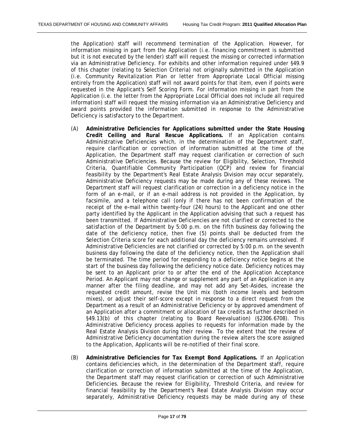the Application) staff will recommend termination of the Application. However, for information missing in part from the Application (i.e. financing commitment is submitted but it is not executed by the lender) staff will request the missing or corrected information via an Administrative Deficiency. For exhibits and other information required under §49.9 of this chapter (relating to Selection Criteria) not originally submitted in the Application (i.e. Community Revitalization Plan or letter from Appropriate Local Official missing entirely from the Application) staff will not award points for that item, even if points were requested in the Applicant's Self Scoring Form. For information missing in part from the Application (i.e. the letter from the Appropriate Local Official does not include all required information) staff will request the missing information via an Administrative Deficiency and award points provided the information submitted in response to the Administrative Deficiency is satisfactory to the Department.

- (A) **Administrative Deficiencies for Applications submitted under the State Housing Credit Ceiling and Rural Rescue Applications.** If an Application contains Administrative Deficiencies which, in the determination of the Department staff, require clarification or correction of information submitted at the time of the Application, the Department staff may request clarification or correction of such Administrative Deficiencies. Because the review for Eligibility, Selection, Threshold Criteria, Quantifiable Community Participation (QCP) and review for financial feasibility by the Department's Real Estate Analysis Division may occur separately, Administrative Deficiency requests may be made during any of these reviews. The Department staff will request clarification or correction in a deficiency notice in the form of an e-mail, or if an e-mail address is not provided in the Application, by facsimile, and a telephone call (only if there has not been confirmation of the receipt of the e-mail within twenty-four (24) hours) to the Applicant and one other party identified by the Applicant in the Application advising that such a request has been transmitted. If Administrative Deficiencies are not clarified or corrected to the satisfaction of the Department by 5:00 p.m. on the fifth business day following the date of the deficiency notice, then five (5) points shall be deducted from the Selection Criteria score for each additional day the deficiency remains unresolved. If Administrative Deficiencies are not clarified or corrected by 5:00 p.m. on the seventh business day following the date of the deficiency notice, then the Application shall be terminated. The time period for responding to a deficiency notice begins at the start of the business day following the deficiency notice date. Deficiency notices may be sent to an Applicant prior to or after the end of the Application Acceptance Period. An Applicant may not change or supplement any part of an Application in any manner after the filing deadline, and may not add any Set-Asides, increase the requested credit amount, revise the Unit mix (both income levels and bedroom mixes), or adjust their self-score except in response to a direct request from the Department as a result of an Administrative Deficiency or by approved amendment of an Application after a commitment or allocation of tax credits as further described in §49.13(b) of this chapter (relating to Board Reevaluation) (§2306.6708). This Administrative Deficiency process applies to requests for information made by the Real Estate Analysis Division during their review. To the extent that the review of Administrative Deficiency documentation during the review alters the score assigned to the Application, Applicants will be re-notified of their final score.
- (B) **Administrative Deficiencies for Tax Exempt Bond Applications.** If an Application contains deficiencies which, in the determination of the Department staff, require clarification or correction of information submitted at the time of the Application, the Department staff may request clarification or correction of such Administrative Deficiencies. Because the review for Eligibility, Threshold Criteria, and review for financial feasibility by the Department's Real Estate Analysis Division may occur separately, Administrative Deficiency requests may be made during any of these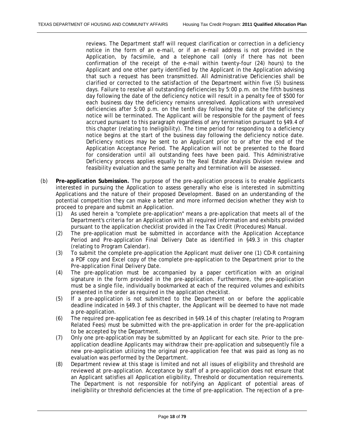reviews. The Department staff will request clarification or correction in a deficiency notice in the form of an e-mail, or if an e-mail address is not provided in the Application, by facsimile, and a telephone call (only if there has not been confirmation of the receipt of the e-mail within twenty-four (24) hours) to the Applicant and one other party identified by the Applicant in the Application advising that such a request has been transmitted. All Administrative Deficiencies shall be clarified or corrected to the satisfaction of the Department within five (5) business days. Failure to resolve all outstanding deficiencies by 5:00 p.m. on the fifth business day following the date of the deficiency notice will result in a penalty fee of \$500 for each business day the deficiency remains unresolved. Applications with unresolved deficiencies after 5:00 p.m. on the tenth day following the date of the deficiency notice will be terminated. The Applicant will be responsible for the payment of fees accrued pursuant to this paragraph regardless of any termination pursuant to §49.4 of this chapter (relating to Ineligibility). The time period for responding to a deficiency notice begins at the start of the business day following the deficiency notice date. Deficiency notices may be sent to an Applicant prior to or after the end of the Application Acceptance Period. The Application will not be presented to the Board for consideration until all outstanding fees have been paid. This Administrative Deficiency process applies equally to the Real Estate Analysis Division review and feasibility evaluation and the same penalty and termination will be assessed.

- (b) **Pre-application Submission.** The purpose of the pre-application process is to enable Applicants interested in pursuing the Application to assess generally who else is interested in submitting Applications and the nature of their proposed Development. Based on an understanding of the potential competition they can make a better and more informed decision whether they wish to proceed to prepare and submit an Application.
	- (1) As used herein a "complete pre-application" means a pre-application that meets all of the Department's criteria for an Application with all required information and exhibits provided pursuant to the application checklist provided in the Tax Credit (Procedures) Manual.
	- (2) The pre-application must be submitted in accordance with the Application Acceptance Period and Pre-application Final Delivery Date as identified in §49.3 in this chapter (relating to Program Calendar).
	- (3) To submit the complete pre-application the Applicant must deliver one (1) CD-R containing a PDF copy and Excel copy of the complete pre-application to the Department prior to the Pre-application Final Delivery Date.
	- (4) The pre-application must be accompanied by a paper certification with an original signature in the form provided in the pre-application. Furthermore, the pre-application must be a single file, individually bookmarked at each of the required volumes and exhibits presented in the order as required in the application checklist.
	- (5) If a pre-application is not submitted to the Department on or before the applicable deadline indicated in §49.3 of this chapter, the Applicant will be deemed to have not made a pre-application.
	- (6) The required pre-application fee as described in §49.14 of this chapter (relating to Program Related Fees) must be submitted with the pre-application in order for the pre-application to be accepted by the Department.
	- (7) Only one pre-application may be submitted by an Applicant for each site. Prior to the preapplication deadline Applicants may withdraw their pre-application and subsequently file a new pre-application utilizing the original pre-application fee that was paid as long as no evaluation was performed by the Department.
	- (8) Department review at this stage is limited and not all issues of eligibility and threshold are reviewed at pre-application. Acceptance by staff of a pre-application does not ensure that an Applicant satisfies all Application eligibility, Threshold or documentation requirements. The Department is not responsible for notifying an Applicant of potential areas of ineligibility or threshold deficiencies at the time of pre-application. The rejection of a pre-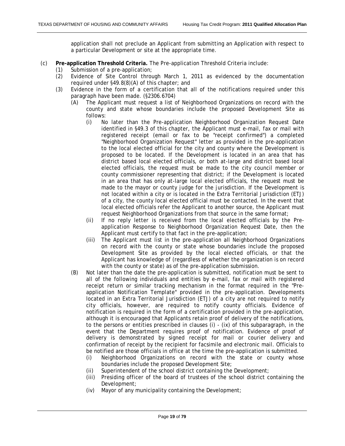application shall not preclude an Applicant from submitting an Application with respect to a particular Development or site at the appropriate time.

- (c) **Pre-application Threshold Criteria.** The Pre-application Threshold Criteria include:
	- (1) Submission of a pre-application;
	- (2) Evidence of Site Control through March 1, 2011 as evidenced by the documentation required under §49.8(8)(A) of this chapter; and
	- (3) Evidence in the form of a certification that all of the notifications required under this paragraph have been made. (§2306.6704)
		- (A) The Applicant must request a list of Neighborhood Organizations on record with the county and state whose boundaries include the proposed Development Site as follows:
			- (i) No later than the Pre-application Neighborhood Organization Request Date identified in §49.3 of this chapter, the Applicant must e-mail, fax or mail with registered receipt (email or fax to be "receipt confirmed") a completed "Neighborhood Organization Request" letter as provided in the pre-application to the local elected official for the city and county where the Development is proposed to be located. If the Development is located in an area that has district based local elected officials, or both at-large and district based local elected officials, the request must be made to the city council member or county commissioner representing that district; if the Development is located in an area that has only at-large local elected officials, the request must be made to the mayor or county judge for the jurisdiction. If the Development is not located within a city or is located in the Extra Territorial Jurisdiction (ETJ) of a city, the county local elected official must be contacted. In the event that local elected officials refer the Applicant to another source, the Applicant must request Neighborhood Organizations from that source in the same format;
			- (ii) If no reply letter is received from the local elected officials by the Preapplication Response to Neighborhood Organization Request Date, then the Applicant must certify to that fact in the pre-application;
			- (iii) The Applicant must list in the pre-application all Neighborhood Organizations on record with the county or state whose boundaries include the proposed Development Site as provided by the local elected officials, or that the Applicant has knowledge of (regardless of whether the organization is on record with the county or state) as of the pre-application submission.
		- (B) Not later than the date the pre-application is submitted, notification must be sent to all of the following individuals and entities by e-mail, fax or mail with registered receipt return or similar tracking mechanism in the format required in the "Preapplication Notification Template" provided in the pre-application. Developments located in an Extra Territorial Jurisdiction (ETJ) of a city are not required to notify city officials, however, are required to notify county officials. Evidence of notification is required in the form of a certification provided in the pre-application, although it is encouraged that Applicants retain proof of delivery of the notifications, to the persons or entities prescribed in clauses (i) - (ix) of this subparagraph, in the event that the Department requires proof of notification. Evidence of proof of delivery is demonstrated by signed receipt for mail or courier delivery and confirmation of receipt by the recipient for facsimile and electronic mail. Officials to be notified are those officials in office at the time the pre-application is submitted.
			- (i) Neighborhood Organizations on record with the state or county whose boundaries include the proposed Development Site;
			- (ii) Superintendent of the school district containing the Development;
			- (iii) Presiding officer of the board of trustees of the school district containing the Development;
			- (iv) Mayor of any municipality containing the Development;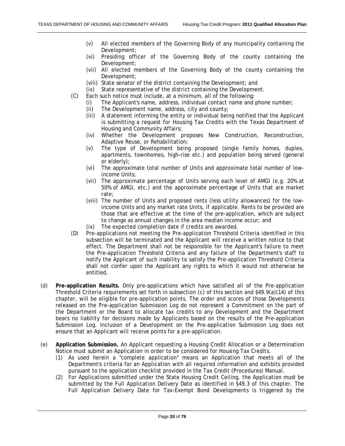- (v) All elected members of the Governing Body of any municipality containing the Development;
- (vi) Presiding officer of the Governing Body of the county containing the Development;
- (vii) All elected members of the Governing Body of the county containing the Development;
- (viii) State senator of the district containing the Development; and
- (ix) State representative of the district containing the Development.
- (C) Each such notice must include, at a minimum, all of the following:
	- (i) The Applicant's name, address, individual contact name and phone number;
	- (ii) The Development name, address, city and county;
	- A statement informing the entity or individual being notified that the Applicant is submitting a request for Housing Tax Credits with the Texas Department of Housing and Community Affairs;
	- (iv) Whether the Development proposes New Construction, Reconstruction, Adaptive Reuse, or Rehabilitation;
	- (v) The type of Development being proposed (single family homes, duplex, apartments, townhomes, high-rise etc.) and population being served (general or elderly);
	- (vi) The approximate total number of Units and approximate total number of lowincome Units;
	- (vii) The approximate percentage of Units serving each level of AMGI (e.g. 20% at 50% of AMGI, etc.) and the approximate percentage of Units that are market rate;
	- (viii) The number of Units and proposed rents (less utility allowances) for the lowincome Units and any market rate Units, if applicable. Rents to be provided are those that are effective at the time of the pre-application, which are subject to change as annual changes in the area median income occur; and
	- (ix) The expected completion date if credits are awarded.
- (D) Pre-applications not meeting the Pre-application Threshold Criteria identified in this subsection will be terminated and the Applicant will receive a written notice to that effect. The Department shall not be responsible for the Applicant's failure to meet the Pre-application Threshold Criteria and any failure of the Department's staff to notify the Applicant of such inability to satisfy the Pre-application Threshold Criteria shall not confer upon the Applicant any rights to which it would not otherwise be entitled.
- (d) **Pre-application Results.** Only pre-applications which have satisfied all of the Pre-application Threshold Criteria requirements set forth in subsection (c) of this section and §49.9(a)(14) of this chapter, will be eligible for pre-application points. The order and scores of those Developments released on the Pre-application Submission Log do not represent a Commitment on the part of the Department or the Board to allocate tax credits to any Development and the Department bears no liability for decisions made by Applicants based on the results of the Pre-application Submission Log. Inclusion of a Development on the Pre-application Submission Log does not ensure that an Applicant will receive points for a pre-application.
- (e) **Application Submission.** An Applicant requesting a Housing Credit Allocation or a Determination Notice must submit an Application in order to be considered for Housing Tax Credits.
	- (1) As used herein a "complete application" means an Application that meets all of the Department's criteria for an Application with all required information and exhibits provided pursuant to the application checklist provided in the Tax Credit (Procedures) Manual.
	- (2) For Applications submitted under the State Housing Credit Ceiling, the Application must be submitted by the Full Application Delivery Date as identified in §49.3 of this chapter. The Full Application Delivery Date for Tax-Exempt Bond Developments is triggered by the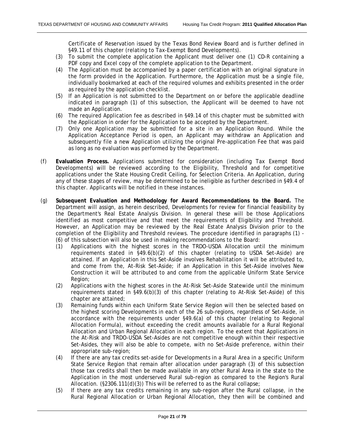Certificate of Reservation issued by the Texas Bond Review Board and is further defined in §49.11 of this chapter (relating to Tax-Exempt Bond Developments).

- (3) To submit the complete application the Applicant must deliver one (1) CD-R containing a PDF copy and Excel copy of the complete application to the Department.
- (4) The Application must be accompanied by a paper certification with an original signature in the form provided in the Application. Furthermore, the Application must be a single file, individually bookmarked at each of the required volumes and exhibits presented in the order as required by the application checklist.
- (5) If an Application is not submitted to the Department on or before the applicable deadline indicated in paragraph (1) of this subsection, the Applicant will be deemed to have not made an Application.
- (6) The required Application fee as described in §49.14 of this chapter must be submitted with the Application in order for the Application to be accepted by the Department.
- (7) Only one Application may be submitted for a site in an Application Round. While the Application Acceptance Period is open, an Applicant may withdraw an Application and subsequently file a new Application utilizing the original Pre-application Fee that was paid as long as no evaluation was performed by the Department.
- (f) **Evaluation Process.** Applications submitted for consideration (including Tax Exempt Bond Developments) will be reviewed according to the Eligibility, Threshold and for competitive applications under the State Housing Credit Ceiling, for Selection Criteria. An Application, during any of these stages of review, may be determined to be ineligible as further described in §49.4 of this chapter. Applicants will be notified in these instances.
- (g) **Subsequent Evaluation and Methodology for Award Recommendations to the Board.** The Department will assign, as herein described, Developments for review for financial feasibility by the Department's Real Estate Analysis Division. In general these will be those Applications identified as most competitive and that meet the requirements of Eligibility and Threshold. However, an Application may be reviewed by the Real Estate Analysis Division prior to the completion of the Eligibility and Threshold reviews. The procedure identified in paragraphs (1) - (6) of this subsection will also be used in making recommendations to the Board:
	- (1) Applications with the highest scores in the TRDO-USDA Allocation until the minimum requirements stated in §49.6(b)(2) of this chapter (relating to USDA Set-Aside) are attained. If an Application in this Set-Aside involves Rehabilitation it will be attributed to, and come from the, At-Risk Set-Aside; if an Application in this Set-Aside involves New Construction it will be attributed to and come from the applicable Uniform State Service Region;
	- (2) Applications with the highest scores in the At-Risk Set-Aside Statewide until the minimum requirements stated in §49.6(b)(3) of this chapter (relating to At-Risk Set-Aside) of this chapter are attained;
	- (3) Remaining funds within each Uniform State Service Region will then be selected based on the highest scoring Developments in each of the 26 sub-regions, regardless of Set-Aside, in accordance with the requirements under §49.6(a) of this chapter (relating to Regional Allocation Formula), without exceeding the credit amounts available for a Rural Regional Allocation and Urban Regional Allocation in each region. To the extent that Applications in the At-Risk and TRDO-USDA Set-Asides are not competitive enough within their respective Set-Asides, they will also be able to compete, with no Set-Aside preference, within their appropriate sub-region;
	- (4) If there are any tax credits set-aside for Developments in a Rural Area in a specific Uniform State Service Region that remain after allocation under paragraph (3) of this subsection those tax credits shall then be made available in any other Rural Area in the state to the Application in the most underserved Rural sub-region as compared to the Region's Rural Allocation. (§2306.111(d)(3)) This will be referred to as the Rural collapse;
	- (5) If there are any tax credits remaining in any sub-region after the Rural collapse, in the Rural Regional Allocation or Urban Regional Allocation, they then will be combined and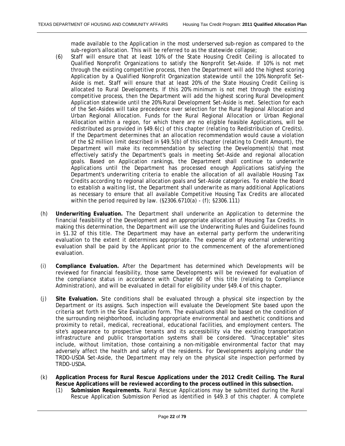made available to the Application in the most underserved sub-region as compared to the sub-region's allocation. This will be referred to as the statewide collapse;

- (6) Staff will ensure that at least 10% of the State Housing Credit Ceiling is allocated to Qualified Nonprofit Organizations to satisfy the Nonprofit Set-Aside. If 10% is not met through the existing competitive process, then the Department will add the highest scoring Application by a Qualified Nonprofit Organization statewide until the 10% Nonprofit Set-Aside is met. Staff will ensure that at least 20% of the State Housing Credit Ceiling is allocated to Rural Developments. If this 20% minimum is not met through the existing competitive process, then the Department will add the highest scoring Rural Development Application statewide until the 20% Rural Development Set-Aside is met. Selection for each of the Set-Asides will take precedence over selection for the Rural Regional Allocation and Urban Regional Allocation. Funds for the Rural Regional Allocation or Urban Regional Allocation within a region, for which there are no eligible feasible Applications, will be redistributed as provided in §49.6(c) of this chapter (relating to Redistribution of Credits). If the Department determines that an allocation recommendation would cause a violation of the \$2 million limit described in §49.5(b) of this chapter (relating to Credit Amount), the Department will make its recommendation by selecting the Development(s) that most effectively satisfy the Department's goals in meeting Set-Aside and regional allocation goals. Based on Application rankings, the Department shall continue to underwrite Applications until the Department has processed enough Applications satisfying the Department's underwriting criteria to enable the allocation of all available Housing Tax Credits according to regional allocation goals and Set-Aside categories. To enable the Board to establish a waiting list, the Department shall underwrite as many additional Applications as necessary to ensure that all available Competitive Housing Tax Credits are allocated within the period required by law. (§2306.6710(a) - (f); §2306.111)
- (h) **Underwriting Evaluation.** The Department shall underwrite an Application to determine the financial feasibility of the Development and an appropriate allocation of Housing Tax Credits. In making this determination, the Department will use the Underwriting Rules and Guidelines found in §1.32 of this title. The Department may have an external party perform the underwriting evaluation to the extent it determines appropriate. The expense of any external underwriting evaluation shall be paid by the Applicant prior to the commencement of the aforementioned evaluation.
- (i) **Compliance Evaluation.** After the Department has determined which Developments will be reviewed for financial feasibility, those same Developments will be reviewed for evaluation of the compliance status in accordance with Chapter 60 of this title (relating to Compliance Administration), and will be evaluated in detail for eligibility under §49.4 of this chapter.
- (j) **Site Evaluation.** Site conditions shall be evaluated through a physical site inspection by the Department or its assigns. Such inspection will evaluate the Development Site based upon the criteria set forth in the Site Evaluation form. The evaluations shall be based on the condition of the surrounding neighborhood, including appropriate environmental and aesthetic conditions and proximity to retail, medical, recreational, educational facilities, and employment centers. The site's appearance to prospective tenants and its accessibility via the existing transportation infrastructure and public transportation systems shall be considered. "Unacceptable" sites include, without limitation, those containing a non-mitigable environmental factor that may adversely affect the health and safety of the residents. For Developments applying under the TRDO-USDA Set-Aside, the Department may rely on the physical site inspection performed by TRDO-USDA.
- (k) **Application Process for Rural Rescue Applications under the 2012 Credit Ceiling. The Rural Rescue Applications will be reviewed according to the process outlined in this subsection.**
	- (1) **Submission Requirements.** Rural Rescue Applications may be submitted during the Rural Rescue Application Submission Period as identified in §49.3 of this chapter. A complete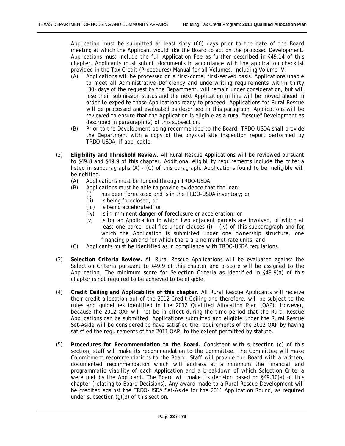Application must be submitted at least sixty (60) days prior to the date of the Board meeting at which the Applicant would like the Board to act on the proposed Development. Applications must include the full Application Fee as further described in §49.14 of this chapter. Applicants must submit documents in accordance with the application checklist provided in the Tax Credit (Procedures) Manual for all Volumes, including Volume IV.

- (A) Applications will be processed on a first-come, first-served basis. Applications unable to meet all Administrative Deficiency and underwriting requirements within thirty (30) days of the request by the Department, will remain under consideration, but will lose their submission status and the next Application in line will be moved ahead in order to expedite those Applications ready to proceed. Applications for Rural Rescue will be processed and evaluated as described in this paragraph. Applications will be reviewed to ensure that the Application is eligible as a rural "rescue" Development as described in paragraph (2) of this subsection.
- (B) Prior to the Development being recommended to the Board, TRDO-USDA shall provide the Department with a copy of the physical site inspection report performed by TRDO-USDA, if applicable.
- (2) **Eligibility and Threshold Review.** All Rural Rescue Applications will be reviewed pursuant to §49.8 and §49.9 of this chapter. Additional eligibility requirements include the criteria listed in subparagraphs (A) - (C) of this paragraph. Applications found to be ineligible will be notified.
	- (A) Applications must be funded through TRDO-USDA;
	- (B) Applications must be able to provide evidence that the loan:
		- (i) has been foreclosed and is in the TRDO-USDA inventory; or
			- (ii) is being foreclosed; or
			- (iii) is being accelerated; or
			- (iv) is in imminent danger of foreclosure or acceleration; or
			- (v) is for an Application in which two adjacent parcels are involved, of which at least one parcel qualifies under clauses (i) - (iv) of this subparagraph and for which the Application is submitted under one ownership structure, one financing plan and for which there are no market rate units; and
	- (C) Applicants must be identified as in compliance with TRDO-USDA regulations.
- (3) **Selection Criteria Review.** All Rural Rescue Applications will be evaluated against the Selection Criteria pursuant to §49.9 of this chapter and a score will be assigned to the Application. The minimum score for Selection Criteria as identified in §49.9(a) of this chapter is not required to be achieved to be eligible.
- (4) **Credit Ceiling and Applicability of this chapter.** All Rural Rescue Applicants will receive their credit allocation out of the 2012 Credit Ceiling and therefore, will be subject to the rules and guidelines identified in the 2012 Qualified Allocation Plan (QAP). However, because the 2012 QAP will not be in effect during the time period that the Rural Rescue Applications can be submitted, Applications submitted and eligible under the Rural Rescue Set-Aside will be considered to have satisfied the requirements of the 2012 QAP by having satisfied the requirements of the 2011 QAP, to the extent permitted by statute.
- (5) **Procedures for Recommendation to the Board.** Consistent with subsection (c) of this section, staff will make its recommendation to the Committee. The Committee will make Commitment recommendations to the Board. Staff will provide the Board with a written, documented recommendation which will address at a minimum the financial and programmatic viability of each Application and a breakdown of which Selection Criteria were met by the Applicant. The Board will make its decision based on §49.10(a) of this chapter (relating to Board Decisions). Any award made to a Rural Rescue Development will be credited against the TRDO-USDA Set-Aside for the 2011 Application Round, as required under subsection (g)(3) of this section.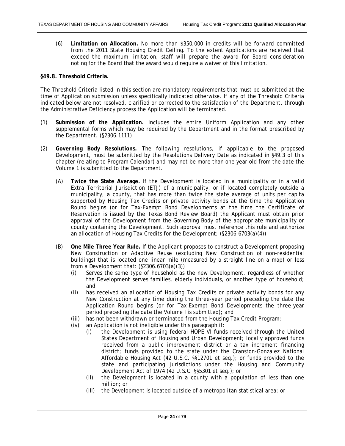<span id="page-23-0"></span>(6) **Limitation on Allocation.** No more than \$350,000 in credits will be forward committed from the 2011 State Housing Credit Ceiling. To the extent Applications are received that exceed the maximum limitation; staff will prepare the award for Board consideration noting for the Board that the award would require a waiver of this limitation.

#### **§49.8. Threshold Criteria.**

The Threshold Criteria listed in this section are mandatory requirements that must be submitted at the time of Application submission unless specifically indicated otherwise. If any of the Threshold Criteria indicated below are not resolved, clarified or corrected to the satisfaction of the Department, through the Administrative Deficiency process the Application will be terminated.

- (1) **Submission of the Application.** Includes the entire Uniform Application and any other supplemental forms which may be required by the Department and in the format prescribed by the Department. (§2306.1111)
- (2) **Governing Body Resolutions.** The following resolutions, if applicable to the proposed Development, must be submitted by the Resolutions Delivery Date as indicated in §49.3 of this chapter (relating to Program Calendar) and may not be more than one year old from the date the Volume 1 is submitted to the Department.
	- (A) **Twice the State Average.** If the Development is located in a municipality or in a valid Extra Territorial Jurisdiction (ETJ) of a municipality, or if located completely outside a municipality, a county, that has more than twice the state average of units per capita supported by Housing Tax Credits or private activity bonds at the time the Application Round begins (or for Tax-Exempt Bond Developments at the time the Certificate of Reservation is issued by the Texas Bond Review Board) the Applicant must obtain prior approval of the Development from the Governing Body of the appropriate municipality or county containing the Development. Such approval must reference this rule and authorize an allocation of Housing Tax Credits for the Development; (§2306.6703(a)(4))
	- (B) **One Mile Three Year Rule.** If the Applicant proposes to construct a Development proposing New Construction or Adaptive Reuse (excluding New Construction of non-residential buildings) that is located one linear mile (measured by a straight line on a map) or less from a Development that: (§2306.6703(a)(3))
		- (i) Serves the same type of household as the new Development, regardless of whether the Development serves families, elderly individuals, or another type of household; and
		- (ii) has received an allocation of Housing Tax Credits or private activity bonds for any New Construction at any time during the three-year period preceding the date the Application Round begins (or for Tax-Exempt Bond Developments the three-year period preceding the date the Volume I is submitted); and
		- (iii) has not been withdrawn or terminated from the Housing Tax Credit Program;
		- (iv) an Application is not ineligible under this paragraph if:
			- (I) the Development is using federal HOPE VI funds received through the United States Department of Housing and Urban Development; locally approved funds received from a public improvement district or a tax increment financing district; funds provided to the state under the Cranston-Gonzalez National Affordable Housing Act (42 U.S.C. §§12701 et seq.); or funds provided to the state and participating jurisdictions under the Housing and Community Development Act of 1974 (42 U.S.C. §§5301 et seq.); or
			- (II) the Development is located in a county with a population of less than one million; or
			- (III) the Development is located outside of a metropolitan statistical area; or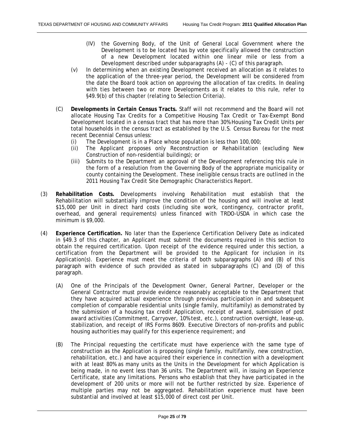- (IV) the Governing Body, of the Unit of General Local Government where the Development is to be located has by vote specifically allowed the construction of a new Development located within one linear mile or less from a Development described under subparagraphs (A) - (C) of this paragraph.
- (v) In determining when an existing Development received an allocation as it relates to the application of the three-year period, the Development will be considered from the date the Board took action on approving the allocation of tax credits. In dealing with ties between two or more Developments as it relates to this rule, refer to §49.9(b) of this chapter (relating to Selection Criteria).
- (C) **Developments in Certain Census Tracts.** Staff will not recommend and the Board will not allocate Housing Tax Credits for a Competitive Housing Tax Credit or Tax-Exempt Bond Development located in a census tract that has more than 30% Housing Tax Credit Units per total households in the census tract as established by the U.S. Census Bureau for the most recent Decennial Census unless:
	- (i) The Development is in a Place whose population is less than 100,000;
	- (ii) The Applicant proposes only Reconstruction or Rehabilitation (excluding New Construction of non-residential buildings); or
	- (iii) Submits to the Department an approval of the Development referencing this rule in the form of a resolution from the Governing Body of the appropriate municipality or county containing the Development. These ineligible census tracts are outlined in the 2011 Housing Tax Credit Site Demographic Characteristics Report.
- (3) **Rehabilitation Costs.** Developments involving Rehabilitation must establish that the Rehabilitation will substantially improve the condition of the housing and will involve at least \$15,000 per Unit in direct hard costs (including site work, contingency, contractor profit, overhead, and general requirements) unless financed with TRDO-USDA in which case the minimum is \$9,000.
- (4) **Experience Certification.** No later than the Experience Certification Delivery Date as indicated in §49.3 of this chapter, an Applicant must submit the documents required in this section to obtain the required certification. Upon receipt of the evidence required under this section, a certification from the Department will be provided to the Applicant for inclusion in its Application(s). Experience must meet the criteria of both subparagraphs (A) and (B) of this paragraph with evidence of such provided as stated in subparagraphs (C) and (D) of this paragraph.
	- (A) One of the Principals of the Development Owner, General Partner, Developer or the General Contractor must provide evidence reasonably acceptable to the Department that they have acquired actual experience through previous participation in and subsequent completion of comparable residential units (single family, multifamily) as demonstrated by the submission of a housing tax credit Application, receipt of award, submission of post award activities (Commitment, Carryover, 10% test, etc.), construction oversight, lease-up, stabilization, and receipt of IRS Forms 8609. Executive Directors of non-profits and public housing authorities may qualify for this experience requirement; and
	- (B) The Principal requesting the certificate must have experience with the same type of construction as the Application is proposing (single family, multifamily, new construction, rehabilitation, etc.) and have acquired their experience in connection with a development with at least 80% as many units as the Units in the Development for which Application is being made, in no event less than 36 units. The Department will, in issuing an Experience Certificate, state any limitations. Persons who establish that they have participated in the development of 200 units or more will not be further restricted by size. Experience of multiple parties may not be aggregated. Rehabilitation experience must have been substantial and involved at least \$15,000 of direct cost per Unit.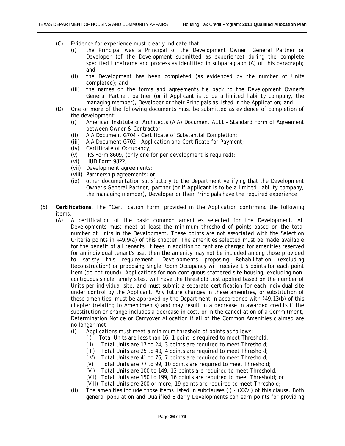- (C) Evidence for experience must clearly indicate that:
	- (i) the Principal was a Principal of the Development Owner, General Partner or Developer (of the Development submitted as experience) during the complete specified timeframe and process as identified in subparagraph (A) of this paragraph; and
	- (ii) the Development has been completed (as evidenced by the number of Units completed); and
	- (iii) the names on the forms and agreements tie back to the Development Owner's General Partner, partner (or if Applicant is to be a limited liability company, the managing member), Developer or their Principals as listed in the Application; and
- (D) One or more of the following documents must be submitted as evidence of completion of the development:
	- (i) American Institute of Architects (AIA) Document A111 Standard Form of Agreement between Owner & Contractor;
	- (ii) AIA Document G704 Certificate of Substantial Completion;
	- (iii) AIA Document G702 Application and Certificate for Payment;
	- (iv) Certificate of Occupancy;
	- (v) IRS Form 8609, (only one for per development is required);
	- (vi) HUD Form 9822;
	- (vii) Development agreements;
	- (viii) Partnership agreements; or
	- (ix) other documentation satisfactory to the Department verifying that the Development Owner's General Partner, partner (or if Applicant is to be a limited liability company, the managing member), Developer or their Principals have the required experience.
- (5) **Certifications.** The "Certification Form" provided in the Application confirming the following items:
	- (A) A certification of the basic common amenities selected for the Development. All Developments must meet at least the minimum threshold of points based on the total number of Units in the Development. These points are not associated with the Selection Criteria points in §49.9(a) of this chapter. The amenities selected must be made available for the benefit of all tenants. If fees in addition to rent are charged for amenities reserved for an individual tenant's use, then the amenity may not be included among those provided to satisfy this requirement. Developments proposing Rehabilitation (excluding Reconstruction) or proposing Single Room Occupancy will receive 1.5 points for each point item (do not round). Applications for non-contiguous scattered site housing, excluding noncontiguous single family sites, will have the threshold test applied based on the number of Units per individual site, and must submit a separate certification for each individual site under control by the Applicant. Any future changes in these amenities, or substitution of these amenities, must be approved by the Department in accordance with §49.13(b) of this chapter (relating to Amendments) and may result in a decrease in awarded credits if the substitution or change includes a decrease in cost, or in the cancellation of a Commitment, Determination Notice or Carryover Allocation if all of the Common Amenities claimed are no longer met.
		- (i) Applications must meet a minimum threshold of points as follows:
			- (I) Total Units are less than 16, 1 point is required to meet Threshold;
			- (II) Total Units are 17 to 24, 3 points are required to meet Threshold;<br>(III) Total Units are 25 to 40, 4 points are required to meet Threshold;
			- Total Units are 25 to 40, 4 points are required to meet Threshold;
			- (IV) Total Units are 41 to 76, 7 points are required to meet Threshold;
			- (V) Total Units are 77 to 99, 10 points are required to meet Threshold;
			- (VI) Total Units are 100 to 149, 13 points are required to meet Threshold;
			- (VII) Total Units are 150 to 199, 16 points are required to meet Threshold; or
			- (VIII) Total Units are 200 or more, 19 points are required to meet Threshold;
		- (ii) The amenities include those items listed in subclauses (I) (XXVI) of this clause. Both general population and Qualified Elderly Developments can earn points for providing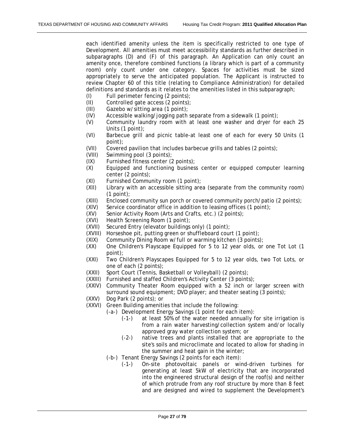each identified amenity unless the item is specifically restricted to one type of Development. All amenities must meet accessibility standards as further described in subparagraphs (D) and (F) of this paragraph. An Application can only count an amenity once, therefore combined functions (a library which is part of a community room) only count under one category. Spaces for activities must be sized appropriately to serve the anticipated population. The Applicant is instructed to review Chapter 60 of this title (relating to Compliance Administration) for detailed definitions and standards as it relates to the amenities listed in this subparagraph;

- (I) Full perimeter fencing (2 points);
- (II) Controlled gate access (2 points);
- (III) Gazebo w/sitting area (1 point);
- $(IV)$  Accessible walking/jogging path separate from a sidewalk  $(1 \text{ point})$ ;
- (V) Community laundry room with at least one washer and dryer for each 25 Units (1 point);
- (VI) Barbecue grill and picnic table-at least one of each for every 50 Units (1 point);
- (VII) Covered pavilion that includes barbecue grills and tables (2 points);
- (VIII) Swimming pool (3 points);
- (IX) Furnished fitness center (2 points);
- (X) Equipped and functioning business center or equipped computer learning center (2 points);
- (XI) Furnished Community room (1 point);
- (XII) Library with an accessible sitting area (separate from the community room) (1 point);
- (XIII) Enclosed community sun porch or covered community porch/patio (2 points);
- (XIV) Service coordinator office in addition to leasing offices (1 point);
- (XV) Senior Activity Room (Arts and Crafts, etc.) (2 points);<br>(XVI) Health Screening Room (1 point);
- (XVI) Health Screening Room (1 point);<br>(XVII) Secured Entry (elevator buildings
- Secured Entry (elevator buildings only) (1 point);
- (XVIII) Horseshoe pit, putting green or shuffleboard court (1 point);
- (XIX) Community Dining Room w/full or warming kitchen (3 points);
- (XX) One Children's Playscape Equipped for 5 to 12 year olds, or one Tot Lot (1 point);
- (XXI) Two Children's Playscapes Equipped for 5 to 12 year olds, two Tot Lots, or one of each (2 points);
- (XXII) Sport Court (Tennis, Basketball or Volleyball) (2 points);
- (XXIII) Furnished and staffed Children's Activity Center (3 points);
- (XXIV) Community Theater Room equipped with a 52 inch or larger screen with surround sound equipment; DVD player; and theater seating (3 points);
- (XXV) Dog Park (2 points); or
- (XXVI) Green Building amenities that include the following:
	- (-a-) Development Energy Savings (1 point for each item):
		- (-1-) at least 50% of the water needed annually for site irrigation is from a rain water harvesting/collection system and/or locally approved gray water collection system; or
		- (-2-) native trees and plants installed that are appropriate to the site's soils and microclimate and located to allow for shading in the summer and heat gain in the winter;
		- (-b-) Tenant Energy Savings (2 points for each item):
			- (-1-) On-site photovoltaic panels or wind-driven turbines for generating at least 5kW of electricity that are incorporated into the engineered structural design of the roof(s) and neither of which protrude from any roof structure by more than 8 feet and are designed and wired to supplement the Development's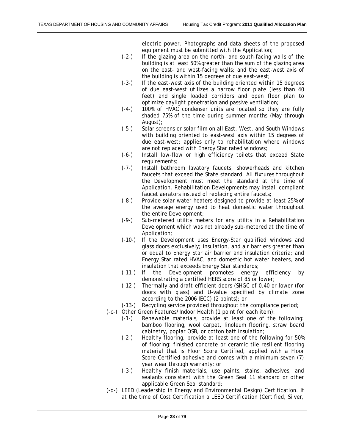electric power. Photographs and data sheets of the proposed equipment must be submitted with the Application;

- (-2-) If the glazing area on the north- and south-facing walls of the building is at least 50% greater than the sum of the glazing area on the east- and west-facing walls; and the east-west axis of the building is within 15 degrees of due east-west;
- (-3-) If the east-west axis of the building oriented within 15 degrees of due east-west utilizes a narrow floor plate (less than 40 feet) and single loaded corridors and open floor plan to optimize daylight penetration and passive ventilation;
- (-4-) 100% of HVAC condenser units are located so they are fully shaded 75% of the time during summer months (May through August);
- (-5-) Solar screens or solar film on all East, West, and South Windows with building oriented to east-west axis within 15 degrees of due east-west; applies only to rehabilitation where windows are not replaced with Energy Star rated windows;
- (-6-) Install low-flow or high efficiency toilets that exceed State requirements;
- (-7-) Install bathroom lavatory faucets, showerheads and kitchen faucets that exceed the State standard. All fixtures throughout the Development must meet the standard at the time of Application. Rehabilitation Developments may install compliant faucet aerators instead of replacing entire faucets;
- (-8-) Provide solar water heaters designed to provide at least 25% of the average energy used to heat domestic water throughout the entire Development;
- (-9-) Sub-metered utility meters for any utility in a Rehabilitation Development which was not already sub-metered at the time of Application;
- (-10-) If the Development uses Energy-Star qualified windows and glass doors exclusively; insulation, and air barriers greater than or equal to Energy Star air barrier and insulation criteria; and Energy Star rated HVAC, and domestic hot water heaters, and insulation that exceeds Energy Star standards;
- (-11-) If the Development promotes energy efficiency by demonstrating a certified HERS score of 85 or lower;
- (-12-) Thermally and draft efficient doors (SHGC of 0.40 or lower (for doors with glass) and U-value specified by climate zone according to the 2006 IECC) (2 points); or
- (-13-) Recycling service provided throughout the compliance period;
- (-c-) Other Green Features/Indoor Health (1 point for each item):
	- (-1-) Renewable materials, provide at least one of the following: bamboo flooring, wool carpet, linoleum flooring, straw board cabinetry, poplar OSB, or cotton batt insulation;
		- (-2-) Healthy flooring, provide at least one of the following for 50% of flooring: finished concrete or ceramic tile resilient flooring material that is Floor Score Certified, applied with a Floor Score Certified adhesive and comes with a minimum seven (7) year wear through warranty; or
		- (-3-) Healthy finish materials, use paints, stains, adhesives, and sealants consistent with the Green Seal 11 standard or other applicable Green Seal standard;
- (-d-) LEED (Leadership in Energy and Environmental Design) Certification. If at the time of Cost Certification a LEED Certification (Certified, Silver,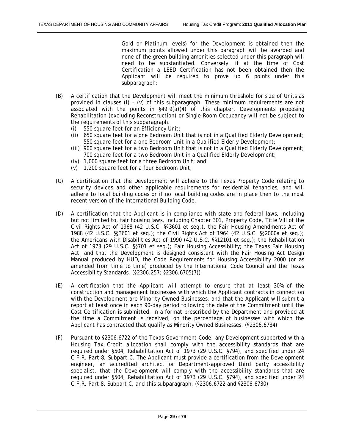Gold or Platinum levels) for the Development is obtained then the maximum points allowed under this paragraph will be awarded and none of the green building amenities selected under this paragraph will need to be substantiated. Conversely, if at the time of Cost Certification a LEED Certification has not been obtained then the Applicant will be required to prove up 6 points under this subparagraph;

- (B) A certification that the Development will meet the minimum threshold for size of Units as provided in clauses (i) - (v) of this subparagraph. These minimum requirements are not associated with the points in  $\S49.9(a)(4)$  of this chapter. Developments proposing Rehabilitation (excluding Reconstruction) or Single Room Occupancy will not be subject to the requirements of this subparagraph.
	- (i) 550 square feet for an Efficiency Unit;
	- (ii) 650 square feet for a one Bedroom Unit that is not in a Qualified Elderly Development; 550 square feet for a one Bedroom Unit in a Qualified Elderly Development;
	- (iii) 900 square feet for a two Bedroom Unit that is not in a Qualified Elderly Development; 700 square feet for a two Bedroom Unit in a Qualified Elderly Development;
	- (iv) 1,000 square feet for a three Bedroom Unit; and
	- (v) 1,200 square feet for a four Bedroom Unit;
- (C) A certification that the Development will adhere to the Texas Property Code relating to security devices and other applicable requirements for residential tenancies, and will adhere to local building codes or if no local building codes are in place then to the most recent version of the International Building Code.
- (D) A certification that the Applicant is in compliance with state and federal laws, including but not limited to, fair housing laws, including Chapter 301, Property Code, Title VIII of the Civil Rights Act of 1968 (42 U.S.C. §§3601 et seq.), the Fair Housing Amendments Act of 1988 (42 U.S.C. §§3601 et seq.); the Civil Rights Act of 1964 (42 U.S.C. §§2000a et seq.); the Americans with Disabilities Act of 1990 (42 U.S.C. §§12101 et seq.); the Rehabilitation Act of 1973 (29 U.S.C. §§701 et seq.); Fair Housing Accessibility; the Texas Fair Housing Act; and that the Development is designed consistent with the Fair Housing Act Design Manual produced by HUD, the Code Requirements for Housing Accessibility 2000 (or as amended from time to time) produced by the International Code Council and the Texas Accessibility Standards. (§2306.257; §2306.6705(7))
- (E) A certification that the Applicant will attempt to ensure that at least 30% of the construction and management businesses with which the Applicant contracts in connection with the Development are Minority Owned Businesses, and that the Applicant will submit a report at least once in each 90-day period following the date of the Commitment until the Cost Certification is submitted, in a format prescribed by the Department and provided at the time a Commitment is received, on the percentage of businesses with which the Applicant has contracted that qualify as Minority Owned Businesses. (§2306.6734)
- (F) Pursuant to §2306.6722 of the Texas Government Code, any Development supported with a Housing Tax Credit allocation shall comply with the accessibility standards that are required under §504, Rehabilitation Act of 1973 (29 U.S.C. §794), and specified under 24 C.F.R. Part 8, Subpart C. The Applicant must provide a certification from the Development engineer, an accredited architect or Department-approved third party accessibility specialist, that the Development will comply with the accessibility standards that are required under §504, Rehabilitation Act of 1973 (29 U.S.C. §794), and specified under 24 C.F.R. Part 8, Subpart C, and this subparagraph. (§2306.6722 and §2306.6730)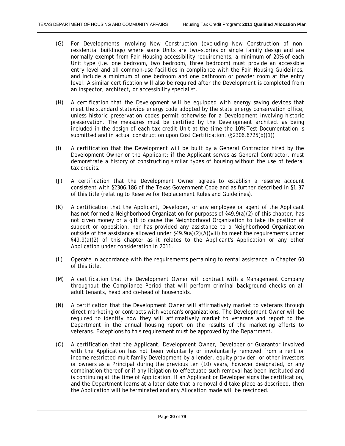- (G) For Developments involving New Construction (excluding New Construction of nonresidential buildings) where some Units are two-stories or single family design and are normally exempt from Fair Housing accessibility requirements, a minimum of 20% of each Unit type (i.e. one bedroom, two bedroom, three bedroom) must provide an accessible entry level and all common-use facilities in compliance with the Fair Housing Guidelines, and include a minimum of one bedroom and one bathroom or powder room at the entry level. A similar certification will also be required after the Development is completed from an inspector, architect, or accessibility specialist.
- (H) A certification that the Development will be equipped with energy saving devices that meet the standard statewide energy code adopted by the state energy conservation office, unless historic preservation codes permit otherwise for a Development involving historic preservation. The measures must be certified by the Development architect as being included in the design of each tax credit Unit at the time the 10% Test Documentation is submitted and in actual construction upon Cost Certification. (§2306.6725(b)(1))
- (I) A certification that the Development will be built by a General Contractor hired by the Development Owner or the Applicant; if the Applicant serves as General Contractor, must demonstrate a history of constructing similar types of housing without the use of federal tax credits.
- (J) A certification that the Development Owner agrees to establish a reserve account consistent with §2306.186 of the Texas Government Code and as further described in §1.37 of this title (relating to Reserve for Replacement Rules and Guidelines).
- (K) A certification that the Applicant, Developer, or any employee or agent of the Applicant has not formed a Neighborhood Organization for purposes of §49.9(a)(2) of this chapter, has not given money or a gift to cause the Neighborhood Organization to take its position of support or opposition, nor has provided any assistance to a Neighborhood Organization outside of the assistance allowed under  $\S$ 49.9(a)(2)(A)(viii) to meet the requirements under §49.9(a)(2) of this chapter as it relates to the Applicant's Application or any other Application under consideration in 2011.
- (L) Operate in accordance with the requirements pertaining to rental assistance in Chapter 60 of this title.
- (M) A certification that the Development Owner will contract with a Management Company throughout the Compliance Period that will perform criminal background checks on all adult tenants, head and co-head of households.
- (N) A certification that the Development Owner will affirmatively market to veterans through direct marketing or contracts with veteran's organizations. The Development Owner will be required to identify how they will affirmatively market to veterans and report to the Department in the annual housing report on the results of the marketing efforts to veterans. Exceptions to this requirement must be approved by the Department.
- (O) A certification that the Applicant, Development Owner, Developer or Guarantor involved with the Application has not been voluntarily or involuntarily removed from a rent or income restricted multifamily Development by a lender, equity provider, or other investors or owners as a Principal during the previous ten (10) years, however designated, or any combination thereof or if any litigation to effectuate such removal has been instituted and is continuing at the time of Application. If an Applicant or Developer signs the certification, and the Department learns at a later date that a removal did take place as described, then the Application will be terminated and any Allocation made will be rescinded.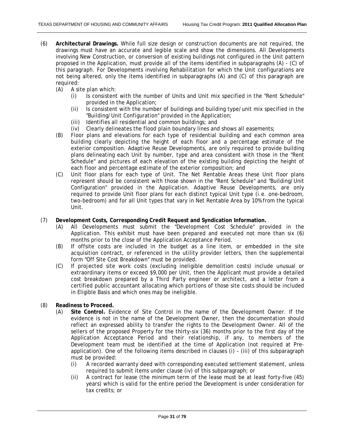- (6) **Architectural Drawings.** While full size design or construction documents are not required, the drawings must have an accurate and legible scale and show the dimensions. All Developments involving New Construction, or conversion of existing buildings not configured in the Unit pattern proposed in the Application, must provide all of the items identified in subparagraphs (A) - (C) of this paragraph. For Developments involving Rehabilitation for which the Unit configurations are not being altered, only the items identified in subparagraphs (A) and (C) of this paragraph are required:
	- (A) A site plan which:
		- (i) Is consistent with the number of Units and Unit mix specified in the "Rent Schedule" provided in the Application;
		- (ii) Is consistent with the number of buildings and building type/unit mix specified in the "Building/Unit Configuration" provided in the Application;
		- (iii) Identifies all residential and common buildings; and
		- (iv) Clearly delineates the flood plain boundary lines and shows all easements;
	- (B) Floor plans and elevations for each type of residential building and each common area building clearly depicting the height of each floor and a percentage estimate of the exterior composition. Adaptive Reuse Developments, are only required to provide building plans delineating each Unit by number, type and area consistent with those in the "Rent Schedule" and pictures of each elevation of the existing building depicting the height of each floor and percentage estimate of the exterior composition; and
	- (C) Unit floor plans for each type of Unit. The Net Rentable Areas these Unit floor plans represent should be consistent with those shown in the "Rent Schedule" and "Building/Unit Configuration" provided in the Application. Adaptive Reuse Developments, are only required to provide Unit floor plans for each distinct typical Unit type (i.e. one-bedroom, two-bedroom) and for all Unit types that vary in Net Rentable Area by 10% from the typical Unit.
- (7) **Development Costs, Corresponding Credit Request and Syndication Information.**
	- (A) All Developments must submit the "Development Cost Schedule" provided in the Application. This exhibit must have been prepared and executed not more than six (6) months prior to the close of the Application Acceptance Period.
	- (B) If offsite costs are included in the budget as a line item, or embedded in the site acquisition contract, or referenced in the utility provider letters, then the supplemental form "Off Site Cost Breakdown" must be provided.
	- (C) If projected site work costs (excluding ineligible demolition costs) include unusual or extraordinary items or exceed \$9,000 per Unit, then the Applicant must provide a detailed cost breakdown prepared by a Third Party engineer or architect, and a letter from a certified public accountant allocating which portions of those site costs should be included in Eligible Basis and which ones may be ineligible.
- (8) **Readiness to Proceed.**
	- (A) **Site Control.** Evidence of Site Control in the name of the Development Owner. If the evidence is not in the name of the Development Owner, then the documentation should reflect an expressed ability to transfer the rights to the Development Owner. All of the sellers of the proposed Property for the thirty-six (36) months prior to the first day of the Application Acceptance Period and their relationship, if any, to members of the Development team must be identified at the time of Application (not required at Preapplication). One of the following items described in clauses (i) - (iii) of this subparagraph must be provided:
		- (i) A recorded warranty deed with corresponding executed settlement statement, unless required to submit items under clause (iv) of this subparagraph; or
		- (ii) A contract for lease (the minimum term of the lease must be at least forty-five (45) years) which is valid for the entire period the Development is under consideration for tax credits; or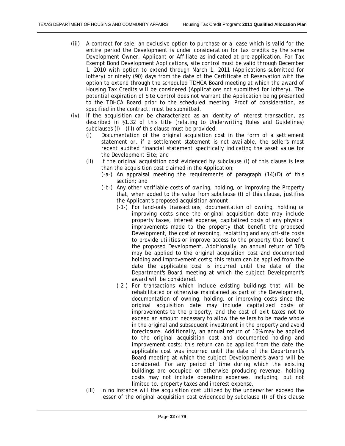- (iii) A contract for sale, an exclusive option to purchase or a lease which is valid for the entire period the Development is under consideration for tax credits by the same Development Owner, Applicant or Affiliate as indicated at pre-application. For Tax Exempt Bond Development Applications, site control must be valid through December 1, 2010 with option to extend through March 1, 2011 (Applications submitted for lottery) or ninety (90) days from the date of the Certificate of Reservation with the option to extend through the scheduled TDHCA Board meeting at which the award of Housing Tax Credits will be considered (Applications not submitted for lottery). The potential expiration of Site Control does not warrant the Application being presented to the TDHCA Board prior to the scheduled meeting. Proof of consideration, as specified in the contract, must be submitted.
- (iv) If the acquisition can be characterized as an identity of interest transaction, as described in §1.32 of this title (relating to Underwriting Rules and Guidelines) subclauses (I) - (III) of this clause must be provided:
	- (I) Documentation of the original acquisition cost in the form of a settlement statement or, if a settlement statement is not available, the seller's most recent audited financial statement specifically indicating the asset value for the Development Site; and
	- (II) If the original acquisition cost evidenced by subclause (I) of this clause is less than the acquisition cost claimed in the Application;
		- (-a-) An appraisal meeting the requirements of paragraph (14)(D) of this section; and
		- (-b-) Any other verifiable costs of owning, holding, or improving the Property that, when added to the value from subclause (I) of this clause, justifies the Applicant's proposed acquisition amount.
			- (-1-) For land-only transactions, documentation of owning, holding or improving costs since the original acquisition date may include property taxes, interest expense, capitalized costs of any physical improvements made to the property that benefit the proposed Development, the cost of rezoning, replatting and any off-site costs to provide utilities or improve access to the property that benefit the proposed Development. Additionally, an annual return of 10% may be applied to the original acquisition cost and documented holding and improvement costs; this return can be applied from the date the applicable cost is incurred until the date of the Department's Board meeting at which the subject Development's award will be considered.
			- (-2-) For transactions which include existing buildings that will be rehabilitated or otherwise maintained as part of the Development, documentation of owning, holding, or improving costs since the original acquisition date may include capitalized costs of improvements to the property, and the cost of exit taxes not to exceed an amount necessary to allow the sellers to be made whole in the original and subsequent investment in the property and avoid foreclosure. Additionally, an annual return of 10% may be applied to the original acquisition cost and documented holding and improvement costs; this return can be applied from the date the applicable cost was incurred until the date of the Department's Board meeting at which the subject Development's award will be considered. For any period of time during which the existing buildings are occupied or otherwise producing revenue, holding costs may not include operating expenses, including, but not limited to, property taxes and interest expense.
	- (III) In no instance will the acquisition cost utilized by the underwriter exceed the lesser of the original acquisition cost evidenced by subclause (I) of this clause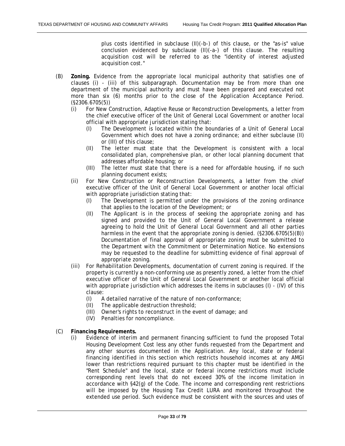plus costs identified in subclause (II)(-b-) of this clause, or the "as-is" value conclusion evidenced by subclause (II)(-a-) of this clause. The resulting acquisition cost will be referred to as the "identity of interest adjusted acquisition cost."

- (B) **Zoning.** Evidence from the appropriate local municipal authority that satisfies one of clauses (i) - (iii) of this subparagraph. Documentation may be from more than one department of the municipal authority and must have been prepared and executed not more than six (6) months prior to the close of the Application Acceptance Period. (§2306.6705(5))
	- (i) For New Construction, Adaptive Reuse or Reconstruction Developments, a letter from the chief executive officer of the Unit of General Local Government or another local official with appropriate jurisdiction stating that:
		- (I) The Development is located within the boundaries of a Unit of General Local Government which does not have a zoning ordinance; and either subclause (II) or (III) of this clause;
		- (II) The letter must state that the Development is consistent with a local consolidated plan, comprehensive plan, or other local planning document that addresses affordable housing; or
		- (III) The letter must state that there is a need for affordable housing, if no such planning document exists;
	- (ii) For New Construction or Reconstruction Developments, a letter from the chief executive officer of the Unit of General Local Government or another local official with appropriate jurisdiction stating that:
		- (I) The Development is permitted under the provisions of the zoning ordinance that applies to the location of the Development; or
		- (II) The Applicant is in the process of seeking the appropriate zoning and has signed and provided to the Unit of General Local Government a release agreeing to hold the Unit of General Local Government and all other parties harmless in the event that the appropriate zoning is denied. (§2306.6705(5)(B)) Documentation of final approval of appropriate zoning must be submitted to the Department with the Commitment or Determination Notice. No extensions may be requested to the deadline for submitting evidence of final approval of appropriate zoning.
	- (iii) For Rehabilitation Developments, documentation of current zoning is required. If the property is currently a non-conforming use as presently zoned, a letter from the chief executive officer of the Unit of General Local Government or another local official with appropriate jurisdiction which addresses the items in subclauses (I) - (IV) of this clause:
		- (I) A detailed narrative of the nature of non-conformance;
		- (II) The applicable destruction threshold;
		- (III) Owner's rights to reconstruct in the event of damage; and
		- (IV) Penalties for noncompliance.
- (C) **Financing Requirements.**
	- (i) Evidence of interim and permanent financing sufficient to fund the proposed Total Housing Development Cost less any other funds requested from the Department and any other sources documented in the Application. Any local, state or federal financing identified in this section which restricts household incomes at any AMGI lower than restrictions required pursuant to this chapter must be identified in the "Rent Schedule" and the local, state or federal income restrictions must include corresponding rent levels that do not exceed 30% of the income limitation in accordance with §42(g) of the Code. The income and corresponding rent restrictions will be imposed by the Housing Tax Credit LURA and monitored throughout the extended use period. Such evidence must be consistent with the sources and uses of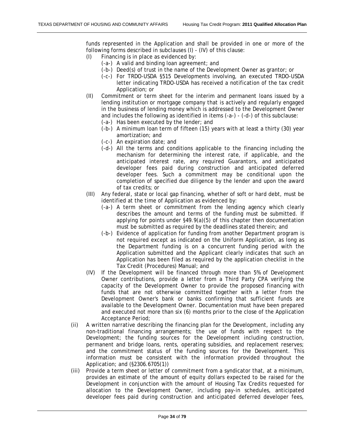funds represented in the Application and shall be provided in one or more of the following forms described in subclauses (I) - (IV) of this clause:

- (I) Financing is in place as evidenced by:
	- (-a-) A valid and binding loan agreement; and
	- (-b-) Deed(s) of trust in the name of the Development Owner as grantor; or
	- (-c-) For TRDO-USDA §515 Developments involving, an executed TRDO-USDA letter indicating TRDO-USDA has received a notification of the tax credit Application; or
- (II) Commitment or term sheet for the interim and permanent loans issued by a lending institution or mortgage company that is actively and regularly engaged in the business of lending money which is addressed to the Development Owner and includes the following as identified in items (-a-) - (-d-) of this subclause:
	- (-a-) Has been executed by the lender; and
	- (-b-) A minimum loan term of fifteen (15) years with at least a thirty (30) year amortization; and
	- (-c-) An expiration date; and
	- (-d-) All the terms and conditions applicable to the financing including the mechanism for determining the interest rate, if applicable, and the anticipated interest rate, any required Guarantors, and anticipated developer fees paid during construction and anticipated deferred developer fees. Such a commitment may be conditional upon the completion of specified due diligence by the lender and upon the award of tax credits; or
- (III) Any federal, state or local gap financing, whether of soft or hard debt, must be identified at the time of Application as evidenced by:
	- (-a-) A term sheet or commitment from the lending agency which clearly describes the amount and terms of the funding must be submitted. If applying for points under §49.9(a)(5) of this chapter then documentation must be submitted as required by the deadlines stated therein; and
	- (-b-) Evidence of application for funding from another Department program is not required except as indicated on the Uniform Application, as long as the Department funding is on a concurrent funding period with the Application submitted and the Applicant clearly indicates that such an Application has been filed as required by the application checklist in the Tax Credit (Procedures) Manual; and
- (IV) If the Development will be financed through more than 5% of Development Owner contributions, provide a letter from a Third Party CPA verifying the capacity of the Development Owner to provide the proposed financing with funds that are not otherwise committed together with a letter from the Development Owner's bank or banks confirming that sufficient funds are available to the Development Owner. Documentation must have been prepared and executed not more than six (6) months prior to the close of the Application Acceptance Period;
- (ii) A written narrative describing the financing plan for the Development, including any non-traditional financing arrangements; the use of funds with respect to the Development; the funding sources for the Development including construction, permanent and bridge loans, rents, operating subsidies, and replacement reserves; and the commitment status of the funding sources for the Development. This information must be consistent with the information provided throughout the Application; and (§2306.6705(1))
- (iii) Provide a term sheet or letter of commitment from a syndicator that, at a minimum, provides an estimate of the amount of equity dollars expected to be raised for the Development in conjunction with the amount of Housing Tax Credits requested for allocation to the Development Owner, including pay-in schedules, anticipated developer fees paid during construction and anticipated deferred developer fees,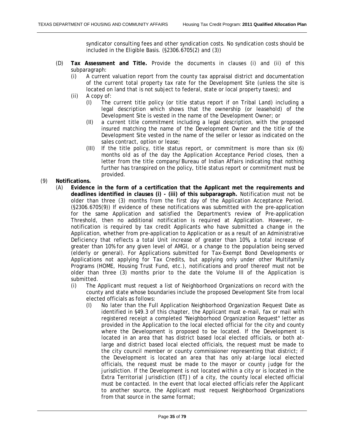syndicator consulting fees and other syndication costs. No syndication costs should be included in the Eligible Basis. (§2306.6705(2) and (3))

- (D) **Tax Assessment and Title.** Provide the documents in clauses (i) and (ii) of this subparagraph:
	- (i) A current valuation report from the county tax appraisal district and documentation of the current total property tax rate for the Development Site (unless the site is located on land that is not subject to federal, state or local property taxes); and
	- (ii) A copy of:
		- (I) The current title policy (or title status report if on Tribal Land) including a legal description which shows that the ownership (or leasehold) of the Development Site is vested in the name of the Development Owner; or
		- (II) a current title commitment including a legal description, with the proposed insured matching the name of the Development Owner and the title of the Development Site vested in the name of the seller or lessor as indicated on the sales contract, option or lease;
		- (III) If the title policy, title status report, or commitment is more than six (6) months old as of the day the Application Acceptance Period closes, then a letter from the title company/Bureau of Indian Affairs indicating that nothing further has transpired on the policy, title status report or commitment must be provided.

### (9) **Notifications.**

- (A) **Evidence in the form of a certification that the Applicant met the requirements and deadlines identified in clauses (i) - (iii) of this subparagraph.** Notification must not be older than three (3) months from the first day of the Application Acceptance Period. (§2306.6705(9)) If evidence of these notifications was submitted with the pre-application for the same Application and satisfied the Department's review of Pre-application Threshold, then no additional notification is required at Application. However, renotification is required by tax credit Applicants who have submitted a change in the Application, whether from pre-application to Application or as a result of an Administrative Deficiency that reflects a total Unit increase of greater than 10%, a total increase of greater than 10% for any given level of AMGI, or a change to the population being served (elderly or general). For Applications submitted for Tax-Exempt Bond Developments or Applications not applying for Tax Credits, but applying only under other Multifamily Programs (HOME, Housing Trust Fund, etc.), notifications and proof thereof must not be older than three (3) months prior to the date the Volume III of the Application is submitted.
	- (i) The Applicant must request a list of Neighborhood Organizations on record with the county and state whose boundaries include the proposed Development Site from local elected officials as follows:
		- (I) No later than the Full Application Neighborhood Organization Request Date as identified in §49.3 of this chapter, the Applicant must e-mail, fax or mail with registered receipt a completed "Neighborhood Organization Request" letter as provided in the Application to the local elected official for the city and county where the Development is proposed to be located. If the Development is located in an area that has district based local elected officials, or both atlarge and district based local elected officials, the request must be made to the city council member or county commissioner representing that district; if the Development is located an area that has only at-large local elected officials, the request must be made to the mayor or county judge for the jurisdiction. If the Development is not located within a city or is located in the Extra Territorial Jurisdiction (ETJ) of a city, the county local elected official must be contacted. In the event that local elected officials refer the Applicant to another source, the Applicant must request Neighborhood Organizations from that source in the same format;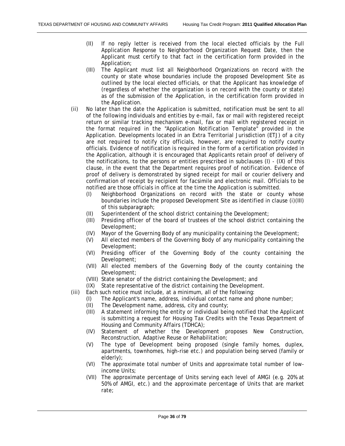- (II) If no reply letter is received from the local elected officials by the Full Application Response to Neighborhood Organization Request Date, then the Applicant must certify to that fact in the certification form provided in the Application;
- (III) The Applicant must list all Neighborhood Organizations on record with the county or state whose boundaries include the proposed Development Site as outlined by the local elected officials, or that the Applicant has knowledge of (regardless of whether the organization is on record with the county or state) as of the submission of the Application, in the certification form provided in the Application.
- (ii) No later than the date the Application is submitted, notification must be sent to all of the following individuals and entities by e-mail, fax or mail with registered receipt return or similar tracking mechanism e-mail, fax or mail with registered receipt in the format required in the "Application Notification Template" provided in the Application. Developments located in an Extra Territorial Jurisdiction (ETJ) of a city are not required to notify city officials, however, are required to notify county officials. Evidence of notification is required in the form of a certification provided in the Application, although it is encouraged that Applicants retain proof of delivery of the notifications, to the persons or entities prescribed in subclauses (I) - (IX) of this clause, in the event that the Department requires proof of notification. Evidence of proof of delivery is demonstrated by signed receipt for mail or courier delivery and confirmation of receipt by recipient for facsimile and electronic mail. Officials to be notified are those officials in office at the time the Application is submitted.
	- (I) Neighborhood Organizations on record with the state or county whose boundaries include the proposed Development Site as identified in clause (i)(III) of this subparagraph;
	- (II) Superintendent of the school district containing the Development;<br>(III) Presiding officer of the board of trustees of the school district c
	- Presiding officer of the board of trustees of the school district containing the Development;
	- (IV) Mayor of the Governing Body of any municipality containing the Development;
	- (V) All elected members of the Governing Body of any municipality containing the Development;
	- (VI) Presiding officer of the Governing Body of the county containing the Development;
	- (VII) All elected members of the Governing Body of the county containing the Development;
	- (VIII) State senator of the district containing the Development; and
	- (IX) State representative of the district containing the Development.
- (iii) Each such notice must include, at a minimum, all of the following:
	- (I) The Applicant's name, address, individual contact name and phone number;
	- (II) The Development name, address, city and county;
	- (III) A statement informing the entity or individual being notified that the Applicant is submitting a request for Housing Tax Credits with the Texas Department of Housing and Community Affairs (TDHCA);
	- (IV) Statement of whether the Development proposes New Construction, Reconstruction, Adaptive Reuse or Rehabilitation;
	- (V) The type of Development being proposed (single family homes, duplex, apartments, townhomes, high-rise etc.) and population being served (family or elderly);
	- (VI) The approximate total number of Units and approximate total number of lowincome Units;
	- (VII) The approximate percentage of Units serving each level of AMGI (e.g. 20% at 50% of AMGI, etc.) and the approximate percentage of Units that are market rate;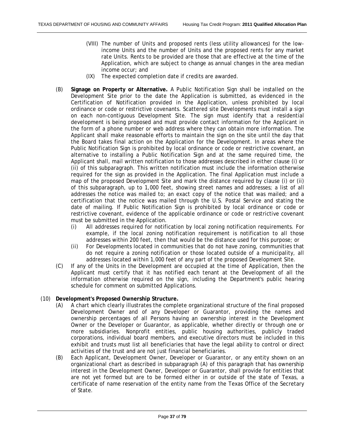- (VIII) The number of Units and proposed rents (less utility allowances) for the lowincome Units and the number of Units and the proposed rents for any market rate Units. Rents to be provided are those that are effective at the time of the Application, which are subject to change as annual changes in the area median income occur; and
- (IX) The expected completion date if credits are awarded.
- (B) **Signage on Property or Alternative.** A Public Notification Sign shall be installed on the Development Site prior to the date the Application is submitted, as evidenced in the Certification of Notification provided in the Application, unless prohibited by local ordinance or code or restrictive covenants. Scattered site Developments must install a sign on each non-contiguous Development Site. The sign must identify that a residential development is being proposed and must provide contact information for the Applicant in the form of a phone number or web address where they can obtain more information. The Applicant shall make reasonable efforts to maintain the sign on the site until the day that the Board takes final action on the Application for the Development. In areas where the Public Notification Sign is prohibited by local ordinance or code or restrictive covenant, an alternative to installing a Public Notification Sign and at the same required time, the Applicant shall, mail written notification to those addresses described in either clause (i) or (ii) of this subparagraph. This written notification must include the information otherwise required for the sign as provided in the Application. The final Application must include a map of the proposed Development Site and mark the distance required by clause (i) or (ii) of this subparagraph, up to 1,000 feet, showing street names and addresses; a list of all addresses the notice was mailed to; an exact copy of the notice that was mailed; and a certification that the notice was mailed through the U.S. Postal Service and stating the date of mailing. If Public Notification Sign is prohibited by local ordinance or code or restrictive covenant, evidence of the applicable ordinance or code or restrictive covenant must be submitted in the Application.
	- (i) All addresses required for notification by local zoning notification requirements. For example, if the local zoning notification requirement is notification to all those addresses within 200 feet, then that would be the distance used for this purpose; or
	- (ii) For Developments located in communities that do not have zoning, communities that do not require a zoning notification or those located outside of a municipality, all addresses located within 1,000 feet of any part of the proposed Development Site.
- (C) If any of the Units in the Development are occupied at the time of Application, then the Applicant must certify that it has notified each tenant at the Development of all the information otherwise required on the sign, including the Department's public hearing schedule for comment on submitted Applications.

### (10) **Development's Proposed Ownership Structure.**

- (A) A chart which clearly illustrates the complete organizational structure of the final proposed Development Owner and of any Developer or Guarantor, providing the names and ownership percentages of all Persons having an ownership interest in the Development Owner or the Developer or Guarantor, as applicable, whether directly or through one or more subsidiaries. Nonprofit entities, public housing authorities, publicly traded corporations, individual board members, and executive directors must be included in this exhibit and trusts must list all beneficiaries that have the legal ability to control or direct activities of the trust and are not just financial beneficiaries.
- (B) Each Applicant, Development Owner, Developer or Guarantor, or any entity shown on an organizational chart as described in subparagraph (A) of this paragraph that has ownership interest in the Development Owner, Developer or Guarantor, shall provide for entities that are not yet formed but are to be formed either in or outside of the state of Texas, a certificate of name reservation of the entity name from the Texas Office of the Secretary of State.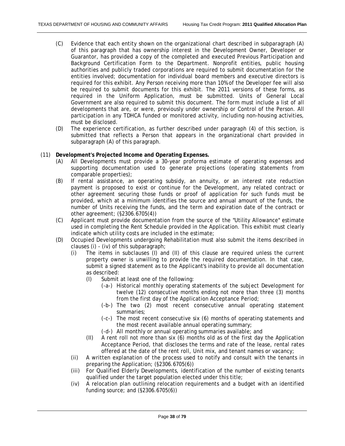- (C) Evidence that each entity shown on the organizational chart described in subparagraph (A) of this paragraph that has ownership interest in the Development Owner, Developer or Guarantor, has provided a copy of the completed and executed Previous Participation and Background Certification Form to the Department. Nonprofit entities, public housing authorities and publicly traded corporations are required to submit documentation for the entities involved; documentation for individual board members and executive directors is required for this exhibit. Any Person receiving more than 10% of the Developer fee will also be required to submit documents for this exhibit. The 2011 versions of these forms, as required in the Uniform Application, must be submitted. Units of General Local Government are also required to submit this document. The form must include a list of all developments that are, or were, previously under ownership or Control of the Person. All participation in any TDHCA funded or monitored activity, including non-housing activities, must be disclosed.
- (D) The experience certification, as further described under paragraph (4) of this section, is submitted that reflects a Person that appears in the organizational chart provided in subparagraph (A) of this paragraph.
- (11) **Development's Projected Income and Operating Expenses.**
	- (A) All Developments must provide a 30-year proforma estimate of operating expenses and supporting documentation used to generate projections (operating statements from comparable properties);
	- (B) If rental assistance, an operating subsidy, an annuity, or an interest rate reduction payment is proposed to exist or continue for the Development, any related contract or other agreement securing those funds or proof of application for such funds must be provided, which at a minimum identifies the source and annual amount of the funds, the number of Units receiving the funds, and the term and expiration date of the contract or other agreement; (§2306.6705(4))
	- (C) Applicant must provide documentation from the source of the "Utility Allowance" estimate used in completing the Rent Schedule provided in the Application. This exhibit must clearly indicate which utility costs are included in the estimate;
	- (D) Occupied Developments undergoing Rehabilitation must also submit the items described in clauses (i) - (iv) of this subparagraph;
		- (i) The items in subclauses (I) and (II) of this clause are required unless the current property owner is unwilling to provide the required documentation. In that case, submit a signed statement as to the Applicant's inability to provide all documentation as described:
			- (I) Submit at least one of the following:
				- (-a-) Historical monthly operating statements of the subject Development for twelve (12) consecutive months ending not more than three (3) months from the first day of the Application Acceptance Period;
				- (-b-) The two (2) most recent consecutive annual operating statement summaries;
				- (-c-) The most recent consecutive six (6) months of operating statements and the most recent available annual operating summary;
				- (-d-) All monthly or annual operating summaries available; and
			- (II) A rent roll not more than six (6) months old as of the first day the Application Acceptance Period, that discloses the terms and rate of the lease, rental rates offered at the date of the rent roll, Unit mix, and tenant names or vacancy;
		- (ii) A written explanation of the process used to notify and consult with the tenants in preparing the Application; (§2306.6705(6))
		- (iii) For Qualified Elderly Developments, identification of the number of existing tenants qualified under the target population elected under this title;
		- (iv) A relocation plan outlining relocation requirements and a budget with an identified funding source; and (§2306.6705(6))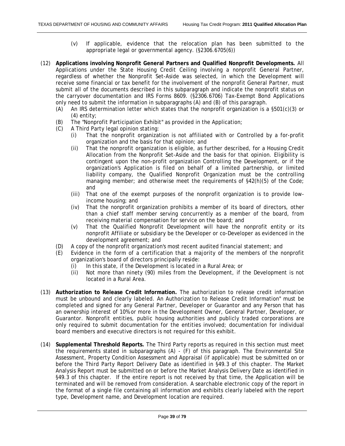- (v) If applicable, evidence that the relocation plan has been submitted to the appropriate legal or governmental agency. (§2306.6705(6))
- (12) **Applications involving Nonprofit General Partners and Qualified Nonprofit Developments.** All Applications under the State Housing Credit Ceiling involving a nonprofit General Partner, regardless of whether the Nonprofit Set-Aside was selected, in which the Development will receive some financial or tax benefit for the involvement of the nonprofit General Partner, must submit all of the documents described in this subparagraph and indicate the nonprofit status on the carryover documentation and IRS Forms 8609. (§2306.6706) Tax-Exempt Bond Applications only need to submit the information in subparagraphs (A) and (B) of this paragraph.
	- (A) An IRS determination letter which states that the nonprofit organization is a  $\S501(c)(3)$  or (4) entity;
	- (B) The "Nonprofit Participation Exhibit" as provided in the Application;
	- (C) A Third Party legal opinion stating:
		- (i) That the nonprofit organization is not affiliated with or Controlled by a for-profit organization and the basis for that opinion; and
		- (ii) That the nonprofit organization is eligible, as further described, for a Housing Credit Allocation from the Nonprofit Set-Aside and the basis for that opinion. Eligibility is contingent upon the non-profit organization Controlling the Development, or if the organization's Application is filed on behalf of a limited partnership, or limited liability company, the Qualified Nonprofit Organization must be the controlling managing member; and otherwise meet the requirements of §42(h)(5) of the Code; and
		- (iii) That one of the exempt purposes of the nonprofit organization is to provide lowincome housing; and
		- (iv) That the nonprofit organization prohibits a member of its board of directors, other than a chief staff member serving concurrently as a member of the board, from receiving material compensation for service on the board; and
		- (v) That the Qualified Nonprofit Development will have the nonprofit entity or its nonprofit Affiliate or subsidiary be the Developer or co-Developer as evidenced in the development agreement; and
	- (D) A copy of the nonprofit organization's most recent audited financial statement; and
	- (E) Evidence in the form of a certification that a majority of the members of the nonprofit organization's board of directors principally reside:
		- (i) In this state, if the Development is located in a Rural Area; or
		- (ii) Not more than ninety (90) miles from the Development, if the Development is not located in a Rural Area.
- (13) **Authorization to Release Credit Information.** The authorization to release credit information must be unbound and clearly labeled. An Authorization to Release Credit Information" must be completed and signed for any General Partner, Developer or Guarantor and any Person that has an ownership interest of 10% or more in the Development Owner, General Partner, Developer, or Guarantor. Nonprofit entities, public housing authorities and publicly traded corporations are only required to submit documentation for the entities involved; documentation for individual board members and executive directors is not required for this exhibit.
- (14) **Supplemental Threshold Reports.** The Third Party reports as required in this section must meet the requirements stated in subparagraphs (A) - (F) of this paragraph. The Environmental Site Assessment, Property Condition Assessment and Appraisal (if applicable) must be submitted on or before the Third Party Report Delivery Date as identified in §49.3 of this chapter. The Market Analysis Report must be submitted on or before the Market Analysis Delivery Date as identified in §49.3 of this chapter. If the entire report is not received by that time, the Application will be terminated and will be removed from consideration. A searchable electronic copy of the report in the format of a single file containing all information and exhibits clearly labeled with the report type, Development name, and Development location are required.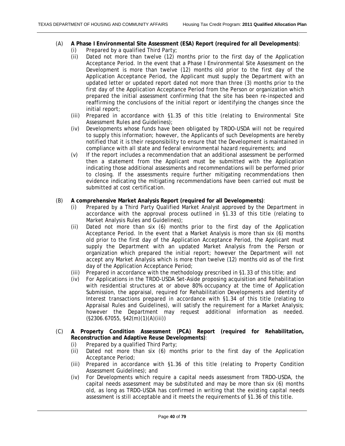- (A) **A Phase I Environmental Site Assessment (ESA) Report (required for all Developments)**:
	- (i) Prepared by a qualified Third Party;
	- (ii) Dated not more than twelve (12) months prior to the first day of the Application Acceptance Period. In the event that a Phase I Environmental Site Assessment on the Development is more than twelve (12) months old prior to the first day of the Application Acceptance Period, the Applicant must supply the Department with an updated letter or updated report dated not more than three (3) months prior to the first day of the Application Acceptance Period from the Person or organization which prepared the initial assessment confirming that the site has been re-inspected and reaffirming the conclusions of the initial report or identifying the changes since the initial report;
	- (iii) Prepared in accordance with §1.35 of this title (relating to Environmental Site Assessment Rules and Guidelines);
	- (iv) Developments whose funds have been obligated by TRDO-USDA will not be required to supply this information; however, the Applicants of such Developments are hereby notified that it is their responsibility to ensure that the Development is maintained in compliance with all state and federal environmental hazard requirements; and
	- (v) If the report includes a recommendation that an additional assessment be performed then a statement from the Applicant must be submitted with the Application indicating those additional assessments and recommendations will be performed prior to closing. If the assessments require further mitigating recommendations then evidence indicating the mitigating recommendations have been carried out must be submitted at cost certification.

## (B) **A comprehensive Market Analysis Report (required for all Developments)**:

- (i) Prepared by a Third Party Qualified Market Analyst approved by the Department in accordance with the approval process outlined in §1.33 of this title (relating to Market Analysis Rules and Guidelines);
- (ii) Dated not more than six (6) months prior to the first day of the Application Acceptance Period. In the event that a Market Analysis is more than six (6) months old prior to the first day of the Application Acceptance Period, the Applicant must supply the Department with an updated Market Analysis from the Person or organization which prepared the initial report; however the Department will not accept any Market Analysis which is more than twelve (12) months old as of the first day of the Application Acceptance Period;
- (iii) Prepared in accordance with the methodology prescribed in §1.33 of this title; and
- (iv) For Applications in the TRDO-USDA Set-Aside proposing acquisition and Rehabilitation with residential structures at or above 80% occupancy at the time of Application Submission, the appraisal, required for Rehabilitation Developments and Identity of Interest transactions prepared in accordance with §1.34 of this title (relating to Appraisal Rules and Guidelines), will satisfy the requirement for a Market Analysis; however the Department may request additional information as needed. (§2306.67055, §42(m)(1)(A)(iii))
- (C) **A Property Condition Assessment (PCA) Report (required for Rehabilitation, Reconstruction and Adaptive Reuse Developments)**:
	- (i) Prepared by a qualified Third Party;
	- (ii) Dated not more than six (6) months prior to the first day of the Application Acceptance Period;
	- (iii) Prepared in accordance with §1.36 of this title (relating to Property Condition Assessment Guidelines); and
	- (iv) For Developments which require a capital needs assessment from TRDO-USDA, the capital needs assessment may be substituted and may be more than six (6) months old, as long as TRDO-USDA has confirmed in writing that the existing capital needs assessment is still acceptable and it meets the requirements of §1.36 of this title.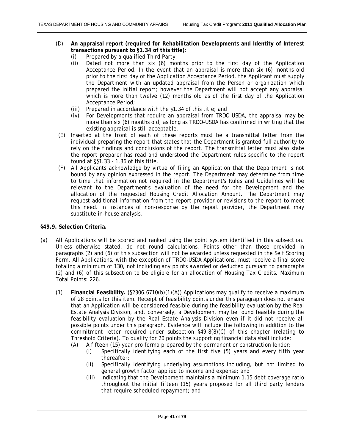- (D) **An appraisal report (required for Rehabilitation Developments and Identity of Interest transactions pursuant to §1.34 of this title)**:
	- (i) Prepared by a qualified Third Party;
	- (ii) Dated not more than six (6) months prior to the first day of the Application Acceptance Period. In the event that an appraisal is more than six (6) months old prior to the first day of the Application Acceptance Period, the Applicant must supply the Department with an updated appraisal from the Person or organization which prepared the initial report; however the Department will not accept any appraisal which is more than twelve (12) months old as of the first day of the Application Acceptance Period;
	- (iii) Prepared in accordance with the §1.34 of this title; and
	- (iv) For Developments that require an appraisal from TRDO-USDA, the appraisal may be more than six (6) months old, as long as TRDO-USDA has confirmed in writing that the existing appraisal is still acceptable.
- (E) Inserted at the front of each of these reports must be a transmittal letter from the individual preparing the report that states that the Department is granted full authority to rely on the findings and conclusions of the report. The transmittal letter must also state the report preparer has read and understood the Department rules specific to the report found at §§1.33 - 1.36 of this title.
- (F) All Applicants acknowledge by virtue of filing an Application that the Department is not bound by any opinion expressed in the report. The Department may determine from time to time that information not required in the Department's Rules and Guidelines will be relevant to the Department's evaluation of the need for the Development and the allocation of the requested Housing Credit Allocation Amount. The Department may request additional information from the report provider or revisions to the report to meet this need. In instances of non-response by the report provider, the Department may substitute in-house analysis.

### **§49.9. Selection Criteria.**

- (a) All Applications will be scored and ranked using the point system identified in this subsection. Unless otherwise stated, do not round calculations. Points other than those provided in paragraphs (2) and (6) of this subsection will not be awarded unless requested in the Self Scoring Form. All Applications, with the exception of TRDO-USDA Applications, must receive a final score totaling a minimum of 130, not including any points awarded or deducted pursuant to paragraphs (2) and (6) of this subsection to be eligible for an allocation of Housing Tax Credits. Maximum Total Points: 226.
	- (1) **Financial Feasibility.** (§2306.6710(b)(1)(A)) Applications may qualify to receive a maximum of 28 points for this item. Receipt of feasibility points under this paragraph does not ensure that an Application will be considered feasible during the feasibility evaluation by the Real Estate Analysis Division, and, conversely, a Development may be found feasible during the feasibility evaluation by the Real Estate Analysis Division even if it did not receive all possible points under this paragraph. Evidence will include the following in addition to the commitment letter required under subsection §49.8(8)(C) of this chapter (relating to Threshold Criteria). To qualify for 20 points the supporting financial data shall include:
		- (A) A fifteen (15) year pro forma prepared by the permanent or construction lender:
			- (i) Specifically identifying each of the first five (5) years and every fifth year thereafter;
			- (ii) Specifically identifying underlying assumptions including, but not limited to general growth factor applied to income and expense; and
			- (iii) Indicating that the Development maintains a minimum 1.15 debt coverage ratio throughout the initial fifteen (15) years proposed for all third party lenders that require scheduled repayment; and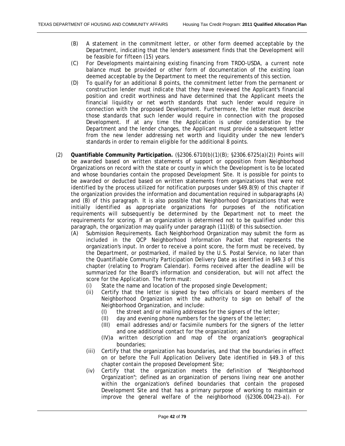- (B) A statement in the commitment letter, or other form deemed acceptable by the Department, indicating that the lender's assessment finds that the Development will be feasible for fifteen (15) years.
- (C) For Developments maintaining existing financing from TRDO-USDA, a current note balance must be provided or other form of documentation of the existing loan deemed acceptable by the Department to meet the requirements of this section.
- (D) To qualify for an additional 8 points, the commitment letter from the permanent or construction lender must indicate that they have reviewed the Applicant's financial position and credit worthiness and have determined that the Applicant meets the financial liquidity or net worth standards that such lender would require in connection with the proposed Development. Furthermore, the letter must describe those standards that such lender would require in connection with the proposed Development. If at any time the Application is under consideration by the Department and the lender changes, the Applicant must provide a subsequent letter from the new lender addressing net worth and liquidity under the new lender's standards in order to remain eligible for the additional 8 points.
- (2) **Quantifiable Community Participation.** (§2306.6710(b)(1)(B); §2306.6725(a)(2)) Points will be awarded based on written statements of support or opposition from Neighborhood Organizations on record with the state or county in which the Development is to be located and whose boundaries contain the proposed Development Site. It is possible for points to be awarded or deducted based on written statements from organizations that were not identified by the process utilized for notification purposes under §49.8(9) of this chapter if the organization provides the information and documentation required in subparagraphs (A) and (B) of this paragraph. It is also possible that Neighborhood Organizations that were initially identified as appropriate organizations for purposes of the notification requirements will subsequently be determined by the Department not to meet the requirements for scoring. If an organization is determined not to be qualified under this paragraph, the organization may qualify under paragraph (11)(B) of this subsection.
	- (A) Submission Requirements. Each Neighborhood Organization may submit the form as included in the QCP Neighborhood Information Packet that represents the organization's input. In order to receive a point score, the form must be received, by the Department, or postmarked, if mailed by the U.S. Postal Service, no later than the Quantifiable Community Participation Delivery Date as identified in §49.3 of this chapter (relating to Program Calendar). Forms received after the deadline will be summarized for the Board's information and consideration, but will not affect the score for the Application. The form must:
		- (i) State the name and location of the proposed single Development;
		- (ii) Certify that the letter is signed by two officials or board members of the Neighborhood Organization with the authority to sign on behalf of the Neighborhood Organization, and include:
			- (I) the street and/or mailing addresses for the signers of the letter;
			- (II) day and evening phone numbers for the signers of the letter;
			- (III) email addresses and/or facsimile numbers for the signers of the letter and one additional contact for the organization; and
			- (IV)a written description and map of the organization's geographical boundaries;
		- (iii) Certify that the organization has boundaries, and that the boundaries in effect on or before the Full Application Delivery Date identified in §49.3 of this chapter contain the proposed Development Site;
		- (iv) Certify that the organization meets the definition of "Neighborhood Organization"; defined as an organization of persons living near one another within the organization's defined boundaries that contain the proposed Development Site and that has a primary purpose of working to maintain or improve the general welfare of the neighborhood (§2306.004(23-a)). For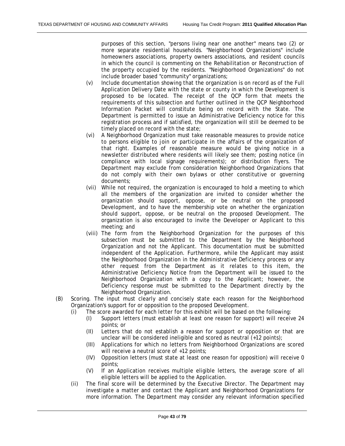purposes of this section, "persons living near one another" means two (2) or more separate residential households. "Neighborhood Organizations" include homeowners associations, property owners associations, and resident councils in which the council is commenting on the Rehabilitation or Reconstruction of the property occupied by the residents. "Neighborhood Organizations" do not include broader based "community" organizations;

- (v) Include documentation showing that the organization is on record as of the Full Application Delivery Date with the state or county in which the Development is proposed to be located. The receipt of the QCP form that meets the requirements of this subsection and further outlined in the QCP Neighborhood Information Packet will constitute being on record with the State. The Department is permitted to issue an Administrative Deficiency notice for this registration process and if satisfied, the organization will still be deemed to be timely placed on record with the state;
- (vi) A Neighborhood Organization must take reasonable measures to provide notice to persons eligible to join or participate in the affairs of the organization of that right. Examples of reasonable measure would be giving notice in a newsletter distributed where residents will likely see them; posting notice (in compliance with local signage requirements); or distribution flyers. The Department may exclude from consideration Neighborhood Organizations that do not comply with their own bylaws or other constitutive or governing documents;
- (vii) While not required, the organization is encouraged to hold a meeting to which all the members of the organization are invited to consider whether the organization should support, oppose, or be neutral on the proposed Development, and to have the membership vote on whether the organization should support, oppose, or be neutral on the proposed Development. The organization is also encouraged to invite the Developer or Applicant to this meeting; and
- (viii) The form from the Neighborhood Organization for the purposes of this subsection must be submitted to the Department by the Neighborhood Organization and not the Applicant. This documentation must be submitted independent of the Application. Furthermore, while the Applicant may assist the Neighborhood Organization in the Administrative Deficiency process or any other request from the Department as it relates to this item, the Administrative Deficiency Notice from the Department will be issued to the Neighborhood Organization with a copy to the Applicant; however, the Deficiency response must be submitted to the Department directly by the Neighborhood Organization.
- (B) Scoring. The input must clearly and concisely state each reason for the Neighborhood Organization's support for or opposition to the proposed Development.
	- (i) The score awarded for each letter for this exhibit will be based on the following:
		- (I) Support letters (must establish at least one reason for support) will receive 24 points; or
		- (II) Letters that do not establish a reason for support or opposition or that are unclear will be considered ineligible and scored as neutral (+12 points);
		- (III) Applications for which no letters from Neighborhood Organizations are scored will receive a neutral score of +12 points;
		- (IV) Opposition letters (must state at least one reason for opposition) will receive 0 points;
		- (V) If an Application receives multiple eligible letters, the average score of all eligible letters will be applied to the Application.
	- (ii) The final score will be determined by the Executive Director. The Department may investigate a matter and contact the Applicant and Neighborhood Organizations for more information. The Department may consider any relevant information specified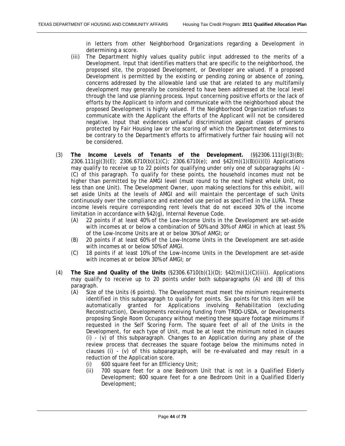in letters from other Neighborhood Organizations regarding a Development in determining a score.

- (iii) The Department highly values quality public input addressed to the merits of a Development. Input that identifies matters that are specific to the neighborhood, the proposed site, the proposed Development, or Developer are valued. If a proposed Development is permitted by the existing or pending zoning or absence of zoning, concerns addressed by the allowable land use that are related to any multifamily development may generally be considered to have been addressed at the local level through the land use planning process. Input concerning positive efforts or the lack of efforts by the Applicant to inform and communicate with the neighborhood about the proposed Development is highly valued. If the Neighborhood Organization refuses to communicate with the Applicant the efforts of the Applicant will not be considered negative. Input that evidences unlawful discrimination against classes of persons protected by Fair Housing law or the scoring of which the Department determines to be contrary to the Department's efforts to affirmatively further fair housing will not be considered.
- (3) **The Income Levels of Tenants of the Development.** (§§2306.111(g)(3)(B); 2306.111(g)(3)(E); 2306.6710(b)(1)(C); 2306.6710(e); and §42(m)(1)(B)(ii)(I)) Applications may qualify to receive up to 22 points for qualifying under only one of subparagraphs (A) - (C) of this paragraph. To qualify for these points, the household incomes must not be higher than permitted by the AMGI level (must round to the next highest whole Unit, no less than one Unit). The Development Owner, upon making selections for this exhibit, will set aside Units at the levels of AMGI and will maintain the percentage of such Units continuously over the compliance and extended use period as specified in the LURA. These income levels require corresponding rent levels that do not exceed 30% of the income limitation in accordance with §42(g), Internal Revenue Code.
	- (A) 22 points if at least 40% of the Low-Income Units in the Development are set-aside with incomes at or below a combination of 50% and 30% of AMGI in which at least 5% of the Low-Income Units are at or below 30% of AMGI; or
	- (B) 20 points if at least 60% of the Low-Income Units in the Development are set-aside with incomes at or below 50% of AMGI.
	- (C) 18 points if at least 10% of the Low-Income Units in the Development are set-aside with incomes at or below 30% of AMGI; or
- (4) **The Size and Quality of the Units** (§2306.6710(b)(1)(D); §42(m)(1)(C)(iii)). Applications may qualify to receive up to 20 points under both subparagraphs (A) and (B) of this paragraph.
	- (A) Size of the Units (6 points). The Development must meet the minimum requirements identified in this subparagraph to qualify for points. Six points for this item will be automatically granted for Applications involving Rehabilitation (excluding Reconstruction), Developments receiving funding from TRDO-USDA, or Developments proposing Single Room Occupancy without meeting these square footage minimums if requested in the Self Scoring Form. The square feet of all of the Units in the Development, for each type of Unit, must be at least the minimum noted in clauses (i) - (v) of this subparagraph. Changes to an Application during any phase of the review process that decreases the square footage below the minimums noted in clauses (i) -  $(v)$  of this subparagraph, will be re-evaluated and may result in a reduction of the Application score.
		- (i) 600 square feet for an Efficiency Unit;
		- (ii) 700 square feet for a one Bedroom Unit that is not in a Qualified Elderly Development; 600 square feet for a one Bedroom Unit in a Qualified Elderly Development;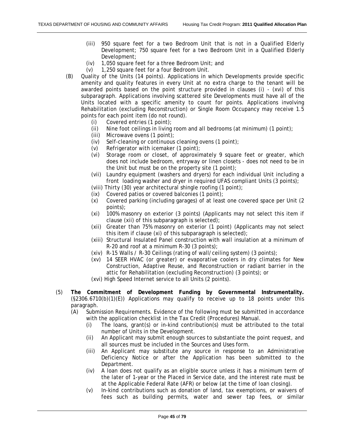- (iii) 950 square feet for a two Bedroom Unit that is not in a Qualified Elderly Development; 750 square feet for a two Bedroom Unit in a Qualified Elderly Development;
- (iv) 1,050 square feet for a three Bedroom Unit; and
- (v) 1,250 square feet for a four Bedroom Unit.
- (B) Quality of the Units (14 points). Applications in which Developments provide specific amenity and quality features in every Unit at no extra charge to the tenant will be awarded points based on the point structure provided in clauses (i) - (xvi) of this subparagraph. Applications involving scattered site Developments must have all of the Units located with a specific amenity to count for points. Applications involving Rehabilitation (excluding Reconstruction) or Single Room Occupancy may receive 1.5 points for each point item (do not round).
	- (i) Covered entries (1 point);
	- (ii) Nine foot ceilings in living room and all bedrooms (at minimum) (1 point);
	- (iii) Microwave ovens (1 point);
	- (iv) Self-cleaning or continuous cleaning ovens (1 point);
	- (v) Refrigerator with icemaker (1 point);
	- (vi) Storage room or closet, of approximately 9 square feet or greater, which does not include bedroom, entryway or linen closets - does not need to be in the Unit but must be on the property site (1 point);
	- (vii) Laundry equipment (washers and dryers) for each individual Unit including a front loading washer and dryer in required UFAS compliant Units (3 points);
	- (viii) Thirty (30) year architectural shingle roofing (1 point);
	- (ix) Covered patios or covered balconies (1 point);
	- (x) Covered parking (including garages) of at least one covered space per Unit (2 points);
	- (xi) 100% masonry on exterior (3 points) (Applicants may not select this item if clause (xii) of this subparagraph is selected);
	- (xii) Greater than 75% masonry on exterior (1 point) (Applicants may not select this item if clause (xi) of this subparagraph is selected);
	- (xiii) Structural Insulated Panel construction with wall insulation at a minimum of R-20 and roof at a minimum R-30 (3 points);
	- (xiv) R-15 Walls / R-30 Ceilings (rating of wall/ceiling system) (3 points);
	- (xv) 14 SEER HVAC (or greater) or evaporative coolers in dry climates for New Construction, Adaptive Reuse, and Reconstruction or radiant barrier in the attic for Rehabilitation (excluding Reconstruction) (3 points); or

(xvi) High Speed Internet service to all Units (2 points).

- (5) **The Commitment of Development Funding by Governmental Instrumentality.**  $(S2306.6710(b)(1)(E))$  Applications may qualify to receive up to 18 points under this paragraph.
	- (A) Submission Requirements. Evidence of the following must be submitted in accordance with the application checklist in the Tax Credit (Procedures) Manual.
		- (i) The loans, grant(s) or in-kind contribution(s) must be attributed to the total number of Units in the Development.
		- (ii) An Applicant may submit enough sources to substantiate the point request, and all sources must be included in the Sources and Uses form.
		- (iii) An Applicant may substitute any source in response to an Administrative Deficiency Notice or after the Application has been submitted to the Department.
		- (iv) A loan does not qualify as an eligible source unless it has a minimum term of the later of 1-year or the Placed in Service date, and the interest rate must be at the Applicable Federal Rate (AFR) or below (at the time of loan closing).
		- (v) In-kind contributions such as donation of land, tax exemptions, or waivers of fees such as building permits, water and sewer tap fees, or similar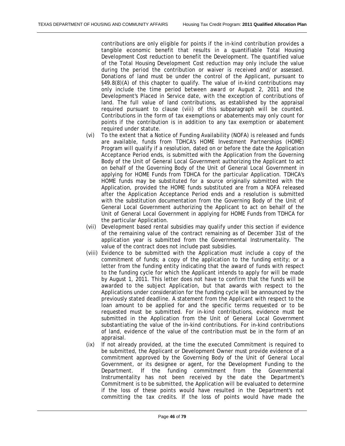contributions are only eligible for points if the in-kind contribution provides a tangible economic benefit that results in a quantifiable Total Housing Development Cost reduction to benefit the Development. The quantified value of the Total Housing Development Cost reduction may only include the value during the period the contribution or waiver is received and/or assessed. Donations of land must be under the control of the Applicant, pursuant to §49.8(8)(A) of this chapter to qualify. The value of in-kind contributions may only include the time period between award or August 2, 2011 and the Development's Placed in Service date, with the exception of contributions of land. The full value of land contributions, as established by the appraisal required pursuant to clause (viii) of this subparagraph will be counted. Contributions in the form of tax exemptions or abatements may only count for points if the contribution is in addition to any tax exemption or abatement required under statute.

- (vi) To the extent that a Notice of Funding Availability (NOFA) is released and funds are available, funds from TDHCA's HOME Investment Partnerships (HOME) Program will qualify if a resolution, dated on or before the date the Application Acceptance Period ends, is submitted with the Application from the Governing Body of the Unit of General Local Government authorizing the Applicant to act on behalf of the Governing Body of the Unit of General Local Government in applying for HOME Funds from TDHCA for the particular Application. TDHCA's HOME funds may be substituted for a source originally submitted with the Application, provided the HOME funds substituted are from a NOFA released after the Application Acceptance Period ends and a resolution is submitted with the substitution documentation from the Governing Body of the Unit of General Local Government authorizing the Applicant to act on behalf of the Unit of General Local Government in applying for HOME Funds from TDHCA for the particular Application.
- (vii) Development based rental subsidies may qualify under this section if evidence of the remaining value of the contract remaining as of December 31st of the application year is submitted from the Governmental Instrumentality. The value of the contract does not include past subsidies.
- (viii) Evidence to be submitted with the Application must include a copy of the commitment of funds; a copy of the application to the funding entity; or a letter from the funding entity indicating that the award of funds with respect to the funding cycle for which the Applicant intends to apply for will be made by August 1, 2011. This letter does not have to confirm that the funds will be awarded to the subject Application, but that awards with respect to the Applications under consideration for the funding cycle will be announced by the previously stated deadline. A statement from the Applicant with respect to the loan amount to be applied for and the specific terms requested or to be requested must be submitted. For in-kind contributions, evidence must be submitted in the Application from the Unit of General Local Government substantiating the value of the in-kind contributions. For in-kind contributions of land, evidence of the value of the contribution must be in the form of an appraisal.
- (ix) If not already provided, at the time the executed Commitment is required to be submitted, the Applicant or Development Owner must provide evidence of a commitment approved by the Governing Body of the Unit of General Local Government, or its designee or agent, for the Development Funding to the Department. If the funding commitment from the Governmental Instrumentality has not been received by the date the Department's Commitment is to be submitted, the Application will be evaluated to determine if the loss of these points would have resulted in the Department's not committing the tax credits. If the loss of points would have made the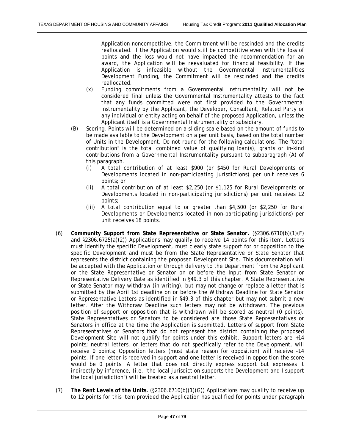Application noncompetitive, the Commitment will be rescinded and the credits reallocated. If the Application would still be competitive even with the loss of points and the loss would not have impacted the recommendation for an award, the Application will be reevaluated for financial feasibility. If the Application is infeasible without the Governmental Instrumentalities Development Funding, the Commitment will be rescinded and the credits reallocated.

- (x) Funding commitments from a Governmental Instrumentality will not be considered final unless the Governmental Instrumentality attests to the fact that any funds committed were not first provided to the Governmental Instrumentality by the Applicant, the Developer, Consultant, Related Party or any individual or entity acting on behalf of the proposed Application, unless the Applicant itself is a Governmental Instrumentality or subsidiary.
- (B) Scoring. Points will be determined on a sliding scale based on the amount of funds to be made available to the Development on a per unit basis, based on the total number of Units in the Development. Do not round for the following calculations. The "total contribution" is the total combined value of qualifying loan(s), grants or in-kind contributions from a Governmental Instrumentality pursuant to subparagraph (A) of this paragraph.
	- (i) A total contribution of at least \$900 (or \$450 for Rural Developments or Developments located in non-participating jurisdictions) per unit receives 6 points; or
	- (ii) A total contribution of at least \$2,250 (or \$1,125 for Rural Developments or Developments located in non-participating jurisdictions) per unit receives 12 points;
	- (iii) A total contribution equal to or greater than \$4,500 (or \$2,250 for Rural Developments or Developments located in non-participating jurisdictions) per unit receives 18 points.
- (6) **Community Support from State Representative or State Senator.** (§2306.6710(b)(1)(F) and §2306.6725(a)(2)) Applications may qualify to receive 14 points for this item. Letters must identify the specific Development, must clearly state support for or opposition to the specific Development and must be from the State Representative or State Senator that represents the district containing the proposed Development Site. This documentation will be accepted with the Application or through delivery to the Department from the Applicant or the State Representative or Senator on or before the Input from State Senator or Representative Delivery Date as identified in §49.3 of this chapter. A State Representative or State Senator may withdraw (in writing), but may not change or replace a letter that is submitted by the April 1st deadline on or before the Withdraw Deadline for State Senator or Representative Letters as identified in §49.3 of this chapter but may not submit a new letter. After the Withdraw Deadline such letters may not be withdrawn. The previous position of support or opposition that is withdrawn will be scored as neutral (0 points). State Representatives or Senators to be considered are those State Representatives or Senators in office at the time the Application is submitted. Letters of support from State Representatives or Senators that do not represent the district containing the proposed Development Site will not qualify for points under this exhibit. Support letters are +14 points; neutral letters, or letters that do not specifically refer to the Development, will receive 0 points; Opposition letters (must state reason for opposition) will receive -14 points. If one letter is received in support and one letter is received in opposition the score would be 0 points. A letter that does not directly express support but expresses it indirectly by inference, (i.e. "the local jurisdiction supports the Development and I support the local jurisdiction") will be treated as a neutral letter.
- (7) T**he Rent Levels of the Units.** (§2306.6710(b)(1)(G)) Applications may qualify to receive up to 12 points for this item provided the Application has qualified for points under paragraph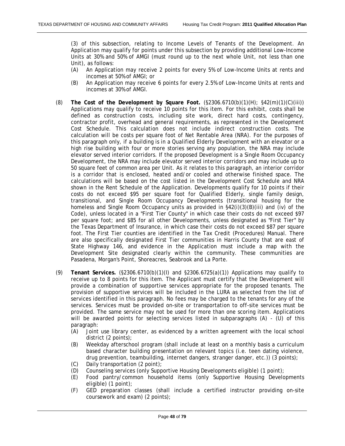(3) of this subsection, relating to Income Levels of Tenants of the Development. An Application may qualify for points under this subsection by providing additional Low-Income Units at 30% and 50% of AMGI (must round up to the next whole Unit, not less than one Unit), as follows:

- (A) An Application may receive 2 points for every 5% of Low-Income Units at rents and incomes at 50% of AMGI; or
- (B) An Application may receive 6 points for every 2.5% of Low-Income Units at rents and incomes at 30% of AMGI.
- (8) **The Cost of the Development by Square Foot.** (§2306.6710(b)(1)(H); §42(m)(1)(C)(iii)) Applications may qualify to receive 10 points for this item. For this exhibit, costs shall be defined as construction costs, including site work, direct hard costs, contingency, contractor profit, overhead and general requirements, as represented in the Development Cost Schedule. This calculation does not include indirect construction costs. The calculation will be costs per square foot of Net Rentable Area (NRA). For the purposes of this paragraph only, if a building is in a Qualified Elderly Development with an elevator or a high rise building with four or more stories serving any population, the NRA may include elevator served interior corridors. If the proposed Development is a Single Room Occupancy Development, the NRA may include elevator served interior corridors and may include up to 50 square feet of common area per Unit. As it relates to this paragraph, an interior corridor is a corridor that is enclosed, heated and/or cooled and otherwise finished space. The calculations will be based on the cost listed in the Development Cost Schedule and NRA shown in the Rent Schedule of the Application. Developments qualify for 10 points if their costs do not exceed \$95 per square foot for Qualified Elderly, single family design, transitional, and Single Room Occupancy Developments (transitional housing for the homeless and Single Room Occupancy units as provided in §42(i)(3)(B)(iii) and (iv) of the Code), unless located in a "First Tier County" in which case their costs do not exceed \$97 per square foot; and \$85 for all other Developments, unless designated as "First Tier" by the Texas Department of Insurance, in which case their costs do not exceed \$87 per square foot. The First Tier counties are identified in the Tax Credit (Procedures) Manual. There are also specifically designated First Tier communities in Harris County that are east of State Highway 146, and evidence in the Application must include a map with the Development Site designated clearly within the community. These communities are Pasadena, Morgan's Point, Shoreacres, Seabrook and La Porte.
- (9) **Tenant Services.** (§2306.6710(b)(1)(I) and §2306.6725(a)(1)) Applications may qualify to receive up to 8 points for this item. The Applicant must certify that the Development will provide a combination of supportive services appropriate for the proposed tenants. The provision of supportive services will be included in the LURA as selected from the list of services identified in this paragraph. No fees may be charged to the tenants for any of the services. Services must be provided on-site or transportation to off-site services must be provided. The same service may not be used for more than one scoring item. Applications will be awarded points for selecting services listed in subparagraphs (A) - (U) of this paragraph:
	- (A) Joint use library center, as evidenced by a written agreement with the local school district (2 points);
	- (B) Weekday afterschool program (shall include at least on a monthly basis a curriculum based character building presentation on relevant topics (i.e. teen dating violence, drug prevention, teambuilding, internet dangers, stranger danger, etc.)) (3 points);
	- (C) Daily transportation (2 point);
	- (D) Counseling services (only Supportive Housing Developments eligible) (1 point);
	- (E) Food pantry/common household items (only Supportive Housing Developments eligible) (1 point);
	- (F) GED preparation classes (shall include a certified instructor providing on-site coursework and exam) (2 points);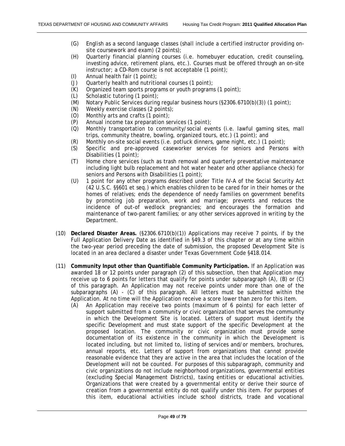- (G) English as a second language classes (shall include a certified instructor providing onsite coursework and exam) (2 points);
- (H) Quarterly financial planning courses (i.e. homebuyer education, credit counseling, investing advice, retirement plans, etc.). Courses must be offered through an on-site instructor; a CD-Rom course is not acceptable (1 point);
- (I) Annual health fair (1 point);
- (J) Quarterly health and nutritional courses (1 point);
- (K) Organized team sports programs or youth programs (1 point);
- (L) Scholastic tutoring (1 point);
- (M) Notary Public Services during regular business hours (§2306.6710(b)(3)) (1 point);
- (N) Weekly exercise classes (2 points);
- (O) Monthly arts and crafts (1 point);
- (P) Annual income tax preparation services (1 point);
- (Q) Monthly transportation to community/social events (i.e. lawful gaming sites, mall trips, community theatre, bowling, organized tours, etc.) (1 point); and
- (R) Monthly on-site social events (i.e. potluck dinners, game night, etc.) (1 point);
- (S) Specific and pre-approved caseworker services for seniors and Persons with Disabilities (1 point);
- (T) Home chore services (such as trash removal and quarterly preventative maintenance including light bulb replacement and hot water heater and other appliance check) for seniors and Persons with Disabilities (1 point);
- (U) 1 point for any other programs described under Title IV-A of the Social Security Act (42 U.S.C. §§601 et seq.) which enables children to be cared for in their homes or the homes of relatives; ends the dependence of needy families on government benefits by promoting job preparation, work and marriage; prevents and reduces the incidence of out-of wedlock pregnancies; and encourages the formation and maintenance of two-parent families; or any other services approved in writing by the Department.
- (10) **Declared Disaster Areas.** (§2306.6710(b)(1)) Applications may receive 7 points, if by the Full Application Delivery Date as identified in §49.3 of this chapter or at any time within the two-year period preceding the date of submission, the proposed Development Site is located in an area declared a disaster under Texas Government Code §418.014.
- (11) **Community Input other than Quantifiable Community Participation.** If an Application was awarded 18 or 12 points under paragraph (2) of this subsection, then that Application may receive up to 6 points for letters that qualify for points under subparagraph (A), (B) or (C) of this paragraph. An Application may not receive points under more than one of the subparagraphs (A) - (C) of this paragraph. All letters must be submitted within the Application. At no time will the Application receive a score lower than zero for this item.
	- (A) An Application may receive two points (maximum of 6 points) for each letter of support submitted from a community or civic organization that serves the community in which the Development Site is located. Letters of support must identify the specific Development and must state support of the specific Development at the proposed location. The community or civic organization must provide some documentation of its existence in the community in which the Development is located including, but not limited to, listing of services and/or members, brochures, annual reports, etc. Letters of support from organizations that cannot provide reasonable evidence that they are active in the area that includes the location of the Development will not be counted. For purposes of this subparagraph, community and civic organizations do not include neighborhood organizations, governmental entities (excluding Special Management Districts), taxing entities or educational activities. Organizations that were created by a governmental entity or derive their source of creation from a governmental entity do not qualify under this item. For purposes of this item, educational activities include school districts, trade and vocational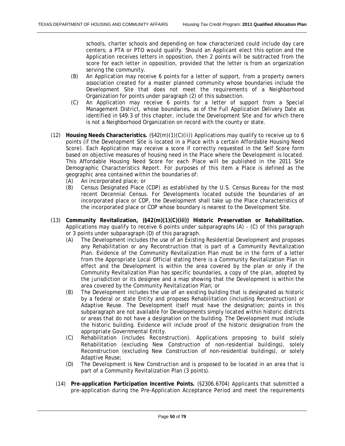schools, charter schools and depending on how characterized could include day care centers; a PTA or PTO would qualify. Should an Applicant elect this option and the Application receives letters in opposition, then 2 points will be subtracted from the score for each letter in opposition, provided that the letter is from an organization serving the community.

- (B) An Application may receive 6 points for a letter of support, from a property owners association created for a master planned community whose boundaries include the Development Site that does not meet the requirements of a Neighborhood Organization for points under paragraph (2) of this subsection.
- (C) An Application may receive 6 points for a letter of support from a Special Management District, whose boundaries, as of the Full Application Delivery Date as identified in §49.3 of this chapter, include the Development Site and for which there is not a Neighborhood Organization on record with the county or state.
- (12) **Housing Needs Characteristics.** (§42(m)(1)(C)(ii)) Applications may qualify to receive up to 6 points (if the Development Site is located in a Place with a certain Affordable Housing Need Score). Each Application may receive a score if correctly requested in the Self Score form based on objective measures of housing need in the Place where the Development is located. This Affordable Housing Need Score for each Place will be published in the 2011 Site Demographic Characteristics Report. For purposes of this item a Place is defined as the geographic area contained within the boundaries of:
	- (A) An incorporated place; or
	- (B) Census Designated Place (CDP) as established by the U.S. Census Bureau for the most recent Decennial Census. For Developments located outside the boundaries of an incorporated place or CDP, the Development shall take up the Place characteristics of the incorporated place or CDP whose boundary is nearest to the Development Site.
- (13) **Community Revitalization, (§42(m)(1)(C)(iii)) Historic Preservation or Rehabilitation.** Applications may qualify to receive 6 points under subparagraphs (A) - (C) of this paragraph or 3 points under subparagraph (D) of this paragraph.
	- (A) The Development includes the use of an Existing Residential Development and proposes any Rehabilitation or any Reconstruction that is part of a Community Revitalization Plan. Evidence of the Community Revitalization Plan must be in the form of a letter from the Appropriate Local Official stating there is a Community Revitalization Plan in effect and the Development is within the area covered by the plan or only if the Community Revitalization Plan has specific boundaries, a copy of the plan, adopted by the jurisdiction or its designee and a map showing that the Development is within the area covered by the Community Revitalization Plan; or
	- (B) The Development includes the use of an existing building that is designated as historic by a federal or state Entity and proposes Rehabilitation (including Reconstruction) or Adaptive Reuse. The Development itself must have the designation; points in this subparagraph are not available for Developments simply located within historic districts or areas that do not have a designation on the building. The Development must include the historic building. Evidence will include proof of the historic designation from the appropriate Governmental Entity.
	- (C) Rehabilitation (includes Reconstruction). Applications proposing to build solely Rehabilitation (excluding New Construction of non-residential buildings), solely Reconstruction (excluding New Construction of non-residential buildings), or solely Adaptive Reuse;
	- (D) The Development is New Construction and is proposed to be located in an area that is part of a Community Revitalization Plan (3 points).
	- (14) **Pre-application Participation Incentive Points.** (§2306.6704) Applicants that submitted a pre-application during the Pre-Application Acceptance Period and meet the requirements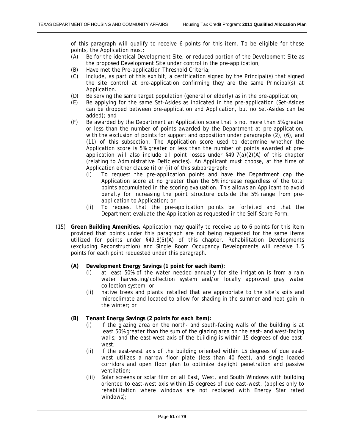of this paragraph will qualify to receive 6 points for this item. To be eligible for these points, the Application must:

- (A) Be for the identical Development Site, or reduced portion of the Development Site as the proposed Development Site under control in the pre-application;
- (B) Have met the Pre-application Threshold Criteria;
- (C) Include, as part of this exhibit, a certification signed by the Principal(s) that signed the site control at pre-application confirming they are the same Principal(s) at Application.
- (D) Be serving the same target population (general or elderly) as in the pre-application;
- (E) Be applying for the same Set-Asides as indicated in the pre-application (Set-Asides can be dropped between pre-application and Application, but no Set-Asides can be added); and
- (F) Be awarded by the Department an Application score that is not more than 5% greater or less than the number of points awarded by the Department at pre-application, with the exclusion of points for support and opposition under paragraphs (2), (6), and (11) of this subsection. The Application score used to determine whether the Application score is 5% greater or less than the number of points awarded at preapplication will also include all point losses under §49.7(a)(2)(A) of this chapter (relating to Administrative Deficiencies). An Applicant must choose, at the time of Application either clause (i) or (ii) of this subparagraph:
	- (i) To request the pre-application points and have the Department cap the Application score at no greater than the 5% increase regardless of the total points accumulated in the scoring evaluation. This allows an Applicant to avoid penalty for increasing the point structure outside the 5% range from preapplication to Application; or
	- (ii) To request that the pre-application points be forfeited and that the Department evaluate the Application as requested in the Self-Score Form.
- (15) **Green Building Amenities.** Application may qualify to receive up to 6 points for this item provided that points under this paragraph are not being requested for the same items utilized for points under §49.8(5)(A) of this chapter. Rehabilitation Developments (excluding Reconstruction) and Single Room Occupancy Developments will receive 1.5 points for each point requested under this paragraph.
	- **(A) Development Energy Savings (1 point for each item):** 
		- (i) at least 50% of the water needed annually for site irrigation is from a rain water harvesting/collection system and/or locally approved gray water collection system; or
		- (ii) native trees and plants installed that are appropriate to the site's soils and microclimate and located to allow for shading in the summer and heat gain in the winter; or
	- **(B) Tenant Energy Savings (2 points for each item):** 
		- (i) If the glazing area on the north- and south-facing walls of the building is at least 50% greater than the sum of the glazing area on the east- and west-facing walls; and the east-west axis of the building is within 15 degrees of due eastwest;
		- (ii) If the east-west axis of the building oriented within 15 degrees of due eastwest utilizes a narrow floor plate (less than 40 feet), and single loaded corridors and open floor plan to optimize daylight penetration and passive ventilation;
		- (iii) Solar screens or solar film on all East, West, and South Windows with building oriented to east-west axis within 15 degrees of due east-west, (applies only to rehabilitation where windows are not replaced with Energy Star rated windows);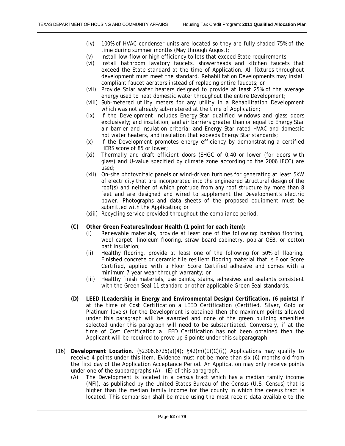- (iv) 100% of HVAC condenser units are located so they are fully shaded 75% of the time during summer months (May through August);
- (v) Install low-flow or high efficiency toilets that exceed State requirements;
- (vi) Install bathroom lavatory faucets, showerheads and kitchen faucets that exceed the State standard at the time of Application. All fixtures throughout development must meet the standard. Rehabilitation Developments may install compliant faucet aerators instead of replacing entire faucets; or
- (vii) Provide Solar water heaters designed to provide at least 25% of the average energy used to heat domestic water throughout the entire Development;
- (viii) Sub-metered utility meters for any utility in a Rehabilitation Development which was not already sub-metered at the time of Application;
- (ix) If the Development includes Energy-Star qualified windows and glass doors exclusively; and insulation, and air barriers greater than or equal to Energy Star air barrier and insulation criteria; and Energy Star rated HVAC and domestic hot water heaters, and insulation that exceeds Energy Star standards;
- (x) If the Development promotes energy efficiency by demonstrating a certified HERS score of 85 or lower;
- (xi) Thermally and draft efficient doors (SHGC of 0.40 or lower (for doors with glass) and U-value specified by climate zone according to the 2006 IECC) are used;
- (xii) On-site photovoltaic panels or wind-driven turbines for generating at least 5kW of electricity that are incorporated into the engineered structural design of the roof(s) and neither of which protrude from any roof structure by more than 8 feet and are designed and wired to supplement the Development's electric power. Photographs and data sheets of the proposed equipment must be submitted with the Application; or
- (xiii) Recycling service provided throughout the compliance period.
- **(C) Other Green Features/Indoor Health (1 point for each item):** 
	- (i) Renewable materials, provide at least one of the following: bamboo flooring, wool carpet, linoleum flooring, straw board cabinetry, poplar OSB, or cotton batt insulation;
	- (ii) Healthy flooring, provide at least one of the following for 50% of flooring. Finished concrete or ceramic tile resilient flooring material that is Floor Score Certified, applied with a Floor Score Certified adhesive and comes with a minimum 7-year wear through warranty; or
	- (iii) Healthy finish materials, use paints, stains, adhesives and sealants consistent with the Green Seal 11 standard or other applicable Green Seal standards.
- **(D) LEED (Leadership in Energy and Environmental Design) Certification. (6 points)** If at the time of Cost Certification a LEED Certification (Certified, Silver, Gold or Platinum levels) for the Development is obtained then the maximum points allowed under this paragraph will be awarded and none of the green building amenities selected under this paragraph will need to be substantiated. Conversely, if at the time of Cost Certification a LEED Certification has not been obtained then the Applicant will be required to prove up 6 points under this subparagraph.
- (16) **Development Location.** (§2306.6725(a)(4); §42(m)(1)(C)(i)) Applications may qualify to receive 4 points under this item. Evidence must not be more than six (6) months old from the first day of the Application Acceptance Period. An Application may only receive points under one of the subparagraphs (A) - (E) of this paragraph.
	- (A) The Development is located in a census tract which has a median family income (MFI), as published by the United States Bureau of the Census (U.S. Census) that is higher than the median family income for the county in which the census tract is located. This comparison shall be made using the most recent data available to the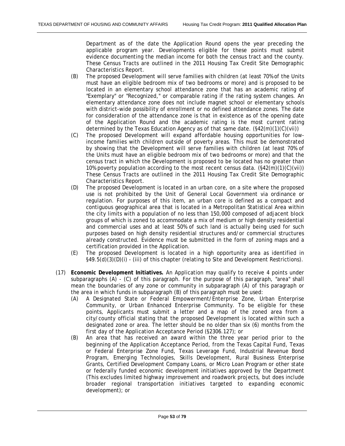Department as of the date the Application Round opens the year preceding the applicable program year. Developments eligible for these points must submit evidence documenting the median income for both the census tract and the county. These Census Tracts are outlined in the 2011 Housing Tax Credit Site Demographic Characteristics Report.

- (B) The proposed Development will serve families with children (at least 70% of the Units must have an eligible bedroom mix of two bedrooms or more) and is proposed to be located in an elementary school attendance zone that has an academic rating of "Exemplary" or "Recognized," or comparable rating if the rating system changes. An elementary attendance zone does not include magnet school or elementary schools with district-wide possibility of enrollment or no defined attendance zones. The date for consideration of the attendance zone is that in existence as of the opening date of the Application Round and the academic rating is the most current rating determined by the Texas Education Agency as of that same date. (§42(m)(1)(C)(vii))
- (C) The proposed Development will expand affordable housing opportunities for lowincome families with children outside of poverty areas. This must be demonstrated by showing that the Development will serve families with children (at least 70% of the Units must have an eligible bedroom mix of two bedrooms or more) and that the census tract in which the Development is proposed to be located has no greater than 10% poverty population according to the most recent census data.  $(\frac{542(m)}{1)(C)}$ These Census Tracts are outlined in the 2011 Housing Tax Credit Site Demographic Characteristics Report.
- (D) The proposed Development is located in an urban core, on a site where the proposed use is not prohibited by the Unit of General Local Government via ordinance or regulation. For purposes of this item, an urban core is defined as a compact and contiguous geographical area that is located in a Metropolitan Statistical Area within the city limits with a population of no less than 150,000 composed of adjacent block groups of which is zoned to accommodate a mix of medium or high density residential and commercial uses and at least 50% of such land is actually being used for such purposes based on high density residential structures and/or commercial structures already constructed. Evidence must be submitted in the form of zoning maps and a certification provided in the Application.
- (E) The proposed Development is located in a high opportunity area as identified in §49.5(d)(3)(D)(i) - (iii) of this chapter (relating to Site and Development Restrictions).
- (17) **Economic Development Initiatives.** An Application may qualify to receive 4 points under subparagraphs (A) - (C) of this paragraph. For the purpose of this paragraph, "area" shall mean the boundaries of any zone or community in subparagraph (A) of this paragraph or the area in which funds in subparagraph (B) of this paragraph must be used:
	- (A) A Designated State or Federal Empowerment/Enterprise Zone, Urban Enterprise Community, or Urban Enhanced Enterprise Community. To be eligible for these points, Applicants must submit a letter and a map of the zoned area from a city/county official stating that the proposed Development is located within such a designated zone or area. The letter should be no older than six (6) months from the first day of the Application Acceptance Period (§2306.127); or
	- (B) An area that has received an award within the three year period prior to the beginning of the Application Acceptance Period, from the Texas Capital Fund, Texas or Federal Enterprise Zone Fund, Texas Leverage Fund, Industrial Revenue Bond Program, Emerging Technologies, Skills Development, Rural Business Enterprise Grants, Certified Development Company Loans, or Micro Loan Program or other state or federally funded economic development initiatives approved by the Department (This excludes limited highway improvement and roadwork projects, but does include broader regional transportation initiatives targeted to expanding economic development); or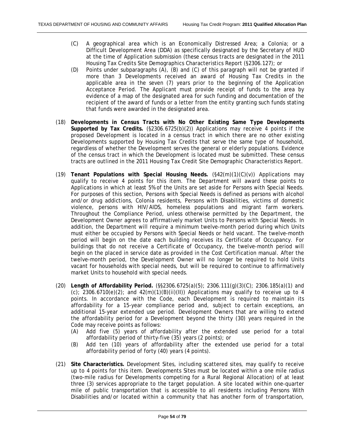- (C) A geographical area which is an Economically Distressed Area; a Colonia; or a Difficult Development Area (DDA) as specifically designated by the Secretary of HUD at the time of Application submission (these census tracts are designated in the 2011 Housing Tax Credits Site Demographics Characteristics Report (§2306.127); or
- (D) Points under subparagraphs (A), (B) and (C) of this paragraph will not be granted if more than 3 Developments received an award of Housing Tax Credits in the applicable area in the seven (7) years prior to the beginning of the Application Acceptance Period. The Applicant must provide receipt of funds to the area by evidence of a map of the designated area for such funding and documentation of the recipient of the award of funds or a letter from the entity granting such funds stating that funds were awarded in the designated area.
- (18) **Developments in Census Tracts with No Other Existing Same Type Developments Supported by Tax Credits.** (§2306.6725(b)(2)) Applications may receive 4 points if the proposed Development is located in a census tract in which there are no other existing Developments supported by Housing Tax Credits that serve the same type of household, regardless of whether the Development serves the general or elderly populations. Evidence of the census tract in which the Development is located must be submitted. These census tracts are outlined in the 2011 Housing Tax Credit Site Demographic Characteristics Report.
- (19) **Tenant Populations with Special Housing Needs.** (§42(m)(1)(C)(v)) Applications may qualify to receive 4 points for this item. The Department will award these points to Applications in which at least 5% of the Units are set aside for Persons with Special Needs. For purposes of this section, Persons with Special Needs is defined as persons with alcohol and/or drug addictions, Colonia residents, Persons with Disabilities, victims of domestic violence, persons with HIV/AIDS, homeless populations and migrant farm workers. Throughout the Compliance Period, unless otherwise permitted by the Department, the Development Owner agrees to affirmatively market Units to Persons with Special Needs. In addition, the Department will require a minimum twelve-month period during which Units must either be occupied by Persons with Special Needs or held vacant. The twelve-month period will begin on the date each building receives its Certificate of Occupancy. For buildings that do not receive a Certificate of Occupancy, the twelve-month period will begin on the placed in service date as provided in the Cost Certification manual. After the twelve-month period, the Development Owner will no longer be required to hold Units vacant for households with special needs, but will be required to continue to affirmatively market Units to household with special needs.
- (20) **Length of Affordability Period.** (§§2306.6725(a)(5); 2306.111(g)(3)(C); 2306.185(a)(1) and (c); 2306.6710(e)(2); and  $42(m)(1)(B)(ii)(II)$ ) Applications may qualify to receive up to 4 points. In accordance with the Code, each Development is required to maintain its affordability for a 15-year compliance period and, subject to certain exceptions, an additional 15-year extended use period. Development Owners that are willing to extend the affordability period for a Development beyond the thirty (30) years required in the Code may receive points as follows:
	- (A) Add five (5) years of affordability after the extended use period for a total affordability period of thirty-five (35) years (2 points); or
	- (B) Add ten (10) years of affordability after the extended use period for a total affordability period of forty (40) years (4 points).
- (21) **Site Characteristics.** Development Sites, including scattered sites, may qualify to receive up to 4 points for this item. Developments Sites must be located within a one mile radius (two-mile radius for Developments competing for a Rural Regional Allocation) of at least three (3) services appropriate to the target population. A site located within one-quarter mile of public transportation that is accessible to all residents including Persons With Disabilities and/or located within a community that has another form of transportation,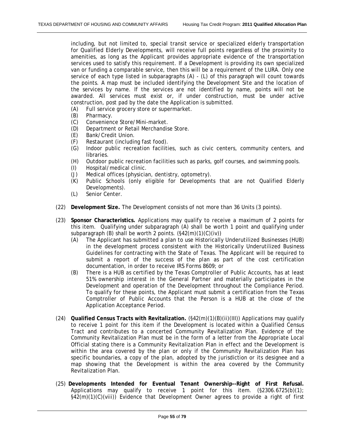including, but not limited to, special transit service or specialized elderly transportation for Qualified Elderly Developments, will receive full points regardless of the proximity to amenities, as long as the Applicant provides appropriate evidence of the transportation services used to satisfy this requirement. If a Development is providing its own specialized van or funding a comparable service, then this will be a requirement of the LURA. Only one service of each type listed in subparagraphs (A) - (L) of this paragraph will count towards the points. A map must be included identifying the Development Site and the location of the services by name. If the services are not identified by name, points will not be awarded. All services must exist or, if under construction, must be under active construction, post pad by the date the Application is submitted.

- (A) Full service grocery store or supermarket.
- (B) Pharmacy.
- (C) Convenience Store/Mini-market.
- (D) Department or Retail Merchandise Store.
- (E) Bank/Credit Union.
- (F) Restaurant (including fast food).
- (G) Indoor public recreation facilities, such as civic centers, community centers, and libraries.
- (H) Outdoor public recreation facilities such as parks, golf courses, and swimming pools.
- (I) Hospital/medical clinic.
- (J) Medical offices (physician, dentistry, optometry).
- (K) Public Schools (only eligible for Developments that are not Qualified Elderly Developments).
- (L) Senior Center.
- (22) **Development Size.** The Development consists of not more than 36 Units (3 points).
- (23) **Sponsor Characteristics.** Applications may qualify to receive a maximum of 2 points for this item. Qualifying under subparagraph (A) shall be worth 1 point and qualifying under subparagraph (B) shall be worth 2 points. (§42(m)(1)(C)(iv))
	- (A) The Applicant has submitted a plan to use Historically Underutilized Businesses (HUB) in the development process consistent with the Historically Underutilized Business Guidelines for contracting with the State of Texas. The Applicant will be required to submit a report of the success of the plan as part of the cost certification documentation, in order to receive IRS Forms 8609; or
	- (B) There is a HUB as certified by the Texas Comptroller of Public Accounts, has at least 51% ownership interest in the General Partner and materially participates in the Development and operation of the Development throughout the Compliance Period. To qualify for these points, the Applicant must submit a certification from the Texas Comptroller of Public Accounts that the Person is a HUB at the close of the Application Acceptance Period.
- (24) **Qualified Census Tracts with Revitalization.** (§42(m)(1)(B)(ii)(III)) Applications may qualify to receive 1 point for this item if the Development is located within a Qualified Census Tract and contributes to a concerted Community Revitalization Plan. Evidence of the Community Revitalization Plan must be in the form of a letter from the Appropriate Local Official stating there is a Community Revitalization Plan in effect and the Development is within the area covered by the plan or only if the Community Revitalization Plan has specific boundaries, a copy of the plan, adopted by the jurisdiction or its designee and a map showing that the Development is within the area covered by the Community Revitalization Plan.
- (25) **Developments Intended for Eventual Tenant Ownership--Right of First Refusal.** Applications may qualify to receive 1 point for this item. (§2306.6725(b)(1); §42(m)(1)(C)(viii)) Evidence that Development Owner agrees to provide a right of first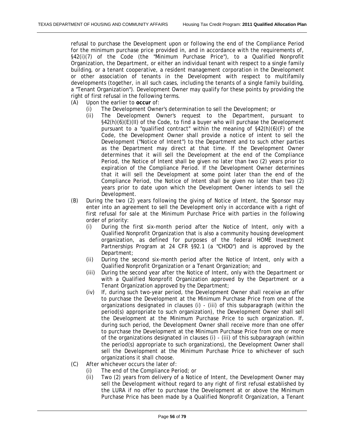refusal to purchase the Development upon or following the end of the Compliance Period for the minimum purchase price provided in, and in accordance with the requirements of, §42(i)(7) of the Code (the "Minimum Purchase Price"), to a Qualified Nonprofit Organization, the Department, or either an individual tenant with respect to a single family building, or a tenant cooperative, a resident management corporation in the Development or other association of tenants in the Development with respect to multifamily developments (together, in all such cases, including the tenants of a single family building, a "Tenant Organization"). Development Owner may qualify for these points by providing the right of first refusal in the following terms.

- (A) Upon the earlier to **occur** of:
	- (i) The Development Owner's determination to sell the Development; or
	- (ii) The Development Owner's request to the Department, pursuant to §42(h)(6)(E)(II) of the Code, to find a buyer who will purchase the Development pursuant to a "qualified contract" within the meaning of §42(h)(6)(F) of the Code, the Development Owner shall provide a notice of intent to sell the Development ("Notice of Intent") to the Department and to such other parties as the Department may direct at that time. If the Development Owner determines that it will sell the Development at the end of the Compliance Period, the Notice of Intent shall be given no later than two (2) years prior to expiration of the Compliance Period. If the Development Owner determines that it will sell the Development at some point later than the end of the Compliance Period, the Notice of Intent shall be given no later than two (2) years prior to date upon which the Development Owner intends to sell the Development.
- (B) During the two (2) years following the giving of Notice of Intent, the Sponsor may enter into an agreement to sell the Development only in accordance with a right of first refusal for sale at the Minimum Purchase Price with parties in the following order of priority:
	- (i) During the first six-month period after the Notice of Intent, only with a Qualified Nonprofit Organization that is also a community housing development organization, as defined for purposes of the federal HOME Investment Partnerships Program at 24 CFR §92.1 (a "CHDO") and is approved by the Department;
	- (ii) During the second six-month period after the Notice of Intent, only with a Qualified Nonprofit Organization or a Tenant Organization; and
	- (iii) During the second year after the Notice of Intent, only with the Department or with a Qualified Nonprofit Organization approved by the Department or a Tenant Organization approved by the Department;
	- (iv) If, during such two-year period, the Development Owner shall receive an offer to purchase the Development at the Minimum Purchase Price from one of the organizations designated in clauses (i) - (iii) of this subparagraph (within the period(s) appropriate to such organization), the Development Owner shall sell the Development at the Minimum Purchase Price to such organization. If, during such period, the Development Owner shall receive more than one offer to purchase the Development at the Minimum Purchase Price from one or more of the organizations designated in clauses (i) - (iii) of this subparagraph (within the period(s) appropriate to such organizations), the Development Owner shall sell the Development at the Minimum Purchase Price to whichever of such organizations it shall choose.
- (C) After whichever occurs the later of:
	- (i) The end of the Compliance Period; or
	- (ii) Two (2) years from delivery of a Notice of Intent, the Development Owner may sell the Development without regard to any right of first refusal established by the LURA if no offer to purchase the Development at or above the Minimum Purchase Price has been made by a Qualified Nonprofit Organization, a Tenant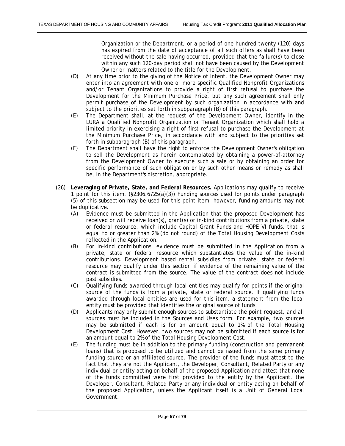Organization or the Department, or a period of one hundred twenty (120) days has expired from the date of acceptance of all such offers as shall have been received without the sale having occurred, provided that the failure(s) to close within any such 120-day period shall not have been caused by the Development Owner or matters related to the title for the Development.

- (D) At any time prior to the giving of the Notice of Intent, the Development Owner may enter into an agreement with one or more specific Qualified Nonprofit Organizations and/or Tenant Organizations to provide a right of first refusal to purchase the Development for the Minimum Purchase Price, but any such agreement shall only permit purchase of the Development by such organization in accordance with and subject to the priorities set forth in subparagraph (B) of this paragraph.
- (E) The Department shall, at the request of the Development Owner, identify in the LURA a Qualified Nonprofit Organization or Tenant Organization which shall hold a limited priority in exercising a right of first refusal to purchase the Development at the Minimum Purchase Price, in accordance with and subject to the priorities set forth in subparagraph (B) of this paragraph.
- (F) The Department shall have the right to enforce the Development Owner's obligation to sell the Development as herein contemplated by obtaining a power-of-attorney from the Development Owner to execute such a sale or by obtaining an order for specific performance of such obligation or by such other means or remedy as shall be, in the Department's discretion, appropriate.
- (26) **Leveraging of Private, State, and Federal Resources.** Applications may qualify to receive 1 point for this item. (§2306.6725(a)(3)) Funding sources used for points under paragraph (5) of this subsection may be used for this point item; however, funding amounts may not be duplicative.
	- (A) Evidence must be submitted in the Application that the proposed Development has received or will receive loan(s), grant(s) or in-kind contributions from a private, state or federal resource, which include Capital Grant Funds and HOPE VI funds, that is equal to or greater than 2% (do not round) of the Total Housing Development Costs reflected in the Application.
	- (B) For in-kind contributions, evidence must be submitted in the Application from a private, state or federal resource which substantiates the value of the in-kind contributions. Development based rental subsidies from private, state or federal resource may qualify under this section if evidence of the remaining value of the contract is submitted from the source. The value of the contract does not include past subsidies.
	- (C) Qualifying funds awarded through local entities may qualify for points if the original source of the funds is from a private, state or federal source. If qualifying funds awarded through local entities are used for this item, a statement from the local entity must be provided that identifies the original source of funds.
	- (D) Applicants may only submit enough sources to substantiate the point request, and all sources must be included in the Sources and Uses form. For example, two sources may be submitted if each is for an amount equal to 1% of the Total Housing Development Cost. However, two sources may not be submitted if each source is for an amount equal to 2% of the Total Housing Development Cost.
	- (E) The funding must be in addition to the primary funding (construction and permanent loans) that is proposed to be utilized and cannot be issued from the same primary funding source or an affiliated source. The provider of the funds must attest to the fact that they are not the Applicant, the Developer, Consultant, Related Party or any individual or entity acting on behalf of the proposed Application and attest that none of the funds committed were first provided to the entity by the Applicant, the Developer, Consultant, Related Party or any individual or entity acting on behalf of the proposed Application, unless the Applicant itself is a Unit of General Local Government.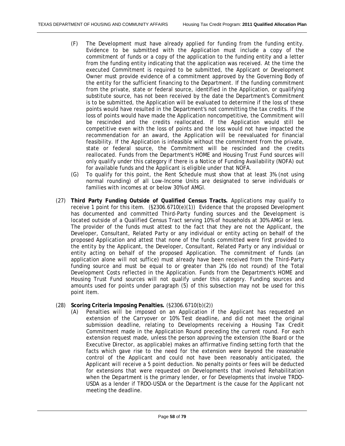- (F) The Development must have already applied for funding from the funding entity. Evidence to be submitted with the Application must include a copy of the commitment of funds or a copy of the application to the funding entity and a letter from the funding entity indicating that the application was received. At the time the executed Commitment is required to be submitted, the Applicant or Development Owner must provide evidence of a commitment approved by the Governing Body of the entity for the sufficient financing to the Department. If the funding commitment from the private, state or federal source, identified in the Application, or qualifying substitute source, has not been received by the date the Department's Commitment is to be submitted, the Application will be evaluated to determine if the loss of these points would have resulted in the Department's not committing the tax credits. If the loss of points would have made the Application noncompetitive, the Commitment will be rescinded and the credits reallocated. If the Application would still be competitive even with the loss of points and the loss would not have impacted the recommendation for an award, the Application will be reevaluated for financial feasibility. If the Application is infeasible without the commitment from the private, state or federal source, the Commitment will be rescinded and the credits reallocated. Funds from the Department's HOME and Housing Trust Fund sources will only qualify under this category if there is a Notice of Funding Availability (NOFA) out for available funds and the Applicant is eligible under that NOFA.
- (G) To qualify for this point, the Rent Schedule must show that at least 3% (not using normal rounding) of all Low-Income Units are designated to serve individuals or families with incomes at or below 30% of AMGI.
- (27) **Third Party Funding Outside of Qualified Census Tracts.** Applications may qualify to receive 1 point for this item.  $(\S2306.6710(e)(1))$  Evidence that the proposed Development has documented and committed Third-Party funding sources and the Development is located outside of a Qualified Census Tract serving 10% of households at 30% AMGI or less. The provider of the funds must attest to the fact that they are not the Applicant, the Developer, Consultant, Related Party or any individual or entity acting on behalf of the proposed Application and attest that none of the funds committed were first provided to the entity by the Applicant, the Developer, Consultant, Related Party or any individual or entity acting on behalf of the proposed Application. The commitment of funds (an application alone will not suffice) must already have been received from the Third-Party funding source and must be equal to or greater than 2% (do not round) of the Total Development Costs reflected in the Application. Funds from the Department's HOME and Housing Trust Fund sources will not qualify under this category. Funding sources and amounts used for points under paragraph (5) of this subsection may not be used for this point item.
- (28) **Scoring Criteria Imposing Penalties.** (§2306.6710(b)(2))
	- (A) Penalties will be imposed on an Application if the Applicant has requested an extension of the Carryover or 10% Test deadline, and did not meet the original submission deadline, relating to Developments receiving a Housing Tax Credit Commitment made in the Application Round preceding the current round. For each extension request made, unless the person approving the extension (the Board or the Executive Director, as applicable) makes an affirmative finding setting forth that the facts which gave rise to the need for the extension were beyond the reasonable control of the Applicant and could not have been reasonably anticipated, the Applicant will receive a 5 point deduction. No penalty points or fees will be deducted for extensions that were requested on Developments that involved Rehabilitation when the Department is the primary lender, or for Developments that involve TRDO-USDA as a lender if TRDO-USDA or the Department is the cause for the Applicant not meeting the deadline.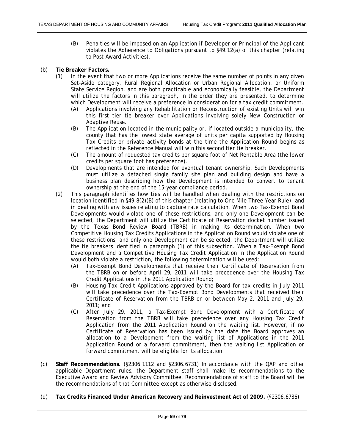- (B) Penalties will be imposed on an Application if Developer or Principal of the Applicant violates the Adherence to Obligations pursuant to §49.12(a) of this chapter (relating to Post Award Activities).
- (b) **Tie Breaker Factors.**
	- (1) In the event that two or more Applications receive the same number of points in any given Set-Aside category, Rural Regional Allocation or Urban Regional Allocation, or Uniform State Service Region, and are both practicable and economically feasible, the Department will utilize the factors in this paragraph, in the order they are presented, to determine which Development will receive a preference in consideration for a tax credit commitment.
		- (A) Applications involving any Rehabilitation or Reconstruction of existing Units will win this first tier tie breaker over Applications involving solely New Construction or Adaptive Reuse.
		- (B) The Application located in the municipality or, if located outside a municipality, the county that has the lowest state average of units per capita supported by Housing Tax Credits or private activity bonds at the time the Application Round begins as reflected in the Reference Manual will win this second tier tie breaker.
		- (C) The amount of requested tax credits per square foot of Net Rentable Area (the lower credits per square foot has preference).
		- (D) Developments that are intended for eventual tenant ownership. Such Developments must utilize a detached single family site plan and building design and have a business plan describing how the Development is intended to convert to tenant ownership at the end of the 15-year compliance period.
	- (2) This paragraph identifies how ties will be handled when dealing with the restrictions on location identified in §49.8(2)(B) of this chapter (relating to One Mile Three Year Rule), and in dealing with any issues relating to capture rate calculation. When two Tax-Exempt Bond Developments would violate one of these restrictions, and only one Development can be selected, the Department will utilize the Certificate of Reservation docket number issued by the Texas Bond Review Board (TBRB) in making its determination. When two Competitive Housing Tax Credits Applications in the Application Round would violate one of these restrictions, and only one Development can be selected, the Department will utilize the tie breakers identified in paragraph (1) of this subsection. When a Tax-Exempt Bond Development and a Competitive Housing Tax Credit Application in the Application Round would both violate a restriction, the following determination will be used:
		- (A) Tax-Exempt Bond Developments that receive their Certificate of Reservation from the TBRB on or before April 29, 2011 will take precedence over the Housing Tax Credit Applications in the 2011 Application Round;
		- (B) Housing Tax Credit Applications approved by the Board for tax credits in July 2011 will take precedence over the Tax-Exempt Bond Developments that received their Certificate of Reservation from the TBRB on or between May 2, 2011 and July 29, 2011; and
		- (C) After July 29, 2011, a Tax-Exempt Bond Development with a Certificate of Reservation from the TBRB will take precedence over any Housing Tax Credit Application from the 2011 Application Round on the waiting list. However, if no Certificate of Reservation has been issued by the date the Board approves an allocation to a Development from the waiting list of Applications in the 2011 Application Round or a forward commitment, then the waiting list Application or forward commitment will be eligible for its allocation.
- (c) **Staff Recommendations.** (§2306.1112 and §2306.6731) In accordance with the QAP and other applicable Department rules, the Department staff shall make its recommendations to the Executive Award and Review Advisory Committee. Recommendations of staff to the Board will be the recommendations of that Committee except as otherwise disclosed.
- (d) **Tax Credits Financed Under American Recovery and Reinvestment Act of 2009.** (§2306.6736)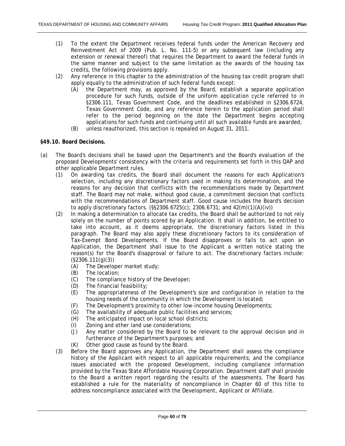- (1) To the extent the Department receives federal funds under the American Recovery and Reinvestment Act of 2009 (Pub. L. No. 111-5) or any subsequent law (including any extension or renewal thereof) that requires the Department to award the federal funds in the same manner and subject to the same limitation as the awards of the housing tax credits, the following provisions apply.
- (2) Any reference in this chapter to the administration of the housing tax credit program shall apply equally to the administration of such federal funds except:
	- (A) the Department may, as approved by the Board, establish a separate application procedure for such funds, outside of the uniform application cycle referred to in §2306.111, Texas Government Code, and the deadlines established in §2306.6724, Texas Government Code, and any reference herein to the application period shall refer to the period beginning on the date the Department begins accepting applications for such funds and continuing until all such available funds are awarded;
	- (B) unless reauthorized, this section is repealed on August 31, 2011.

# **§49.10. Board Decisions.**

- (a) The Board's decisions shall be based upon the Department's and the Board's evaluation of the proposed Developments' consistency with the criteria and requirements set forth in this QAP and other applicable Department rules.
	- (1) On awarding tax credits, the Board shall document the reasons for each Application's selection, including any discretionary factors used in making its determination, and the reasons for any decision that conflicts with the recommendations made by Department staff. The Board may not make, without good cause, a commitment decision that conflicts with the recommendations of Department staff. Good cause includes the Board's decision to apply discretionary factors. (§§2306.6725(c); 2306.6731; and 42(m)(1)(A)(iv))
	- (2) In making a determination to allocate tax credits, the Board shall be authorized to not rely solely on the number of points scored by an Application. It shall in addition, be entitled to take into account, as it deems appropriate, the discretionary factors listed in this paragraph. The Board may also apply these discretionary factors to its consideration of Tax-Exempt Bond Developments. If the Board disapproves or fails to act upon an Application, the Department shall issue to the Applicant a written notice stating the reason(s) for the Board's disapproval or failure to act. The discretionary factors include:  $(§2306.111(q)(3))$ 
		- (A) The Developer market study;
		- (B) The location;
		- (C) The compliance history of the Developer;
		- (D) The financial feasibility;
		- (E) The appropriateness of the Development's size and configuration in relation to the housing needs of the community in which the Development is located;
		- (F) The Development's proximity to other low-income housing Developments;
		- (G) The availability of adequate public facilities and services;
		- (H) The anticipated impact on local school districts;
		- (I) Zoning and other land use considerations;
		- (J) Any matter considered by the Board to be relevant to the approval decision and in furtherance of the Department's purposes; and
		- (K) Other good cause as found by the Board.
	- (3) Before the Board approves any Application, the Department shall assess the compliance history of the Applicant with respect to all applicable requirements; and the compliance issues associated with the proposed Development, including compliance information provided by the Texas State Affordable Housing Corporation. Department staff shall provide to the Board a written report regarding the results of the assessments. The Board has established a rule for the materiality of noncompliance in Chapter 60 of this title to address noncompliance associated with the Development, Applicant or Affiliate.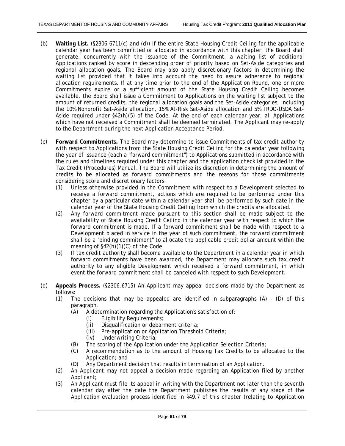- (b) **Waiting List.** (§2306.6711(c) and (d)) If the entire State Housing Credit Ceiling for the applicable calendar year has been committed or allocated in accordance with this chapter, the Board shall generate, concurrently with the issuance of the Commitment, a waiting list of additional Applications ranked by score in descending order of priority based on Set-Aside categories and regional allocation goals. The Board may also apply discretionary factors in determining the waiting list provided that it takes into account the need to assure adherence to regional allocation requirements. If at any time prior to the end of the Application Round, one or more Commitments expire or a sufficient amount of the State Housing Credit Ceiling becomes available, the Board shall issue a Commitment to Applications on the waiting list subject to the amount of returned credits, the regional allocation goals and the Set-Aside categories, including the 10% Nonprofit Set-Aside allocation, 15% At-Risk Set-Aside allocation and 5% TRDO-USDA Set-Aside required under §42(h)(5) of the Code. At the end of each calendar year, all Applications which have not received a Commitment shall be deemed terminated. The Applicant may re-apply to the Department during the next Application Acceptance Period.
- (c) **Forward Commitments.** The Board may determine to issue Commitments of tax credit authority with respect to Applications from the State Housing Credit Ceiling for the calendar year following the year of issuance (each a "forward commitment") to Applications submitted in accordance with the rules and timelines required under this chapter and the application checklist provided in the Tax Credit (Procedures) Manual. The Board will utilize its discretion in determining the amount of credits to be allocated as forward commitments and the reasons for those commitments considering score and discretionary factors.
	- (1) Unless otherwise provided in the Commitment with respect to a Development selected to receive a forward commitment, actions which are required to be performed under this chapter by a particular date within a calendar year shall be performed by such date in the calendar year of the State Housing Credit Ceiling from which the credits are allocated.
	- (2) Any forward commitment made pursuant to this section shall be made subject to the availability of State Housing Credit Ceiling in the calendar year with respect to which the forward commitment is made. If a forward commitment shall be made with respect to a Development placed in service in the year of such commitment, the forward commitment shall be a "binding commitment" to allocate the applicable credit dollar amount within the meaning of  $\S$ 42(h)(1)(C) of the Code.
	- (3) If tax credit authority shall become available to the Department in a calendar year in which forward commitments have been awarded, the Department may allocate such tax credit authority to any eligible Development which received a forward commitment, in which event the forward commitment shall be canceled with respect to such Development.
- (d) **Appeals Process.** (§2306.6715) An Applicant may appeal decisions made by the Department as follows:
	- (1) The decisions that may be appealed are identified in subparagraphs (A) (D) of this paragraph.
		- (A) A determination regarding the Application's satisfaction of:
			- (i) Eligibility Requirements;
			- (ii) Disqualification or debarment criteria;
			- (iii) Pre-application or Application Threshold Criteria;
			- (iv) Underwriting Criteria;
		- (B) The scoring of the Application under the Application Selection Criteria;
		- (C) A recommendation as to the amount of Housing Tax Credits to be allocated to the Application; and
		- (D) Any Department decision that results in termination of an Application.
	- (2) An Applicant may not appeal a decision made regarding an Application filed by another Applicant;
	- (3) An Applicant must file its appeal in writing with the Department not later than the seventh calendar day after the date the Department publishes the results of any stage of the Application evaluation process identified in §49.7 of this chapter (relating to Application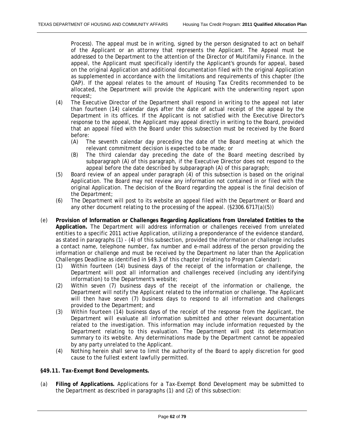Process). The appeal must be in writing, signed by the person designated to act on behalf of the Applicant or an attorney that represents the Applicant. The Appeal must be addressed to the Department to the attention of the Director of Multifamily Finance. In the appeal, the Applicant must specifically identify the Applicant's grounds for appeal, based on the original Application and additional documentation filed with the original Application as supplemented in accordance with the limitations and requirements of this chapter (the QAP). If the appeal relates to the amount of Housing Tax Credits recommended to be allocated, the Department will provide the Applicant with the underwriting report upon request;

- (4) The Executive Director of the Department shall respond in writing to the appeal not later than fourteen (14) calendar days after the date of actual receipt of the appeal by the Department in its offices. If the Applicant is not satisfied with the Executive Director's response to the appeal, the Applicant may appeal directly in writing to the Board, provided that an appeal filed with the Board under this subsection must be received by the Board before:
	- (A) The seventh calendar day preceding the date of the Board meeting at which the relevant commitment decision is expected to be made; or
	- (B) The third calendar day preceding the date of the Board meeting described by subparagraph (A) of this paragraph, if the Executive Director does not respond to the appeal before the date described by subparagraph (A) of this paragraph;
- (5) Board review of an appeal under paragraph (4) of this subsection is based on the original Application. The Board may not review any information not contained in or filed with the original Application. The decision of the Board regarding the appeal is the final decision of the Department;
- (6) The Department will post to its website an appeal filed with the Department or Board and any other document relating to the processing of the appeal. (§2306.6717(a)(5))
- (e) **Provision of Information or Challenges Regarding Applications from Unrelated Entities to the Application.** The Department will address information or challenges received from unrelated entities to a specific 2011 active Application, utilizing a preponderance of the evidence standard, as stated in paragraphs (1) - (4) of this subsection, provided the information or challenge includes a contact name, telephone number, fax number and e-mail address of the person providing the information or challenge and must be received by the Department no later than the Application Challenges Deadline as identified in §49.3 of this chapter (relating to Program Calendar):
	- (1) Within fourteen (14) business days of the receipt of the information or challenge, the Department will post all information and challenges received (including any identifying information) to the Department's website;
	- (2) Within seven (7) business days of the receipt of the information or challenge, the Department will notify the Applicant related to the information or challenge. The Applicant will then have seven (7) business days to respond to all information and challenges provided to the Department; and
	- (3) Within fourteen (14) business days of the receipt of the response from the Applicant, the Department will evaluate all information submitted and other relevant documentation related to the investigation. This information may include information requested by the Department relating to this evaluation. The Department will post its determination summary to its website. Any determinations made by the Department cannot be appealed by any party unrelated to the Applicant.
	- (4) Nothing herein shall serve to limit the authority of the Board to apply discretion for good cause to the fullest extent lawfully permitted.

## **§49.11. Tax-Exempt Bond Developments.**

(a) **Filing of Applications.** Applications for a Tax-Exempt Bond Development may be submitted to the Department as described in paragraphs (1) and (2) of this subsection: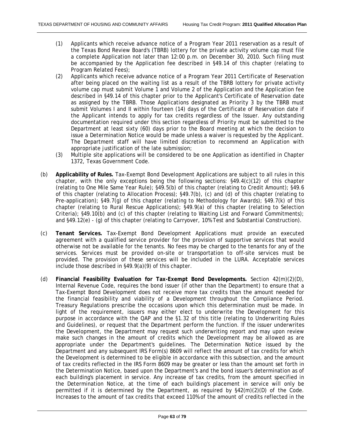- (1) Applicants which receive advance notice of a Program Year 2011 reservation as a result of the Texas Bond Review Board's (TBRB) lottery for the private activity volume cap must file a complete Application not later than 12:00 p.m. on December 30, 2010. Such filing must be accompanied by the Application fee described in §49.14 of this chapter (relating to Program Related Fees);
- (2) Applicants which receive advance notice of a Program Year 2011 Certificate of Reservation after being placed on the waiting list as a result of the TBRB lottery for private activity volume cap must submit Volume 1 and Volume 2 of the Application and the Application fee described in §49.14 of this chapter prior to the Applicant's Certificate of Reservation date as assigned by the TBRB. Those Applications designated as Priority 3 by the TBRB must submit Volumes I and II within fourteen (14) days of the Certificate of Reservation date if the Applicant intends to apply for tax credits regardless of the Issuer. Any outstanding documentation required under this section regardless of Priority must be submitted to the Department at least sixty (60) days prior to the Board meeting at which the decision to issue a Determination Notice would be made unless a waiver is requested by the Applicant. The Department staff will have limited discretion to recommend an Application with appropriate justification of the late submission;
- (3) Multiple site applications will be considered to be one Application as identified in Chapter 1372, Texas Government Code.
- (b) **Applicability of Rules.** Tax-Exempt Bond Development Applications are subject to all rules in this chapter, with the only exceptions being the following sections:  $\S$ 49.4(c)(12) of this chapter (relating to One Mile Same Year Rule); §49.5(b) of this chapter (relating to Credit Amount); §49.6 of this chapter (relating to Allocation Process); §49.7(b), (c) and (d) of this chapter (relating to Pre-application); §49.7(g) of this chapter (relating to Methodology for Awards); §49.7(k) of this chapter (relating to Rural Rescue Applications); §49.9(a) of this chapter (relating to Selection Criteria); §49.10(b) and (c) of this chapter (relating to Waiting List and Forward Commitments); and §49.12(e) - (g) of this chapter (relating to Carryover, 10% Test and Substantial Construction).
- (c) **Tenant Services.** Tax-Exempt Bond Development Applications must provide an executed agreement with a qualified service provider for the provision of supportive services that would otherwise not be available for the tenants. No fees may be charged to the tenants for any of the services. Services must be provided on-site or transportation to off-site services must be provided. The provision of these services will be included in the LURA. Acceptable services include those described in §49.9(a)(9) of this chapter.
- (d) **Financial Feasibility Evaluation for Tax-Exempt Bond Developments.** Section 42(m)(2)(D), Internal Revenue Code, requires the bond issuer (if other than the Department) to ensure that a Tax-Exempt Bond Development does not receive more tax credits than the amount needed for the financial feasibility and viability of a Development throughout the Compliance Period. Treasury Regulations prescribe the occasions upon which this determination must be made. In light of the requirement, issuers may either elect to underwrite the Development for this purpose in accordance with the QAP and the §1.32 of this title (relating to Underwriting Rules and Guidelines), or request that the Department perform the function. If the issuer underwrites the Development, the Department may request such underwriting report and may upon review make such changes in the amount of credits which the Development may be allowed as are appropriate under the Department's guidelines. The Determination Notice issued by the Department and any subsequent IRS Form(s) 8609 will reflect the amount of tax credits for which the Development is determined to be eligible in accordance with this subsection, and the amount of tax credits reflected in the IRS Form 8609 may be greater or less than the amount set forth in the Determination Notice, based upon the Department's and the bond issuer's determination as of each building's placement in service. Any increase of tax credits, from the amount specified in the Determination Notice, at the time of each building's placement in service will only be permitted if it is determined by the Department, as required by §42(m)(2)(D) of the Code. Increases to the amount of tax credits that exceed 110% of the amount of credits reflected in the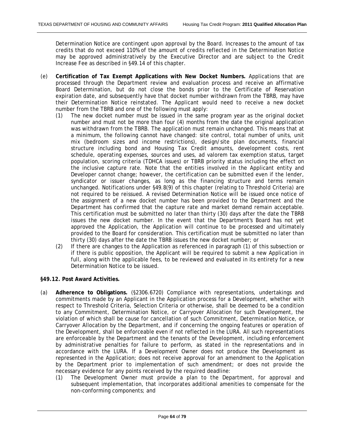Determination Notice are contingent upon approval by the Board. Increases to the amount of tax credits that do not exceed 110% of the amount of credits reflected in the Determination Notice may be approved administratively by the Executive Director and are subject to the Credit Increase Fee as described in §49.14 of this chapter.

- (e) **Certification of Tax Exempt Applications with New Docket Numbers.** Applications that are processed through the Department review and evaluation process and receive an affirmative Board Determination, but do not close the bonds prior to the Certificate of Reservation expiration date, and subsequently have that docket number withdrawn from the TBRB, may have their Determination Notice reinstated. The Applicant would need to receive a new docket number from the TBRB and one of the following must apply:
	- (1) The new docket number must be issued in the same program year as the original docket number and must not be more than four (4) months from the date the original application was withdrawn from the TBRB. The application must remain unchanged. This means that at a minimum, the following cannot have changed: site control, total number of units, unit mix (bedroom sizes and income restrictions), design/site plan documents, financial structure including bond and Housing Tax Credit amounts, development costs, rent schedule, operating expenses, sources and uses, ad valorem tax exemption status, target population, scoring criteria (TDHCA issues) or TBRB priority status including the effect on the inclusive capture rate. Note that the entities involved in the Applicant entity and Developer cannot change; however, the certification can be submitted even if the lender, syndicator or issuer changes, as long as the financing structure and terms remain unchanged. Notifications under §49.8(9) of this chapter (relating to Threshold Criteria) are not required to be reissued. A revised Determination Notice will be issued once notice of the assignment of a new docket number has been provided to the Department and the Department has confirmed that the capture rate and market demand remain acceptable. This certification must be submitted no later than thirty (30) days after the date the TBRB issues the new docket number. In the event that the Department's Board has not yet approved the Application, the Application will continue to be processed and ultimately provided to the Board for consideration. This certification must be submitted no later than thirty (30) days after the date the TBRB issues the new docket number; or
	- (2) If there are changes to the Application as referenced in paragraph (1) of this subsection or if there is public opposition, the Applicant will be required to submit a new Application in full, along with the applicable fees, to be reviewed and evaluated in its entirety for a new Determination Notice to be issued.

### **§49.12. Post Award Activities.**

- (a) **Adherence to Obligations.** (§2306.6720) Compliance with representations, undertakings and commitments made by an Applicant in the Application process for a Development, whether with respect to Threshold Criteria, Selection Criteria or otherwise, shall be deemed to be a condition to any Commitment, Determination Notice, or Carryover Allocation for such Development, the violation of which shall be cause for cancellation of such Commitment, Determination Notice, or Carryover Allocation by the Department, and if concerning the ongoing features or operation of the Development, shall be enforceable even if not reflected in the LURA. All such representations are enforceable by the Department and the tenants of the Development, including enforcement by administrative penalties for failure to perform, as stated in the representations and in accordance with the LURA. If a Development Owner does not produce the Development as represented in the Application; does not receive approval for an amendment to the Application by the Department prior to implementation of such amendment; or does not provide the necessary evidence for any points received by the required deadline:
	- (1) The Development Owner must provide a plan to the Department, for approval and subsequent implementation, that incorporates additional amenities to compensate for the non-conforming components; and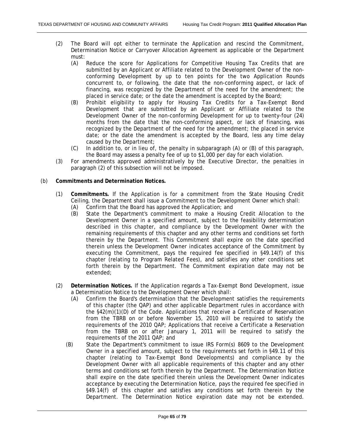- (2) The Board will opt either to terminate the Application and rescind the Commitment, Determination Notice or Carryover Allocation Agreement as applicable or the Department must:
	- (A) Reduce the score for Applications for Competitive Housing Tax Credits that are submitted by an Applicant or Affiliate related to the Development Owner of the nonconforming Development by up to ten points for the two Application Rounds concurrent to, or following, the date that the non-conforming aspect, or lack of financing, was recognized by the Department of the need for the amendment; the placed in service date; or the date the amendment is accepted by the Board;
	- (B) Prohibit eligibility to apply for Housing Tax Credits for a Tax-Exempt Bond Development that are submitted by an Applicant or Affiliate related to the Development Owner of the non-conforming Development for up to twenty-four (24) months from the date that the non-conforming aspect, or lack of financing, was recognized by the Department of the need for the amendment; the placed in service date; or the date the amendment is accepted by the Board, less any time delay caused by the Department;
	- (C) In addition to, or in lieu of, the penalty in subparagraph (A) or (B) of this paragraph, the Board may assess a penalty fee of up to \$1,000 per day for each violation.
- (3) For amendments approved administratively by the Executive Director, the penalties in paragraph (2) of this subsection will not be imposed.

#### (b) **Commitments and Determination Notices.**

- (1) **Commitments.** If the Application is for a commitment from the State Housing Credit Ceiling, the Department shall issue a Commitment to the Development Owner which shall:
	- (A) Confirm that the Board has approved the Application; and
	- (B) State the Department's commitment to make a Housing Credit Allocation to the Development Owner in a specified amount, subject to the feasibility determination described in this chapter, and compliance by the Development Owner with the remaining requirements of this chapter and any other terms and conditions set forth therein by the Department. This Commitment shall expire on the date specified therein unless the Development Owner indicates acceptance of the Commitment by executing the Commitment, pays the required fee specified in §49.14(f) of this chapter (relating to Program Related Fees), and satisfies any other conditions set forth therein by the Department. The Commitment expiration date may not be extended;
- (2) **Determination Notices.** If the Application regards a Tax-Exempt Bond Development, issue a Determination Notice to the Development Owner which shall:
	- (A) Confirm the Board's determination that the Development satisfies the requirements of this chapter (the QAP) and other applicable Department rules in accordance with the §42(m)(1)(D) of the Code. Applications that receive a Certificate of Reservation from the TBRB on or before November 15, 2010 will be required to satisfy the requirements of the 2010 QAP; Applications that receive a Certificate a Reservation from the TBRB on or after January 1, 2011 will be required to satisfy the requirements of the 2011 QAP; and
	- (B) State the Department's commitment to issue IRS Form(s) 8609 to the Development Owner in a specified amount, subject to the requirements set forth in §49.11 of this chapter (relating to Tax-Exempt Bond Developments) and compliance by the Development Owner with all applicable requirements of this chapter and any other terms and conditions set forth therein by the Department. The Determination Notice shall expire on the date specified therein unless the Development Owner indicates acceptance by executing the Determination Notice, pays the required fee specified in §49.14(f) of this chapter and satisfies any conditions set forth therein by the Department. The Determination Notice expiration date may not be extended.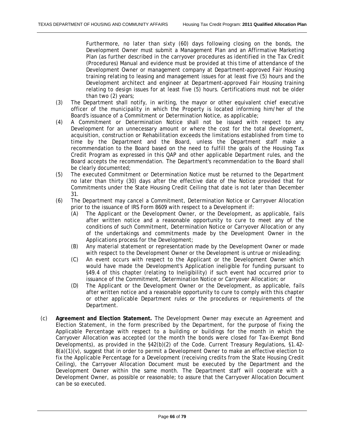Furthermore, no later than sixty (60) days following closing on the bonds, the Development Owner must submit a Management Plan and an Affirmative Marketing Plan (as further described in the carryover procedures as identified in the Tax Credit (Procedures) Manual and evidence must be provided at this time of attendance of the Development Owner or management company at Department-approved Fair Housing training relating to leasing and management issues for at least five (5) hours and the Development architect and engineer at Department-approved Fair Housing training relating to design issues for at least five (5) hours. Certifications must not be older than two (2) years;

- (3) The Department shall notify, in writing, the mayor or other equivalent chief executive officer of the municipality in which the Property is located informing him/her of the Board's issuance of a Commitment or Determination Notice, as applicable;
- (4) A Commitment or Determination Notice shall not be issued with respect to any Development for an unnecessary amount or where the cost for the total development, acquisition, construction or Rehabilitation exceeds the limitations established from time to time by the Department and the Board, unless the Department staff make a recommendation to the Board based on the need to fulfill the goals of the Housing Tax Credit Program as expressed in this QAP and other applicable Department rules, and the Board accepts the recommendation. The Department's recommendation to the Board shall be clearly documented;
- (5) The executed Commitment or Determination Notice must be returned to the Department no later than thirty (30) days after the effective date of the Notice provided that for Commitments under the State Housing Credit Ceiling that date is not later than December 31.
- (6) The Department may cancel a Commitment, Determination Notice or Carryover Allocation prior to the issuance of IRS Form 8609 with respect to a Development if:
	- (A) The Applicant or the Development Owner, or the Development, as applicable, fails after written notice and a reasonable opportunity to cure to meet any of the conditions of such Commitment, Determination Notice or Carryover Allocation or any of the undertakings and commitments made by the Development Owner in the Applications process for the Development;
	- (B) Any material statement or representation made by the Development Owner or made with respect to the Development Owner or the Development is untrue or misleading;
	- (C) An event occurs with respect to the Applicant or the Development Owner which would have made the Development's Application ineligible for funding pursuant to §49.4 of this chapter (relating to Ineligibility) if such event had occurred prior to issuance of the Commitment, Determination Notice or Carryover Allocation; or
	- (D) The Applicant or the Development Owner or the Development, as applicable, fails after written notice and a reasonable opportunity to cure to comply with this chapter or other applicable Department rules or the procedures or requirements of the Department.
- (c) **Agreement and Election Statement.** The Development Owner may execute an Agreement and Election Statement, in the form prescribed by the Department, for the purpose of fixing the Applicable Percentage with respect to a building or buildings for the month in which the Carryover Allocation was accepted (or the month the bonds were closed for Tax-Exempt Bond Developments), as provided in the  $\S42(b)(2)$  of the Code. Current Treasury Regulations,  $\S1.42$ - $8(a)(1)(v)$ , suggest that in order to permit a Development Owner to make an effective election to fix the Applicable Percentage for a Development (receiving credits from the State Housing Credit Ceiling), the Carryover Allocation Document must be executed by the Department and the Development Owner within the same month. The Department staff will cooperate with a Development Owner, as possible or reasonable; to assure that the Carryover Allocation Document can be so executed.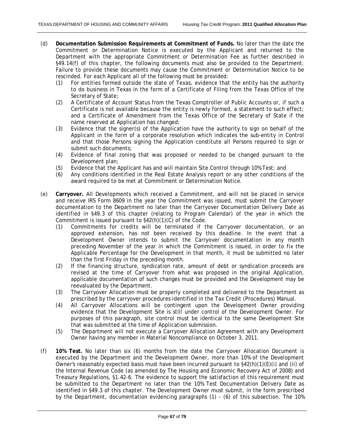- (d) **Documentation Submission Requirements at Commitment of Funds.** No later than the date the Commitment or Determination Notice is executed by the Applicant and returned to the Department with the appropriate Commitment or Determination Fee as further described in §49.14(f) of this chapter, the following documents must also be provided to the Department. Failure to provide these documents may cause the Commitment or Determination Notice to be rescinded. For each Applicant all of the following must be provided:
	- (1) For entities formed outside the state of Texas, evidence that the entity has the authority to do business in Texas in the form of a Certificate of Filing from the Texas Office of the Secretary of State;
	- (2) A Certificate of Account Status from the Texas Comptroller of Public Accounts or, if such a Certificate is not available because the entity is newly formed, a statement to such effect; and a Certificate of Amendment from the Texas Office of the Secretary of State if the name reserved at Application has changed;
	- (3) Evidence that the signer(s) of the Application have the authority to sign on behalf of the Applicant in the form of a corporate resolution which indicates the sub-entity in Control and that those Persons signing the Application constitute all Persons required to sign or submit such documents;
	- (4) Evidence of final zoning that was proposed or needed to be changed pursuant to the Development plan;
	- (5) Evidence that the Applicant has and will maintain Site Control through 10% Test; and
	- (6) Any conditions identified in the Real Estate Analysis report or any other conditions of the award required to be met at Commitment or Determination Notice.
- (e) **Carryover.** All Developments which received a Commitment, and will not be placed in service and receive IRS Form 8609 in the year the Commitment was issued, must submit the Carryover documentation to the Department no later than the Carryover Documentation Delivery Date as identified in §49.3 of this chapter (relating to Program Calendar) of the year in which the Commitment is issued pursuant to §42(h)(1)(C) of the Code.
	- (1) Commitments for credits will be terminated if the Carryover documentation, or an approved extension, has not been received by this deadline. In the event that a Development Owner intends to submit the Carryover documentation in any month preceding November of the year in which the Commitment is issued, in order to fix the Applicable Percentage for the Development in that month, it must be submitted no later than the first Friday in the preceding month.
	- (2) If the financing structure, syndication rate, amount of debt or syndication proceeds are revised at the time of Carryover from what was proposed in the original Application, applicable documentation of such changes must be provided and the Development may be reevaluated by the Department.
	- (3) The Carryover Allocation must be properly completed and delivered to the Department as prescribed by the carryover procedures identified in the Tax Credit (Procedures) Manual.
	- (4) All Carryover Allocations will be contingent upon the Development Owner providing evidence that the Development Site is still under control of the Development Owner. For purposes of this paragraph, site control must be identical to the same Development Site that was submitted at the time of Application submission.
	- (5) The Department will not execute a Carryover Allocation Agreement with any Development Owner having any member in Material Noncompliance on October 3, 2011.
- (f) **10% Test.** No later than six (6) months from the date the Carryover Allocation Document is executed by the Department and the Development Owner, more than 10% of the Development Owner's reasonably expected basis must have been incurred pursuant to  $$42(h)(1)(E)(i)$  and (ii) of the Internal Revenue Code (as amended by The Housing and Economic Recovery Act of 2008) and Treasury Regulations, §1.42-6. The evidence to support the satisfaction of this requirement must be submitted to the Department no later than the 10% Test Documentation Delivery Date as identified in §49.3 of this chapter. The Development Owner must submit, in the form prescribed by the Department, documentation evidencing paragraphs (1) - (6) of this subsection. The 10%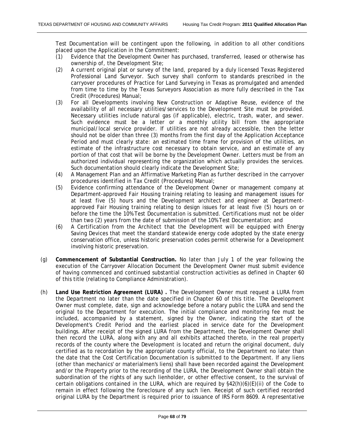Test Documentation will be contingent upon the following, in addition to all other conditions placed upon the Application in the Commitment:

- (1) Evidence that the Development Owner has purchased, transferred, leased or otherwise has ownership of, the Development Site;
- (2) A current original plat or survey of the land, prepared by a duly licensed Texas Registered Professional Land Surveyor. Such survey shall conform to standards prescribed in the carryover procedures of Practice for Land Surveying in Texas as promulgated and amended from time to time by the Texas Surveyors Association as more fully described in the Tax Credit (Procedures) Manual;
- (3) For all Developments involving New Construction or Adaptive Reuse, evidence of the availability of all necessary utilities/services to the Development Site must be provided. Necessary utilities include natural gas (if applicable), electric, trash, water, and sewer. Such evidence must be a letter or a monthly utility bill from the appropriate municipal/local service provider. If utilities are not already accessible, then the letter should not be older than three (3) months from the first day of the Application Acceptance Period and must clearly state: an estimated time frame for provision of the utilities, an estimate of the infrastructure cost necessary to obtain service, and an estimate of any portion of that cost that will be borne by the Development Owner. Letters must be from an authorized individual representing the organization which actually provides the services. Such documentation should clearly indicate the Development Site;
- (4) A Management Plan and an Affirmative Marketing Plan as further described in the carryover procedures identified in Tax Credit (Procedures) Manual;
- (5) Evidence confirming attendance of the Development Owner or management company at Department-approved Fair Housing training relating to leasing and management issues for at least five (5) hours and the Development architect and engineer at Departmentapproved Fair Housing training relating to design issues for at least five (5) hours on or before the time the 10% Test Documentation is submitted. Certifications must not be older than two (2) years from the date of submission of the 10% Test Documentation; and
- (6) A Certification from the Architect that the Development will be equipped with Energy Saving Devices that meet the standard statewide energy code adopted by the state energy conservation office, unless historic preservation codes permit otherwise for a Development involving historic preservation.
- (g) **Commencement of Substantial Construction.** No later than July 1 of the year following the execution of the Carryover Allocation Document the Development Owner must submit evidence of having commenced and continued substantial construction activities as defined in Chapter 60 of this title (relating to Compliance Administration).
- (h) **Land Use Restriction Agreement (LURA) .** The Development Owner must request a LURA from the Department no later than the date specified in Chapter 60 of this title. The Development Owner must complete, date, sign and acknowledge before a notary public the LURA and send the original to the Department for execution. The initial compliance and monitoring fee must be included, accompanied by a statement, signed by the Owner, indicating the start of the Development's Credit Period and the earliest placed in service date for the Development buildings. After receipt of the signed LURA from the Department, the Development Owner shall then record the LURA, along with any and all exhibits attached thereto, in the real property records of the county where the Development is located and return the original document, duly certified as to recordation by the appropriate county official, to the Department no later than the date that the Cost Certification Documentation is submitted to the Department. If any liens (other than mechanics' or materialmen's liens) shall have been recorded against the Development and/or the Property prior to the recording of the LURA, the Development Owner shall obtain the subordination of the rights of any such lienholder, or other effective consent, to the survival of certain obligations contained in the LURA, which are required by §42(h)(6)(E)(ii) of the Code to remain in effect following the foreclosure of any such lien. Receipt of such certified recorded original LURA by the Department is required prior to issuance of IRS Form 8609. A representative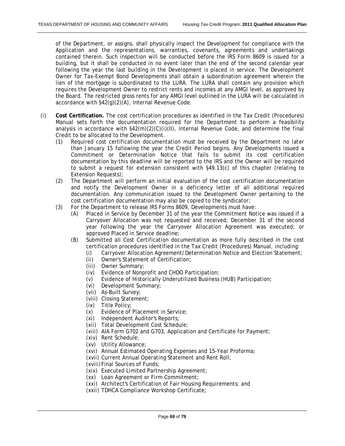of the Department, or assigns, shall physically inspect the Development for compliance with the Application and the representations, warranties, covenants, agreements and undertakings contained therein. Such inspection will be conducted before the IRS Form 8609 is issued for a building, but it shall be conducted in no event later than the end of the second calendar year following the year the last building in the Development is placed in service. The Development Owner for Tax-Exempt Bond Developments shall obtain a subordination agreement wherein the lien of the mortgage is subordinated to the LURA. The LURA shall contain any provision which requires the Development Owner to restrict rents and incomes at any AMGI level, as approved by the Board. The restricted gross rents for any AMGI level outlined in the LURA will be calculated in accordance with §42(g)(2)(A), Internal Revenue Code.

- (i) **Cost Certification.** The cost certification procedures as identified in the Tax Credit (Procedures) Manual sets forth the documentation required for the Department to perform a feasibility analysis in accordance with §42(m)(2)(C)(i)(II), Internal Revenue Code, and determine the final Credit to be allocated to the Development.
	- (1) Required cost certification documentation must be received by the Department no later than January 15 following the year the Credit Period begins. Any Developments issued a Commitment or Determination Notice that fails to submit its cost certification documentation by this deadline will be reported to the IRS and the Owner will be required to submit a request for extension consistent with §49.13(c) of this chapter (relating to Extension Requests);
	- (2) The Department will perform an initial evaluation of the cost certification documentation and notify the Development Owner in a deficiency letter of all additional required documentation. Any communication issued to the Development Owner pertaining to the cost certification documentation may also be copied to the syndicator;
	- (3) For the Department to release IRS Forms 8609, Developments must have:
		- (A) Placed in Service by December 31 of the year the Commitment Notice was issued if a Carryover Allocation was not requested and received; December 31 of the second year following the year the Carryover Allocation Agreement was executed; or approved Placed in Service deadline;
		- (B) Submitted all Cost Certification documentation as more fully described in the cost certification procedures identified in the Tax Credit (Procedures) Manual, including:
			- (i) Carryover Allocation Agreement/Determination Notice and Election Statement;
			- (ii) Owner's Statement of Certification;
			- (iii) Owner Summary;
			- (iv) Evidence of Nonprofit and CHDO Participation;
			- (v) Evidence of Historically Underutilized Business (HUB) Participation;
			- (vi) Development Summary;
			- (vii) As-Built Survey;
			- (viii) Closing Statement;
			- (ix) Title Policy;
			- (x) Evidence of Placement in Service;
			- (xi) Independent Auditor's Reports;
			- (xii) Total Development Cost Schedule;
			- (xiii) AIA Form G702 and G703, Application and Certificate for Payment;
			- (xiv) Rent Schedule;
			- (xv) Utility Allowance;
			- (xvi) Annual Estimated Operating Expenses and 15-Year Proforma;
			- (xvii) Current Annual Operating Statement and Rent Roll;
			- (xviii) Final Sources of Funds;
			- (xix) Executed Limited Partnership Agreement;
			- (xx) Loan Agreement or Firm Commitment;
			- (xxi) Architect's Certification of Fair Housing Requirements; and
			- (xxii) TDHCA Compliance Workshop Certificate;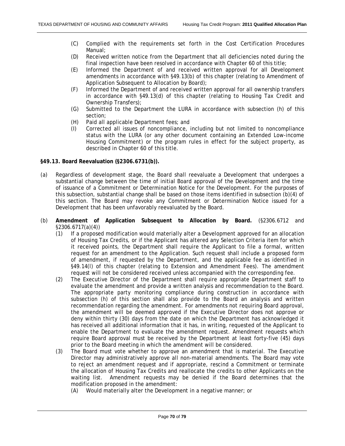- (C) Complied with the requirements set forth in the Cost Certification Procedures Manual;
- (D) Received written notice from the Department that all deficiencies noted during the final inspection have been resolved in accordance with Chapter 60 of this title;
- (E) Informed the Department of and received written approval for all Development amendments in accordance with §49.13(b) of this chapter (relating to Amendment of Application Subsequent to Allocation by Board);
- (F) Informed the Department of and received written approval for all ownership transfers in accordance with §49.13(d) of this chapter (relating to Housing Tax Credit and Ownership Transfers);
- (G) Submitted to the Department the LURA in accordance with subsection (h) of this section;
- (H) Paid all applicable Department fees; and
- (I) Corrected all issues of noncompliance, including but not limited to noncompliance status with the LURA (or any other document containing an Extended Low-income Housing Commitment) or the program rules in effect for the subject property, as described in Chapter 60 of this title.

#### **§49.13. Board Reevaluation (§2306.6731(b)).**

- (a) Regardless of development stage, the Board shall reevaluate a Development that undergoes a substantial change between the time of initial Board approval of the Development and the time of issuance of a Commitment or Determination Notice for the Development. For the purposes of this subsection, substantial change shall be based on those items identified in subsection (b)(4) of this section. The Board may revoke any Commitment or Determination Notice issued for a Development that has been unfavorably reevaluated by the Board.
- (b) **Amendment of Application Subsequent to Allocation by Board.** (§2306.6712 and §2306.6717(a)(4))
	- (1) If a proposed modification would materially alter a Development approved for an allocation of Housing Tax Credits, or if the Applicant has altered any Selection Criteria item for which it received points, the Department shall require the Applicant to file a formal, written request for an amendment to the Application. Such request shall include a proposed form of amendment, if requested by the Department, and the applicable fee as identified in §49.14(l) of this chapter (relating to Extension and Amendment Fees). The amendment request will not be considered received unless accompanied with the corresponding fee.
	- (2) The Executive Director of the Department shall require appropriate Department staff to evaluate the amendment and provide a written analysis and recommendation to the Board. The appropriate party monitoring compliance during construction in accordance with subsection (h) of this section shall also provide to the Board an analysis and written recommendation regarding the amendment. For amendments not requiring Board approval, the amendment will be deemed approved if the Executive Director does not approve or deny within thirty (30) days from the date on which the Department has acknowledged it has received all additional information that it has, in writing, requested of the Applicant to enable the Department to evaluate the amendment request. Amendment requests which require Board approval must be received by the Department at least forty-five (45) days prior to the Board meeting in which the amendment will be considered.
	- (3) The Board must vote whether to approve an amendment that is material. The Executive Director may administratively approve all non-material amendments. The Board may vote to reject an amendment request and if appropriate, rescind a Commitment or terminate the allocation of Housing Tax Credits and reallocate the credits to other Applicants on the waiting list. Amendment requests may be denied if the Board determines that the modification proposed in the amendment:
		- (A) Would materially alter the Development in a negative manner; or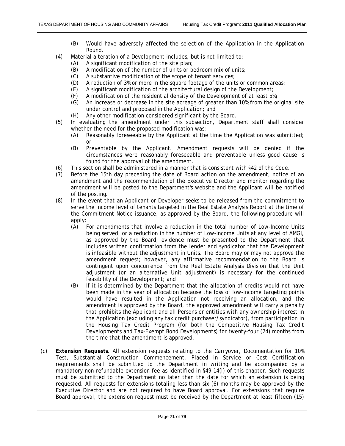- (B) Would have adversely affected the selection of the Application in the Application Round.
- (4) Material alteration of a Development includes, but is not limited to:
	- (A) A significant modification of the site plan;
	- (B) A modification of the number of units or bedroom mix of units;
	- (C) A substantive modification of the scope of tenant services;
	- (D) A reduction of 3% or more in the square footage of the units or common areas;
	- (E) A significant modification of the architectural design of the Development;
	- (F) A modification of the residential density of the Development of at least 5%;
	- (G) An increase or decrease in the site acreage of greater than 10% from the original site under control and proposed in the Application; and
	- (H) Any other modification considered significant by the Board.
- (5) In evaluating the amendment under this subsection, Department staff shall consider whether the need for the proposed modification was:
	- (A) Reasonably foreseeable by the Applicant at the time the Application was submitted; or
	- (B) Preventable by the Applicant. Amendment requests will be denied if the circumstances were reasonably foreseeable and preventable unless good cause is found for the approval of the amendment.
- (6) This section shall be administered in a manner that is consistent with §42 of the Code.
- (7) Before the 15th day preceding the date of Board action on the amendment, notice of an amendment and the recommendation of the Executive Director and monitor regarding the amendment will be posted to the Department's website and the Applicant will be notified of the posting.
- (8) In the event that an Applicant or Developer seeks to be released from the commitment to serve the income level of tenants targeted in the Real Estate Analysis Report at the time of the Commitment Notice issuance, as approved by the Board, the following procedure will apply:
	- (A) For amendments that involve a reduction in the total number of Low-Income Units being served, or a reduction in the number of Low-Income Units at any level of AMGI, as approved by the Board, evidence must be presented to the Department that includes written confirmation from the lender and syndicator that the Development is infeasible without the adjustment in Units. The Board may or may not approve the amendment request; however, any affirmative recommendation to the Board is contingent upon concurrence from the Real Estate Analysis Division that the Unit adjustment (or an alternative Unit adjustment) is necessary for the continued feasibility of the Development; and
	- (B) If it is determined by the Department that the allocation of credits would not have been made in the year of allocation because the loss of low-income targeting points would have resulted in the Application not receiving an allocation, and the amendment is approved by the Board, the approved amendment will carry a penalty that prohibits the Applicant and all Persons or entities with any ownership interest in the Application (excluding any tax credit purchaser/syndicator), from participation in the Housing Tax Credit Program (for both the Competitive Housing Tax Credit Developments and Tax-Exempt Bond Developments) for twenty-four (24) months from the time that the amendment is approved.
- (c) **Extension Requests.** All extension requests relating to the Carryover, Documentation for 10% Test, Substantial Construction Commencement, Placed in Service or Cost Certification requirements shall be submitted to the Department in writing and be accompanied by a mandatory non-refundable extension fee as identified in §49.14(l) of this chapter. Such requests must be submitted to the Department no later than the date for which an extension is being requested. All requests for extensions totaling less than six (6) months may be approved by the Executive Director and are not required to have Board approval. For extensions that require Board approval, the extension request must be received by the Department at least fifteen (15)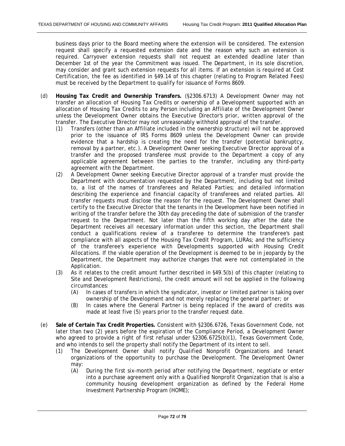business days prior to the Board meeting where the extension will be considered. The extension request shall specify a requested extension date and the reason why such an extension is required. Carryover extension requests shall not request an extended deadline later than December 1st of the year the Commitment was issued. The Department, in its sole discretion, may consider and grant such extension requests for all items. If an extension is required at Cost Certification, the fee as identified in §49.14 of this chapter (relating to Program Related Fees) must be received by the Department to qualify for issuance of Forms 8609.

- (d) **Housing Tax Credit and Ownership Transfers.** (§2306.6713) A Development Owner may not transfer an allocation of Housing Tax Credits or ownership of a Development supported with an allocation of Housing Tax Credits to any Person including an Affiliate of the Development Owner unless the Development Owner obtains the Executive Director's prior, written approval of the transfer. The Executive Director may not unreasonably withhold approval of the transfer.
	- (1) Transfers (other than an Affiliate included in the ownership structure) will not be approved prior to the issuance of IRS Forms 8609 unless the Development Owner can provide evidence that a hardship is creating the need for the transfer (potential bankruptcy, removal by a partner, etc.). A Development Owner seeking Executive Director approval of a transfer and the proposed transferee must provide to the Department a copy of any applicable agreement between the parties to the transfer, including any third-party agreement with the Department.
	- (2) A Development Owner seeking Executive Director approval of a transfer must provide the Department with documentation requested by the Department, including but not limited to, a list of the names of transferees and Related Parties; and detailed information describing the experience and financial capacity of transferees and related parties. All transfer requests must disclose the reason for the request. The Development Owner shall certify to the Executive Director that the tenants in the Development have been notified in writing of the transfer before the 30th day preceding the date of submission of the transfer request to the Department. Not later than the fifth working day after the date the Department receives all necessary information under this section, the Department shall conduct a qualifications review of a transferee to determine the transferee's past compliance with all aspects of the Housing Tax Credit Program, LURAs; and the sufficiency of the transferee's experience with Developments supported with Housing Credit Allocations. If the viable operation of the Development is deemed to be in jeopardy by the Department, the Department may authorize changes that were not contemplated in the Application.
	- (3) As it relates to the credit amount further described in §49.5(b) of this chapter (relating to Site and Development Restrictions), the credit amount will not be applied in the following circumstances:
		- (A) In cases of transfers in which the syndicator, investor or limited partner is taking over ownership of the Development and not merely replacing the general partner; or
		- (B) In cases where the General Partner is being replaced if the award of credits was made at least five (5) years prior to the transfer request date.
- (e) **Sale of Certain Tax Credit Properties.** Consistent with §2306.6726, Texas Government Code, not later than two (2) years before the expiration of the Compliance Period, a Development Owner who agreed to provide a right of first refusal under §2306.6725(b)(1), Texas Government Code, and who intends to sell the property shall notify the Department of its intent to sell.
	- (1) The Development Owner shall notify Qualified Nonprofit Organizations and tenant organizations of the opportunity to purchase the Development. The Development Owner may:
		- (A) During the first six-month period after notifying the Department, negotiate or enter into a purchase agreement only with a Qualified Nonprofit Organization that is also a community housing development organization as defined by the Federal Home Investment Partnership Program (HOME);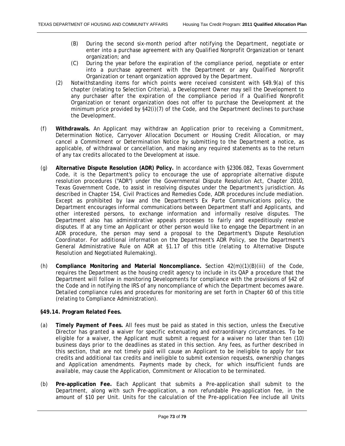- (B) During the second six-month period after notifying the Department, negotiate or enter into a purchase agreement with any Qualified Nonprofit Organization or tenant organization; and
- (C) During the year before the expiration of the compliance period, negotiate or enter into a purchase agreement with the Department or any Qualified Nonprofit Organization or tenant organization approved by the Department.
- (2) Notwithstanding items for which points were received consistent with §49.9(a) of this chapter (relating to Selection Criteria), a Development Owner may sell the Development to any purchaser after the expiration of the compliance period if a Qualified Nonprofit Organization or tenant organization does not offer to purchase the Development at the minimum price provided by §42(i)(7) of the Code, and the Department declines to purchase the Development.
- (f) **Withdrawals.** An Applicant may withdraw an Application prior to receiving a Commitment, Determination Notice, Carryover Allocation Document or Housing Credit Allocation, or may cancel a Commitment or Determination Notice by submitting to the Department a notice, as applicable, of withdrawal or cancellation, and making any required statements as to the return of any tax credits allocated to the Development at issue.
- (g) **Alternative Dispute Resolution (ADR) Policy.** In accordance with §2306.082, Texas Government Code, it is the Department's policy to encourage the use of appropriate alternative dispute resolution procedures ("ADR") under the Governmental Dispute Resolution Act, Chapter 2010, Texas Government Code, to assist in resolving disputes under the Department's jurisdiction. As described in Chapter 154, Civil Practices and Remedies Code, ADR procedures include mediation. Except as prohibited by law and the Department's Ex Parte Communications policy, the Department encourages informal communications between Department staff and Applicants, and other interested persons, to exchange information and informally resolve disputes. The Department also has administrative appeals processes to fairly and expeditiously resolve disputes. If at any time an Applicant or other person would like to engage the Department in an ADR procedure, the person may send a proposal to the Department's Dispute Resolution Coordinator. For additional information on the Department's ADR Policy, see the Department's General Administrative Rule on ADR at §1.17 of this title (relating to Alternative Dispute Resolution and Negotiated Rulemaking).
- (h) **Compliance Monitoring and Material Noncompliance.** Section 42(m)(1)(B)(iii) of the Code, requires the Department as the housing credit agency to include in its QAP a procedure that the Department will follow in monitoring Developments for compliance with the provisions of §42 of the Code and in notifying the IRS of any noncompliance of which the Department becomes aware. Detailed compliance rules and procedures for monitoring are set forth in Chapter 60 of this title (relating to Compliance Administration).

### **§49.14. Program Related Fees.**

- (a) **Timely Payment of Fees.** All fees must be paid as stated in this section, unless the Executive Director has granted a waiver for specific extenuating and extraordinary circumstances. To be eligible for a waiver, the Applicant must submit a request for a waiver no later than ten (10) business days prior to the deadlines as stated in this section. Any fees, as further described in this section, that are not timely paid will cause an Applicant to be ineligible to apply for tax credits and additional tax credits and ineligible to submit extension requests, ownership changes and Application amendments. Payments made by check, for which insufficient funds are available, may cause the Application, Commitment or Allocation to be terminated.
- (b) **Pre-application Fee.** Each Applicant that submits a Pre-application shall submit to the Department, along with such Pre-application, a non refundable Pre-application fee, in the amount of \$10 per Unit. Units for the calculation of the Pre-application Fee include all Units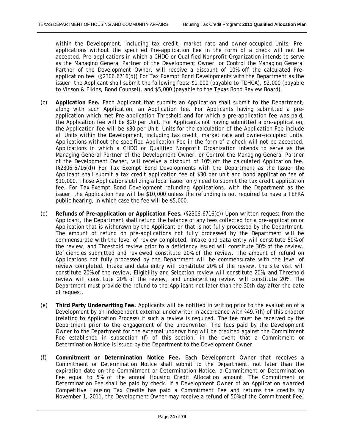within the Development, including tax credit, market rate and owner-occupied Units. Preapplications without the specified Pre-application Fee in the form of a check will not be accepted. Pre-applications in which a CHDO or Qualified Nonprofit Organization intends to serve as the Managing General Partner of the Development Owner, or Control the Managing General Partner of the Development Owner, will receive a discount of 10% off the calculated Preapplication fee. (§2306.6716(d)) For Tax Exempt Bond Developments with the Department as the issuer, the Applicant shall submit the following fees: \$1,000 (payable to TDHCA), \$2,000 (payable to Vinson & Elkins, Bond Counsel), and \$5,000 (payable to the Texas Bond Review Board).

- (c) **Application Fee.** Each Applicant that submits an Application shall submit to the Department, along with such Application, an Application fee. For Applicants having submitted a preapplication which met Pre-application Threshold and for which a pre-application fee was paid, the Application fee will be \$20 per Unit. For Applicants not having submitted a pre-application, the Application fee will be \$30 per Unit. Units for the calculation of the Application Fee include all Units within the Development, including tax credit, market rate and owner-occupied Units. Applications without the specified Application Fee in the form of a check will not be accepted. Applications in which a CHDO or Qualified Nonprofit Organization intends to serve as the Managing General Partner of the Development Owner, or Control the Managing General Partner of the Development Owner, will receive a discount of 10% off the calculated Application fee. (§2306.6716(d)) For Tax Exempt Bond Developments with the Department as the Issuer the Applicant shall submit a tax credit application fee of \$30 per unit and bond application fee of \$10,000. Those Applications utilizing a local issuer only need to submit the tax credit application fee. For Tax-Exempt Bond Development refunding Applications, with the Department as the issuer, the Application Fee will be \$10,000 unless the refunding is not required to have a TEFRA public hearing, in which case the fee will be \$5,000.
- (d) **Refunds of Pre-application or Application Fees.** (§2306.6716(c)) Upon written request from the Applicant, the Department shall refund the balance of any fees collected for a pre-application or Application that is withdrawn by the Applicant or that is not fully processed by the Department. The amount of refund on pre-applications not fully processed by the Department will be commensurate with the level of review completed. Intake and data entry will constitute 50% of the review, and Threshold review prior to a deficiency issued will constitute 30% of the review. Deficiencies submitted and reviewed constitute 20% of the review. The amount of refund on Applications not fully processed by the Department will be commensurate with the level of review completed. Intake and data entry will constitute 20% of the review, the site visit will constitute 20% of the review, Eligibility and Selection review will constitute 20%, and Threshold review will constitute 20% of the review, and underwriting review will constitute 20%. The Department must provide the refund to the Applicant not later than the 30th day after the date of request.
- (e) **Third Party Underwriting Fee.** Applicants will be notified in writing prior to the evaluation of a Development by an independent external underwriter in accordance with §49.7(h) of this chapter (relating to Application Process) if such a review is required. The fee must be received by the Department prior to the engagement of the underwriter. The fees paid by the Development Owner to the Department for the external underwriting will be credited against the Commitment Fee established in subsection (f) of this section, in the event that a Commitment or Determination Notice is issued by the Department to the Development Owner.
- (f) **Commitment or Determination Notice Fee.** Each Development Owner that receives a Commitment or Determination Notice shall submit to the Department, not later than the expiration date on the Commitment or Determination Notice, a Commitment or Determination Fee equal to 5% of the annual Housing Credit Allocation amount. The Commitment or Determination Fee shall be paid by check. If a Development Owner of an Application awarded Competitive Housing Tax Credits has paid a Commitment Fee and returns the credits by November 1, 2011, the Development Owner may receive a refund of 50% of the Commitment Fee.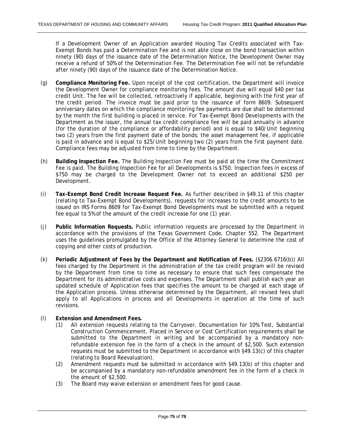If a Development Owner of an Application awarded Housing Tax Credits associated with Tax-Exempt Bonds has paid a Determination Fee and is not able close on the bond transaction within ninety (90) days of the issuance date of the Determination Notice, the Development Owner may receive a refund of 50% of the Determination Fee. The Determination Fee will not be refundable after ninety (90) days of the issuance date of the Determination Notice.

- (g) **Compliance Monitoring Fee.** Upon receipt of the cost certification, the Department will invoice the Development Owner for compliance monitoring fees. The amount due will equal \$40 per tax credit Unit. The fee will be collected, retroactively if applicable, beginning with the first year of the credit period. The invoice must be paid prior to the issuance of form 8609. Subsequent anniversary dates on which the compliance monitoring fee payments are due shall be determined by the month the first building is placed in service. For Tax-Exempt Bond Developments with the Department as the issuer, the annual tax credit compliance fee will be paid annually in advance (for the duration of the compliance or affordability period) and is equal to \$40/Unit beginning two (2) years from the first payment date of the bonds; the asset management fee, if applicable is paid in advance and is equal to \$25/Unit beginning two (2) years from the first payment date. Compliance fees may be adjusted from time to time by the Department.
- (h) **Building Inspection Fee.** The Building Inspection Fee must be paid at the time the Commitment Fee is paid. The Building Inspection Fee for all Developments is \$750. Inspection fees in excess of \$750 may be charged to the Development Owner not to exceed an additional \$250 per Development.
- (i) **Tax-Exempt Bond Credit Increase Request Fee.** As further described in §49.11 of this chapter (relating to Tax-Exempt Bond Developments), requests for increases to the credit amounts to be issued on IRS Forms 8609 for Tax-Exempt Bond Developments must be submitted with a request fee equal to 5% of the amount of the credit increase for one (1) year.
- (j) **Public Information Requests.** Public information requests are processed by the Department in accordance with the provisions of the Texas Government Code, Chapter 552. The Department uses the guidelines promulgated by the Office of the Attorney General to determine the cost of copying and other costs of production.
- (k) **Periodic Adjustment of Fees by the Department and Notification of Fees.** (§2306.6716(b)) All fees charged by the Department in the administration of the tax credit program will be revised by the Department from time to time as necessary to ensure that such fees compensate the Department for its administrative costs and expenses. The Department shall publish each year an updated schedule of Application fees that specifies the amount to be charged at each stage of the Application process. Unless otherwise determined by the Department, all revised fees shall apply to all Applications in process and all Developments in operation at the time of such revisions.

### (l) **Extension and Amendment Fees.**

- (1) All extension requests relating to the Carryover, Documentation for 10% Test, Substantial Construction Commencement, Placed in Service or Cost Certification requirements shall be submitted to the Department in writing and be accompanied by a mandatory nonrefundable extension fee in the form of a check in the amount of \$2,500. Such extension requests must be submitted to the Department in accordance with §49.13(c) of this chapter (relating to Board Reevaluation).
- (2) Amendment requests must be submitted in accordance with §49.13(b) of this chapter and be accompanied by a mandatory non-refundable amendment fee in the form of a check in the amount of \$2,500.
- (3) The Board may waive extension or amendment fees for good cause.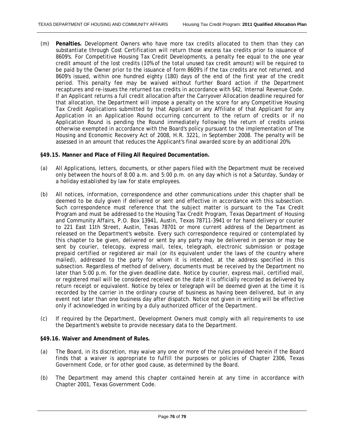(m) **Penalties.** Development Owners who have more tax credits allocated to them than they can substantiate through Cost Certification will return those excess tax credits prior to issuance of 8609's. For Competitive Housing Tax Credit Developments, a penalty fee equal to the one year credit amount of the lost credits (10% of the total unused tax credit amount) will be required to be paid by the Owner prior to the issuance of form 8609's if the tax credits are not returned, and 8609's issued, within one hundred eighty (180) days of the end of the first year of the credit period. This penalty fee may be waived without further Board action if the Department recaptures and re-issues the returned tax credits in accordance with §42, Internal Revenue Code. If an Applicant returns a full credit allocation after the Carryover Allocation deadline required for that allocation, the Department will impose a penalty on the score for any Competitive Housing Tax Credit Applications submitted by that Applicant or any Affiliate of that Applicant for any Application in an Application Round occurring concurrent to the return of credits or if no Application Round is pending the Round immediately following the return of credits unless otherwise exempted in accordance with the Board's policy pursuant to the implementation of The Housing and Economic Recovery Act of 2008, H.R. 3221, in September 2008. The penalty will be assessed in an amount that reduces the Applicant's final awarded score by an additional 20%.

# **§49.15. Manner and Place of Filing All Required Documentation.**

- (a) All Applications, letters, documents, or other papers filed with the Department must be received only between the hours of 8:00 a.m. and 5:00 p.m. on any day which is not a Saturday, Sunday or a holiday established by law for state employees.
- (b) All notices, information, correspondence and other communications under this chapter shall be deemed to be duly given if delivered or sent and effective in accordance with this subsection. Such correspondence must reference that the subject matter is pursuant to the Tax Credit Program and must be addressed to the Housing Tax Credit Program, Texas Department of Housing and Community Affairs, P.O. Box 13941, Austin, Texas 78711-3941 or for hand delivery or courier to 221 East 11th Street, Austin, Texas 78701 or more current address of the Department as released on the Department's website. Every such correspondence required or contemplated by this chapter to be given, delivered or sent by any party may be delivered in person or may be sent by courier, telecopy, express mail, telex, telegraph, electronic submission or postage prepaid certified or registered air mail (or its equivalent under the laws of the country where mailed), addressed to the party for whom it is intended, at the address specified in this subsection. Regardless of method of delivery, documents must be received by the Department no later than 5:00 p.m. for the given deadline date. Notice by courier, express mail, certified mail, or registered mail will be considered received on the date it is officially recorded as delivered by return receipt or equivalent. Notice by telex or telegraph will be deemed given at the time it is recorded by the carrier in the ordinary course of business as having been delivered, but in any event not later than one business day after dispatch. Notice not given in writing will be effective only if acknowledged in writing by a duly authorized officer of the Department.
- (c) If required by the Department, Development Owners must comply with all requirements to use the Department's website to provide necessary data to the Department.

# **§49.16. Waiver and Amendment of Rules.**

- (a) The Board, in its discretion, may waive any one or more of the rules provided herein if the Board finds that a waiver is appropriate to fulfill the purposes or policies of Chapter 2306, Texas Government Code, or for other good cause, as determined by the Board.
- (b) The Department may amend this chapter contained herein at any time in accordance with Chapter 2001, Texas Government Code.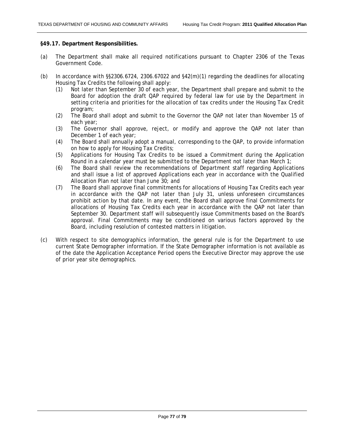#### **§49.17. Department Responsibilities.**

- (a) The Department shall make all required notifications pursuant to Chapter 2306 of the Texas Government Code.
- (b) In accordance with  $\S$ \$2306.6724, 2306.67022 and  $\S$ 42(m)(1) regarding the deadlines for allocating Housing Tax Credits the following shall apply:
	- (1) Not later than September 30 of each year, the Department shall prepare and submit to the Board for adoption the draft QAP required by federal law for use by the Department in setting criteria and priorities for the allocation of tax credits under the Housing Tax Credit program;
	- (2) The Board shall adopt and submit to the Governor the QAP not later than November 15 of each year;
	- (3) The Governor shall approve, reject, or modify and approve the QAP not later than December 1 of each year;
	- (4) The Board shall annually adopt a manual, corresponding to the QAP, to provide information on how to apply for Housing Tax Credits;
	- (5) Applications for Housing Tax Credits to be issued a Commitment during the Application Round in a calendar year must be submitted to the Department not later than March 1;
	- (6) The Board shall review the recommendations of Department staff regarding Applications and shall issue a list of approved Applications each year in accordance with the Qualified Allocation Plan not later than June 30; and
	- (7) The Board shall approve final commitments for allocations of Housing Tax Credits each year in accordance with the QAP not later than July 31, unless unforeseen circumstances prohibit action by that date. In any event, the Board shall approve final Commitments for allocations of Housing Tax Credits each year in accordance with the QAP not later than September 30. Department staff will subsequently issue Commitments based on the Board's approval. Final Commitments may be conditioned on various factors approved by the Board, including resolution of contested matters in litigation.
- (c) With respect to site demographics information, the general rule is for the Department to use current State Demographer information. If the State Demographer information is not available as of the date the Application Acceptance Period opens the Executive Director may approve the use of prior year site demographics.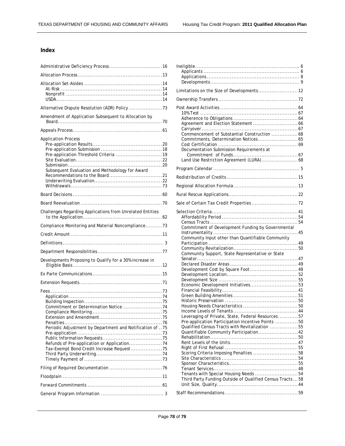# **Index**

| Amendment of Application Subsequent to Allocation by                          |
|-------------------------------------------------------------------------------|
|                                                                               |
| <b>Application Process</b><br>Subsequent Evaluation and Methodology for Award |
|                                                                               |
|                                                                               |
| Challenges Regarding Applications from Unrelated Entities                     |
| Compliance Monitoring and Material Noncompliance73                            |
|                                                                               |
|                                                                               |
|                                                                               |
| Developments Proposing to Qualify for a 30% increase in                       |
|                                                                               |
|                                                                               |
| Periodic Adjustment by Department and Notification of 75                      |
|                                                                               |
|                                                                               |
|                                                                               |
|                                                                               |

| Limitations on the Size of Developments12                                                                                         |  |
|-----------------------------------------------------------------------------------------------------------------------------------|--|
|                                                                                                                                   |  |
| Commencement of Substantial Construction  68<br>Commitments, Determination Notices 65<br>Documentation Submission Requirements at |  |
|                                                                                                                                   |  |
|                                                                                                                                   |  |
|                                                                                                                                   |  |
|                                                                                                                                   |  |
|                                                                                                                                   |  |
|                                                                                                                                   |  |
| Commitment of Development Funding by Governmental                                                                                 |  |
| Community Input other than Quantifiable Community                                                                                 |  |
|                                                                                                                                   |  |
| Community Support, State Representative or State                                                                                  |  |
|                                                                                                                                   |  |
| Development Cost by Square Foot 48                                                                                                |  |
|                                                                                                                                   |  |
| Economic Development Initiatives53                                                                                                |  |
|                                                                                                                                   |  |
|                                                                                                                                   |  |
|                                                                                                                                   |  |
|                                                                                                                                   |  |
| Leveraging of Private, State, Federal Resources57                                                                                 |  |
| Pre-application Participation Incentive Points  50                                                                                |  |
| Qualified Census Tracts with Revitalization 55<br>Quantifiable Community Participation 42                                         |  |
|                                                                                                                                   |  |
|                                                                                                                                   |  |
|                                                                                                                                   |  |
| Scoring Criteria Imposing Penalties 58                                                                                            |  |
|                                                                                                                                   |  |
|                                                                                                                                   |  |
| Tenants with Special Housing Needs 54<br>Third Party Funding Outside of Qualified Census Tracts  58                               |  |
|                                                                                                                                   |  |